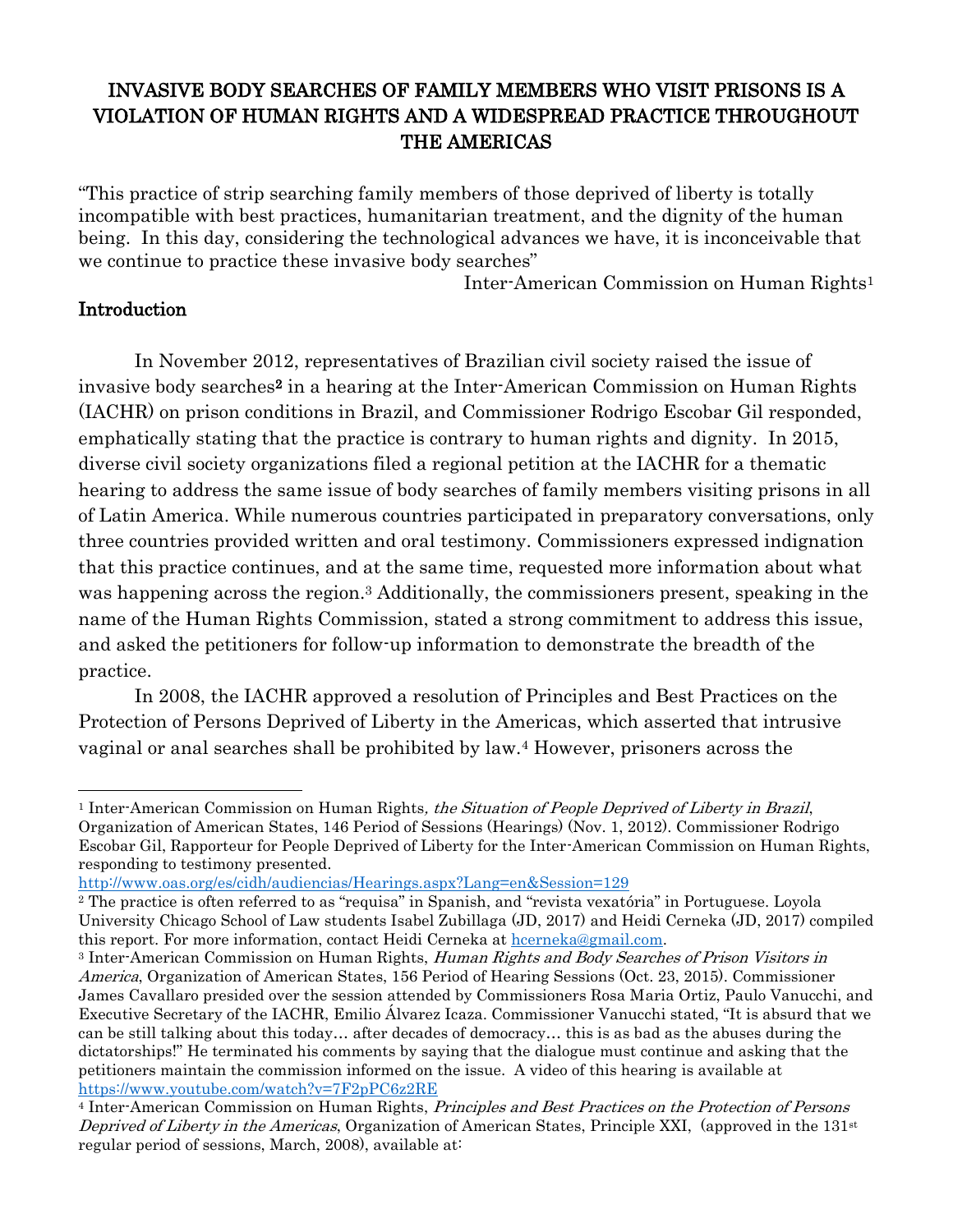# INVASIVE BODY SEARCHES OF FAMILY MEMBERS WHO VISIT PRISONS IS A VIOLATION OF HUMAN RIGHTS AND A WIDESPREAD PRACTICE THROUGHOUT THE AMERICAS

"This practice of strip searching family members of those deprived of liberty is totally incompatible with best practices, humanitarian treatment, and the dignity of the human being. In this day, considering the technological advances we have, it is inconceivable that we continue to practice these invasive body searches"

Inter-American Commission on Human Rights<sup>1</sup>

#### Introduction

In November 2012, representatives of Brazilian civil society raised the issue of invasive body searches<sup>2</sup> in a hearing at the Inter-American Commission on Human Rights (IACHR) on prison conditions in Brazil, and Commissioner Rodrigo Escobar Gil responded, emphatically stating that the practice is contrary to human rights and dignity. In 2015, diverse civil society organizations filed a regional petition at the IACHR for a thematic hearing to address the same issue of body searches of family members visiting prisons in all of Latin America. While numerous countries participated in preparatory conversations, only three countries provided written and oral testimony. Commissioners expressed indignation that this practice continues, and at the same time, requested more information about what was happening across the region.<sup>3</sup> Additionally, the commissioners present, speaking in the name of the Human Rights Commission, stated a strong commitment to address this issue, and asked the petitioners for follow-up information to demonstrate the breadth of the practice.

In 2008, the IACHR approved a resolution of Principles and Best Practices on the Protection of Persons Deprived of Liberty in the Americas, which asserted that intrusive vaginal or anal searches shall be prohibited by law.<sup>4</sup> However, prisoners across the

```
http://www.oas.org/es/cidh/audiencias/Hearings.aspx?Lang=en&Session=129
```
<sup>&</sup>lt;sup>1</sup> Inter-American Commission on Human Rights, the Situation of People Deprived of Liberty in Brazil, Organization of American States, 146 Period of Sessions (Hearings) (Nov. 1, 2012). Commissioner Rodrigo Escobar Gil, Rapporteur for People Deprived of Liberty for the Inter-American Commission on Human Rights, responding to testimony presented.

<sup>2</sup> The practice is often referred to as "requisa" in Spanish, and "revista vexatória" in Portuguese. Loyola University Chicago School of Law students Isabel Zubillaga (JD, 2017) and Heidi Cerneka (JD, 2017) compiled this report. For more information, contact Heidi Cerneka at [hcerneka@gmail.com.](mailto:hcerneka@gmail.com)

<sup>&</sup>lt;sup>3</sup> Inter-American Commission on Human Rights, Human Rights and Body Searches of Prison Visitors in America, Organization of American States, 156 Period of Hearing Sessions (Oct. 23, 2015). Commissioner James Cavallaro presided over the session attended by Commissioners Rosa Maria Ortiz, Paulo Vanucchi, and Executive Secretary of the IACHR, Emilio Álvarez Icaza. Commissioner Vanucchi stated, "It is absurd that we can be still talking about this today… after decades of democracy… this is as bad as the abuses during the dictatorships!" He terminated his comments by saying that the dialogue must continue and asking that the petitioners maintain the commission informed on the issue. A video of this hearing is available at <https://www.youtube.com/watch?v=7F2pPC6z2RE>

<sup>4</sup> Inter-American Commission on Human Rights, Principles and Best Practices on the Protection of Persons Deprived of Liberty in the Americas, Organization of American States, Principle XXI, (approved in the  $131<sup>st</sup>$ regular period of sessions, March, 2008), available at: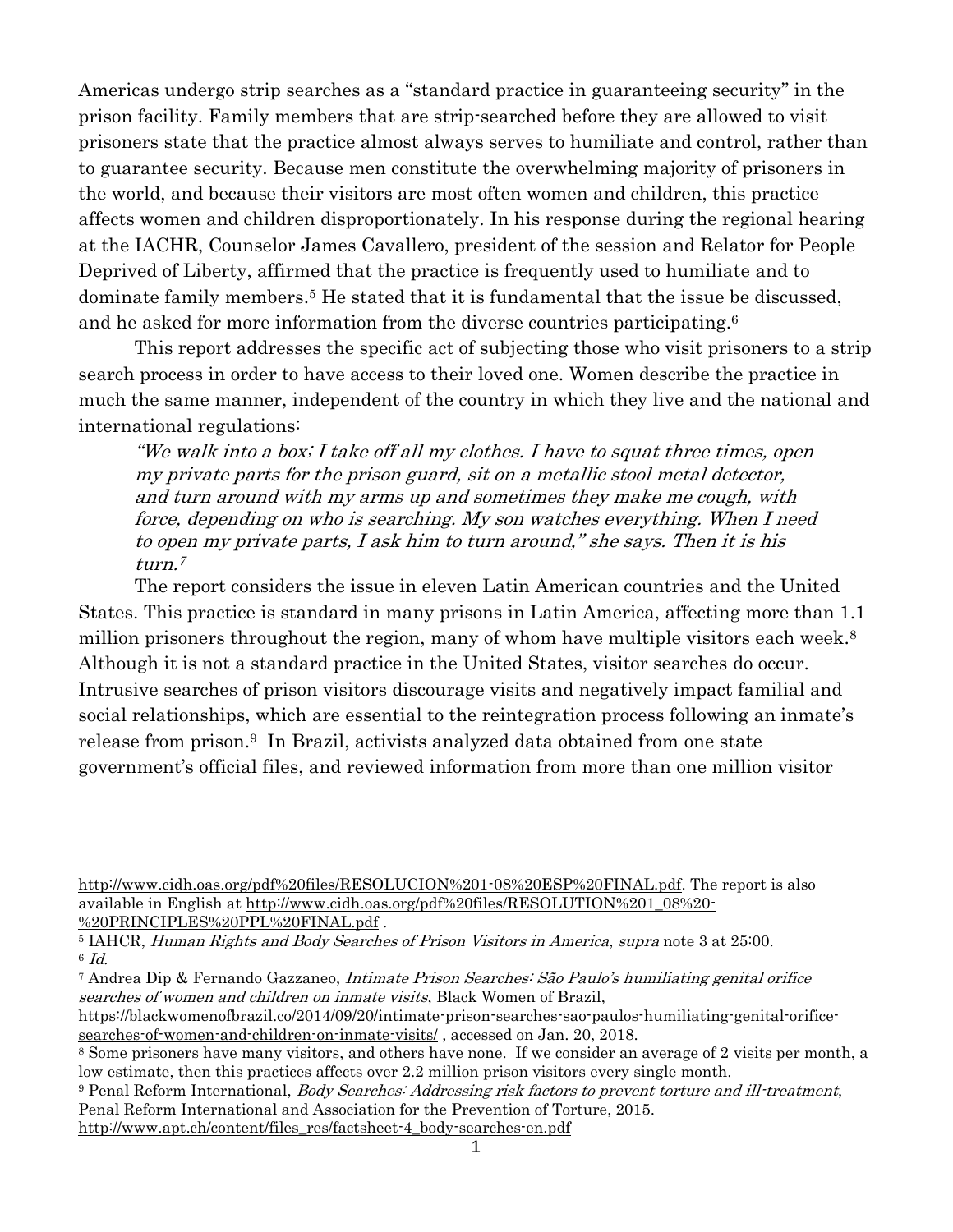Americas undergo strip searches as a "standard practice in guaranteeing security" in the prison facility. Family members that are strip-searched before they are allowed to visit prisoners state that the practice almost always serves to humiliate and control, rather than to guarantee security. Because men constitute the overwhelming majority of prisoners in the world, and because their visitors are most often women and children, this practice affects women and children disproportionately. In his response during the regional hearing at the IACHR, Counselor James Cavallero, president of the session and Relator for People Deprived of Liberty, affirmed that the practice is frequently used to humiliate and to dominate family members. <sup>5</sup> He stated that it is fundamental that the issue be discussed, and he asked for more information from the diverse countries participating.<sup>6</sup>

This report addresses the specific act of subjecting those who visit prisoners to a strip search process in order to have access to their loved one. Women describe the practice in much the same manner, independent of the country in which they live and the national and international regulations:

"We walk into a box; I take off all my clothes. I have to squat three times, open my private parts for the prison guard, sit on a metallic stool metal detector, and turn around with my arms up and sometimes they make me cough, with force, depending on who is searching. My son watches everything. When I need to open my private parts, I ask him to turn around," she says. Then it is his turn. 7

The report considers the issue in eleven Latin American countries and the United States. This practice is standard in many prisons in Latin America, affecting more than 1.1 million prisoners throughout the region, many of whom have multiple visitors each week.<sup>8</sup> Although it is not a standard practice in the United States, visitor searches do occur. Intrusive searches of prison visitors discourage visits and negatively impact familial and social relationships, which are essential to the reintegration process following an inmate's release from prison. <sup>9</sup> In Brazil, activists analyzed data obtained from one state government's official files, and reviewed information from more than one million visitor

[http://www.apt.ch/content/files\\_res/factsheet-4\\_body-searches-en.pdf](http://www.apt.ch/content/files_res/factsheet-4_body-searches-en.pdf) 

[http://www.cidh.oas.org/pdf%20files/RESOLUCION%201-08%20ESP%20FINAL.pdf.](http://www.cidh.oas.org/pdf%20files/RESOLUCION%201-08%20ESP%20FINAL.pdf) The report is also available in English at [http://www.cidh.oas.org/pdf%20files/RESOLUTION%201\\_08%20-](http://www.cidh.oas.org/pdf%20files/RESOLUTION%201_08%20-%20PRINCIPLES%20PPL%20FINAL.pdf) [%20PRINCIPLES%20PPL%20FINAL.pdf](http://www.cidh.oas.org/pdf%20files/RESOLUTION%201_08%20-%20PRINCIPLES%20PPL%20FINAL.pdf).

<sup>5</sup> IAHCR, Human Rights and Body Searches of Prison Visitors in America, supra note 3 at 25:00. 6 Id.

<sup>7</sup> Andrea Dip & Fernando Gazzaneo, Intimate Prison Searches: São Paulo's humiliating genital orifice searches of women and children on inmate visits, Black Women of Brazil,

[https://blackwomenofbrazil.co/2014/09/20/intimate-prison-searches-sao-paulos-humiliating-genital-orifice](https://blackwomenofbrazil.co/2014/09/20/intimate-prison-searches-sao-paulos-humiliating-genital-orifice-searches-of-women-and-children-on-inmate-visits/)[searches-of-women-and-children-on-inmate-visits/](https://blackwomenofbrazil.co/2014/09/20/intimate-prison-searches-sao-paulos-humiliating-genital-orifice-searches-of-women-and-children-on-inmate-visits/), accessed on Jan. 20, 2018.

<sup>8</sup> Some prisoners have many visitors, and others have none. If we consider an average of 2 visits per month, a low estimate, then this practices affects over 2.2 million prison visitors every single month.

<sup>9</sup> Penal Reform International, Body Searches: Addressing risk factors to prevent torture and ill-treatment, Penal Reform International and Association for the Prevention of Torture, 2015.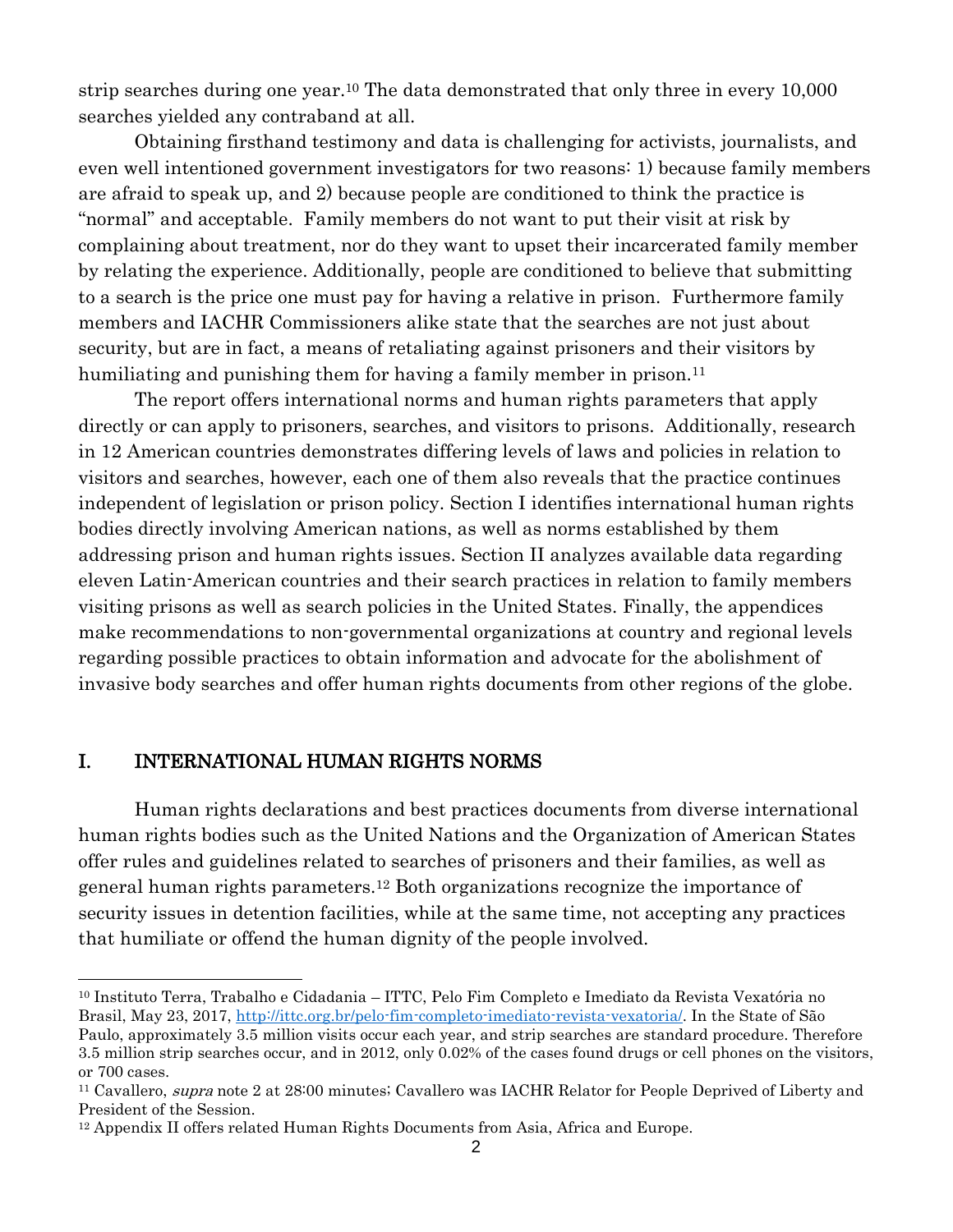strip searches during one year.<sup>10</sup> The data demonstrated that only three in every 10,000 searches yielded any contraband at all.

Obtaining firsthand testimony and data is challenging for activists, journalists, and even well intentioned government investigators for two reasons: 1) because family members are afraid to speak up, and 2) because people are conditioned to think the practice is "normal" and acceptable. Family members do not want to put their visit at risk by complaining about treatment, nor do they want to upset their incarcerated family member by relating the experience. Additionally, people are conditioned to believe that submitting to a search is the price one must pay for having a relative in prison. Furthermore family members and IACHR Commissioners alike state that the searches are not just about security, but are in fact, a means of retaliating against prisoners and their visitors by humiliating and punishing them for having a family member in prison.<sup>11</sup>

The report offers international norms and human rights parameters that apply directly or can apply to prisoners, searches, and visitors to prisons. Additionally, research in 12 American countries demonstrates differing levels of laws and policies in relation to visitors and searches, however, each one of them also reveals that the practice continues independent of legislation or prison policy. Section I identifies international human rights bodies directly involving American nations, as well as norms established by them addressing prison and human rights issues. Section II analyzes available data regarding eleven Latin-American countries and their search practices in relation to family members visiting prisons as well as search policies in the United States. Finally, the appendices make recommendations to non-governmental organizations at country and regional levels regarding possible practices to obtain information and advocate for the abolishment of invasive body searches and offer human rights documents from other regions of the globe.

#### I. INTERNATIONAL HUMAN RIGHTS NORMS

 $\overline{a}$ 

Human rights declarations and best practices documents from diverse international human rights bodies such as the United Nations and the Organization of American States offer rules and guidelines related to searches of prisoners and their families, as well as general human rights parameters.<sup>12</sup> Both organizations recognize the importance of security issues in detention facilities, while at the same time, not accepting any practices that humiliate or offend the human dignity of the people involved.

<sup>10</sup> Instituto Terra, Trabalho e Cidadania – ITTC, Pelo Fim Completo e Imediato da Revista Vexatória no Brasil, May 23, 2017, [http://ittc.org.br/pelo-fim-completo-imediato-revista-vexatoria/.](http://ittc.org.br/pelo-fim-completo-imediato-revista-vexatoria/) In the State of São Paulo, approximately 3.5 million visits occur each year, and strip searches are standard procedure. Therefore 3.5 million strip searches occur, and in 2012, only 0.02% of the cases found drugs or cell phones on the visitors, or 700 cases.

<sup>&</sup>lt;sup>11</sup> Cavallero, *supra* note 2 at 28:00 minutes; Cavallero was IACHR Relator for People Deprived of Liberty and President of the Session.

<sup>12</sup> Appendix II offers related Human Rights Documents from Asia, Africa and Europe.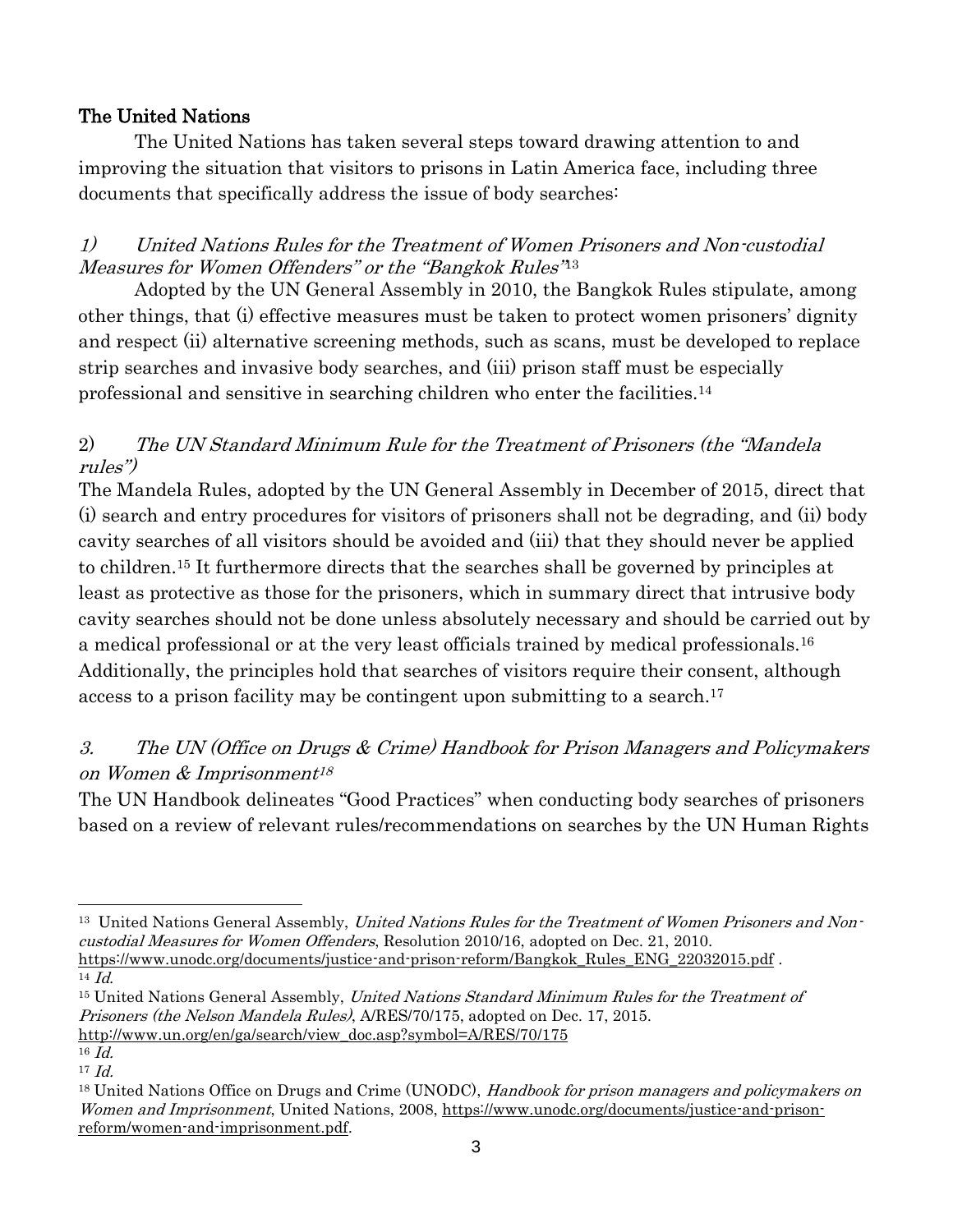## The United Nations

The United Nations has taken several steps toward drawing attention to and improving the situation that visitors to prisons in Latin America face, including three documents that specifically address the issue of body searches:

## 1) United Nations Rules for the Treatment of Women Prisoners and Non-custodial Measures for Women Offenders" or the "Bangkok Rules" 13

Adopted by the UN General Assembly in 2010, the Bangkok Rules stipulate, among other things, that (i) effective measures must be taken to protect women prisoners' dignity and respect (ii) alternative screening methods, such as scans, must be developed to replace strip searches and invasive body searches, and (iii) prison staff must be especially professional and sensitive in searching children who enter the facilities.<sup>14</sup>

## 2) The UN Standard Minimum Rule for the Treatment of Prisoners (the "Mandela rules")

The Mandela Rules, adopted by the UN General Assembly in December of 2015, direct that (i) search and entry procedures for visitors of prisoners shall not be degrading, and (ii) body cavity searches of all visitors should be avoided and (iii) that they should never be applied to children.<sup>15</sup> It furthermore directs that the searches shall be governed by principles at least as protective as those for the prisoners, which in summary direct that intrusive body cavity searches should not be done unless absolutely necessary and should be carried out by a medical professional or at the very least officials trained by medical professionals.<sup>16</sup> Additionally, the principles hold that searches of visitors require their consent, although access to a prison facility may be contingent upon submitting to a search. 17

# 3. The UN (Office on Drugs & Crime) Handbook for Prison Managers and Policymakers on Women & Imprisonment 18

The UN Handbook delineates "Good Practices" when conducting body searches of prisoners based on a review of relevant rules/recommendations on searches by the UN Human Rights

<sup>15</sup> United Nations General Assembly, *United Nations Standard Minimum Rules for the Treatment of* Prisoners (the Nelson Mandela Rules), A/RES/70/175, adopted on Dec. 17, 2015.

 $\overline{a}$ <sup>13</sup> United Nations General Assembly, *United Nations Rules for the Treatment of Women Prisoners and Non*custodial Measures for Women Offenders, Resolution 2010/16, adopted on Dec. 21, 2010. [https://www.unodc.org/documents/justice-and-prison-reform/Bangkok\\_Rules\\_ENG\\_22032015.pdf](https://www.unodc.org/documents/justice-and-prison-reform/Bangkok_Rules_ENG_22032015.pdf) .  $14$  *Id.* 

[http://www.un.org/en/ga/search/view\\_doc.asp?symbol=A/RES/70/175](http://www.un.org/en/ga/search/view_doc.asp?symbol=A/RES/70/175)

<sup>16</sup> Id.

 $17$  *Id.* 

<sup>&</sup>lt;sup>18</sup> United Nations Office on Drugs and Crime (UNODC), Handbook for prison managers and policymakers on Women and Imprisonment, United Nations, 2008, [https://www.unodc.org/documents/justice-and-prison](https://www.unodc.org/documents/justice-and-prison-reform/women-and-imprisonment.pdf)[reform/women-and-imprisonment.pdf.](https://www.unodc.org/documents/justice-and-prison-reform/women-and-imprisonment.pdf)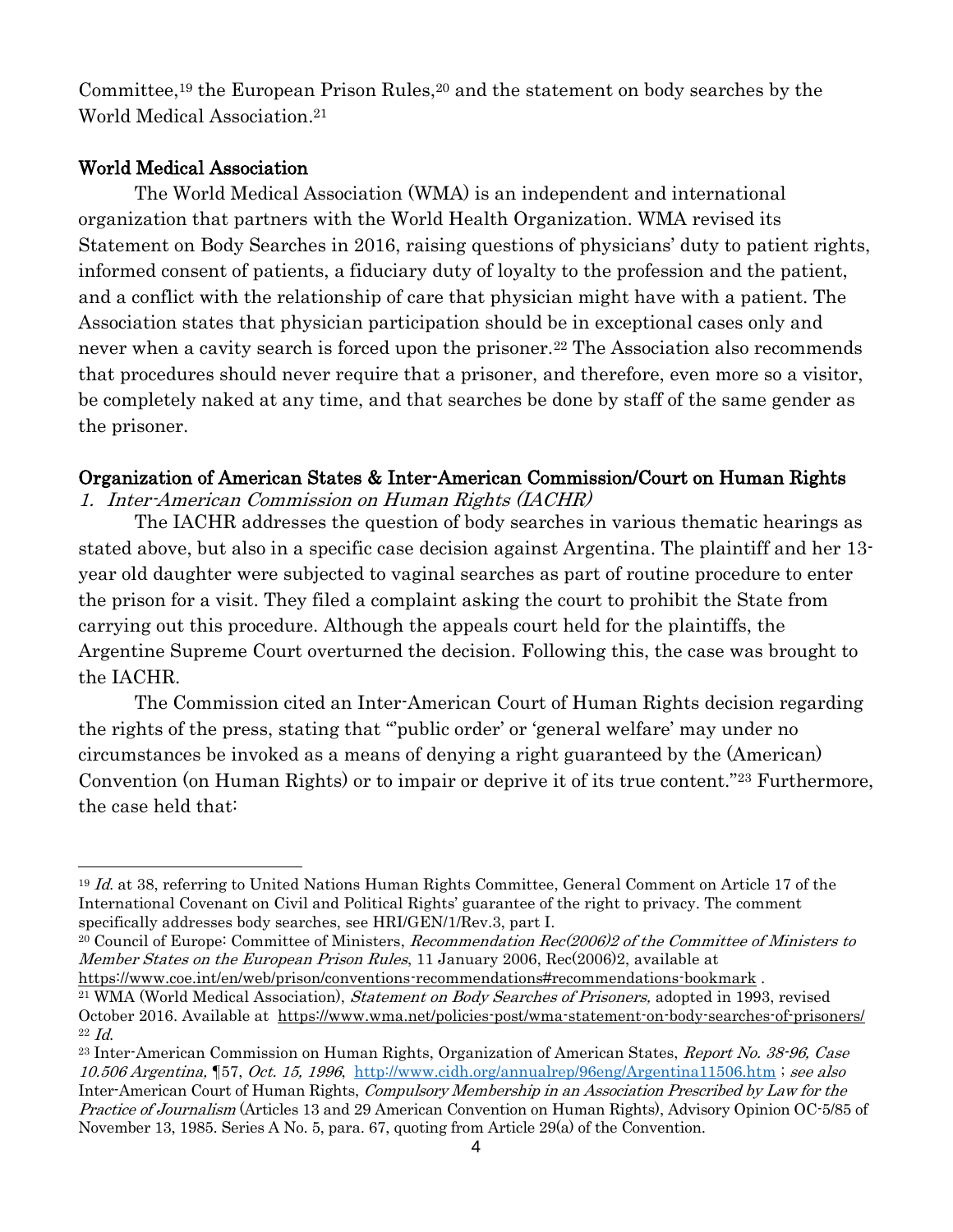Committee, <sup>19</sup> the European Prison Rules, <sup>20</sup> and the statement on body searches by the World Medical Association. 21

## World Medical Association

The World Medical Association (WMA) is an independent and international organization that partners with the World Health Organization. WMA revised its Statement on Body Searches in 2016, raising questions of physicians' duty to patient rights, informed consent of patients, a fiduciary duty of loyalty to the profession and the patient, and a conflict with the relationship of care that physician might have with a patient. The Association states that physician participation should be in exceptional cases only and never when a cavity search is forced upon the prisoner.<sup>22</sup> The Association also recommends that procedures should never require that a prisoner, and therefore, even more so a visitor, be completely naked at any time, and that searches be done by staff of the same gender as the prisoner.

## Organization of American States & Inter-American Commission/Court on Human Rights

1. Inter-American Commission on Human Rights (IACHR)

The IACHR addresses the question of body searches in various thematic hearings as stated above, but also in a specific case decision against Argentina. The plaintiff and her 13 year old daughter were subjected to vaginal searches as part of routine procedure to enter the prison for a visit. They filed a complaint asking the court to prohibit the State from carrying out this procedure. Although the appeals court held for the plaintiffs, the Argentine Supreme Court overturned the decision. Following this, the case was brought to the IACHR.

The Commission cited an Inter-American Court of Human Rights decision regarding the rights of the press, stating that "'public order' or 'general welfare' may under no circumstances be invoked as a means of denying a right guaranteed by the (American) Convention (on Human Rights) or to impair or deprive it of its true content."<sup>23</sup> Furthermore, the case held that:

<sup>&</sup>lt;sup>19</sup> Id. at 38, referring to United Nations Human Rights Committee, General Comment on Article 17 of the International Covenant on Civil and Political Rights' guarantee of the right to privacy. The comment specifically addresses body searches, see HRI/GEN/1/Rev.3, part I.

<sup>20</sup> Council of Europe: Committee of Ministers, Recommendation Rec(2006)2 of the Committee of Ministers to Member States on the European Prison Rules, 11 January 2006, Rec(2006)2, available at

<https://www.coe.int/en/web/prison/conventions-recommendations#recommendations-bookmark> . <sup>21</sup> WMA (World Medical Association), *Statement on Body Searches of Prisoners*, adopted in 1993, revised

October 2016. Available at <https://www.wma.net/policies-post/wma-statement-on-body-searches-of-prisoners/>  $22$  *Id.* 

<sup>&</sup>lt;sup>23</sup> Inter-American Commission on Human Rights, Organization of American States, Report No. 38-96, Case 10.506 Argentina, ¶57, Oct. 15, 1996, <http://www.cidh.org/annualrep/96eng/Argentina11506.htm> ; see also Inter-American Court of Human Rights, Compulsory Membership in an Association Prescribed by Law for the Practice of Journalism (Articles 13 and 29 American Convention on Human Rights), Advisory Opinion OC-5/85 of November 13, 1985. Series A No. 5, para. 67, quoting from Article 29(a) of the Convention.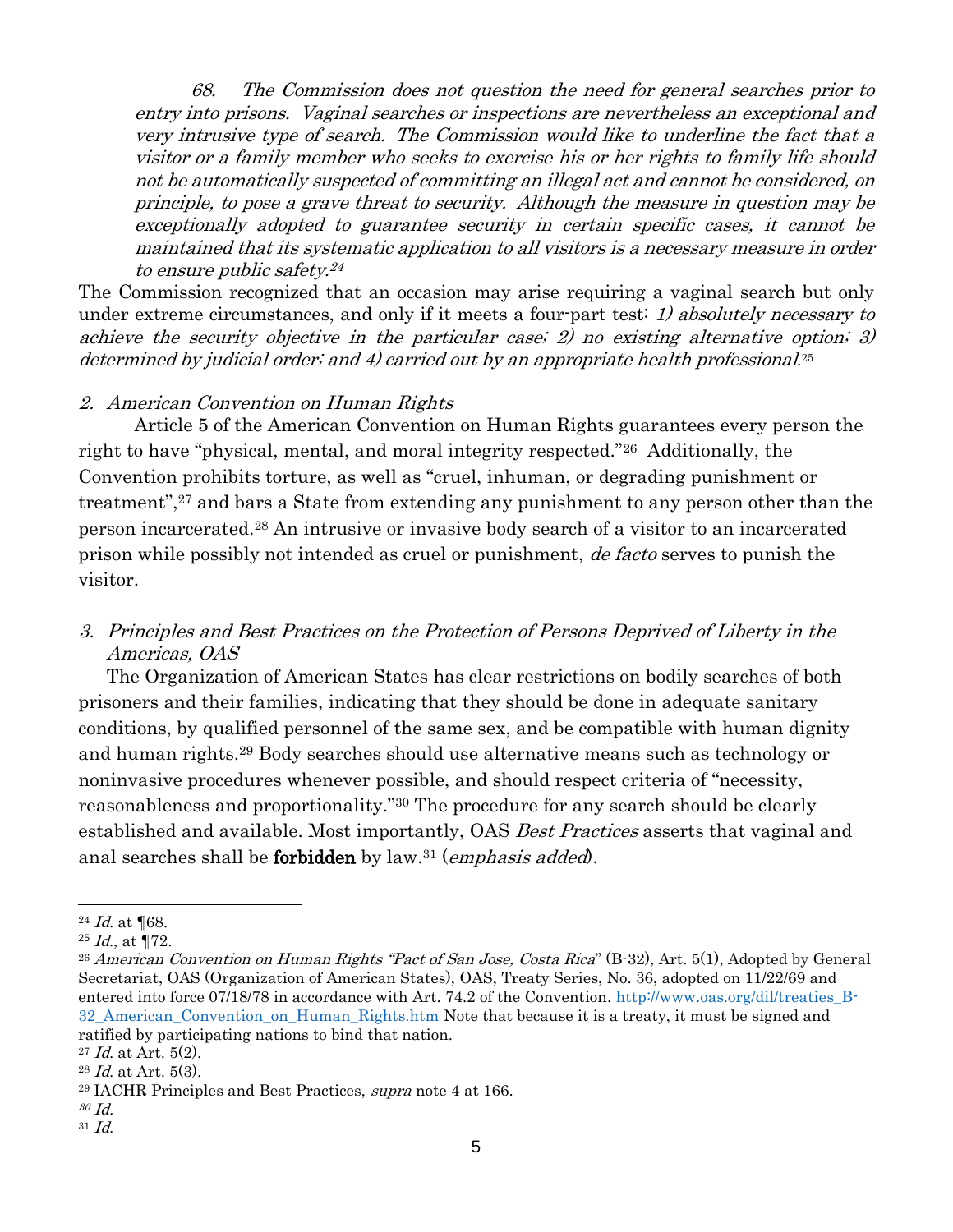68. The Commission does not question the need for general searches prior to entry into prisons. Vaginal searches or inspections are nevertheless an exceptional and very intrusive type of search. The Commission would like to underline the fact that a visitor or a family member who seeks to exercise his or her rights to family life should not be automatically suspected of committing an illegal act and cannot be considered, on principle, to pose a grave threat to security. Although the measure in question may be exceptionally adopted to guarantee security in certain specific cases, it cannot be maintained that its systematic application to all visitors is a necessary measure in order to ensure public safety. 24

The Commission recognized that an occasion may arise requiring a vaginal search but only under extreme circumstances, and only if it meets a four-part test: 1) absolutely necessary to achieve the security objective in the particular case; 2) no existing alternative option; 3) determined by judicial order; and 4) carried out by an appropriate health professional. 25

#### 2. American Convention on Human Rights

Article 5 of the American Convention on Human Rights guarantees every person the right to have "physical, mental, and moral integrity respected."26 Additionally, the Convention prohibits torture, as well as "cruel, inhuman, or degrading punishment or treatment",<sup>27</sup> and bars a State from extending any punishment to any person other than the person incarcerated.<sup>28</sup> An intrusive or invasive body search of a visitor to an incarcerated prison while possibly not intended as cruel or punishment, de facto serves to punish the visitor.

## 3. Principles and Best Practices on the Protection of Persons Deprived of Liberty in the Americas, OAS

The Organization of American States has clear restrictions on bodily searches of both prisoners and their families, indicating that they should be done in adequate sanitary conditions, by qualified personnel of the same sex, and be compatible with human dignity and human rights.<sup>29</sup> Body searches should use alternative means such as technology or noninvasive procedures whenever possible, and should respect criteria of "necessity, reasonableness and proportionality."<sup>30</sup> The procedure for any search should be clearly established and available. Most importantly, OAS Best Practices asserts that vaginal and anal searches shall be **forbidden** by law.<sup>31</sup> (*emphasis added*).

 $\overline{a}$ 

<sup>24</sup> Id. at ¶68.

 $25$  *Id.*, at  $\P$ 72.

<sup>&</sup>lt;sup>26</sup> American Convention on Human Rights "Pact of San Jose, Costa Rica" (B-32), Art. 5(1), Adopted by General Secretariat, OAS (Organization of American States), OAS, Treaty Series, No. 36, adopted on 11/22/69 and entered into force 07/18/78 in accordance with Art. 74.2 of the Convention. [http://www.oas.org/dil/treaties\\_B-](http://www.oas.org/dil/treaties_B-32_American_Convention_on_Human_Rights.htm)[32\\_American\\_Convention\\_on\\_Human\\_Rights.htm](http://www.oas.org/dil/treaties_B-32_American_Convention_on_Human_Rights.htm) Note that because it is a treaty, it must be signed and ratified by participating nations to bind that nation.

 $27$  *Id.* at Art. 5(2).

 $28$  *Id.* at Art. 5(3).

<sup>29</sup> IACHR Principles and Best Practices, supra note 4 at 166.

<sup>30</sup> Id.

<sup>31</sup> Id.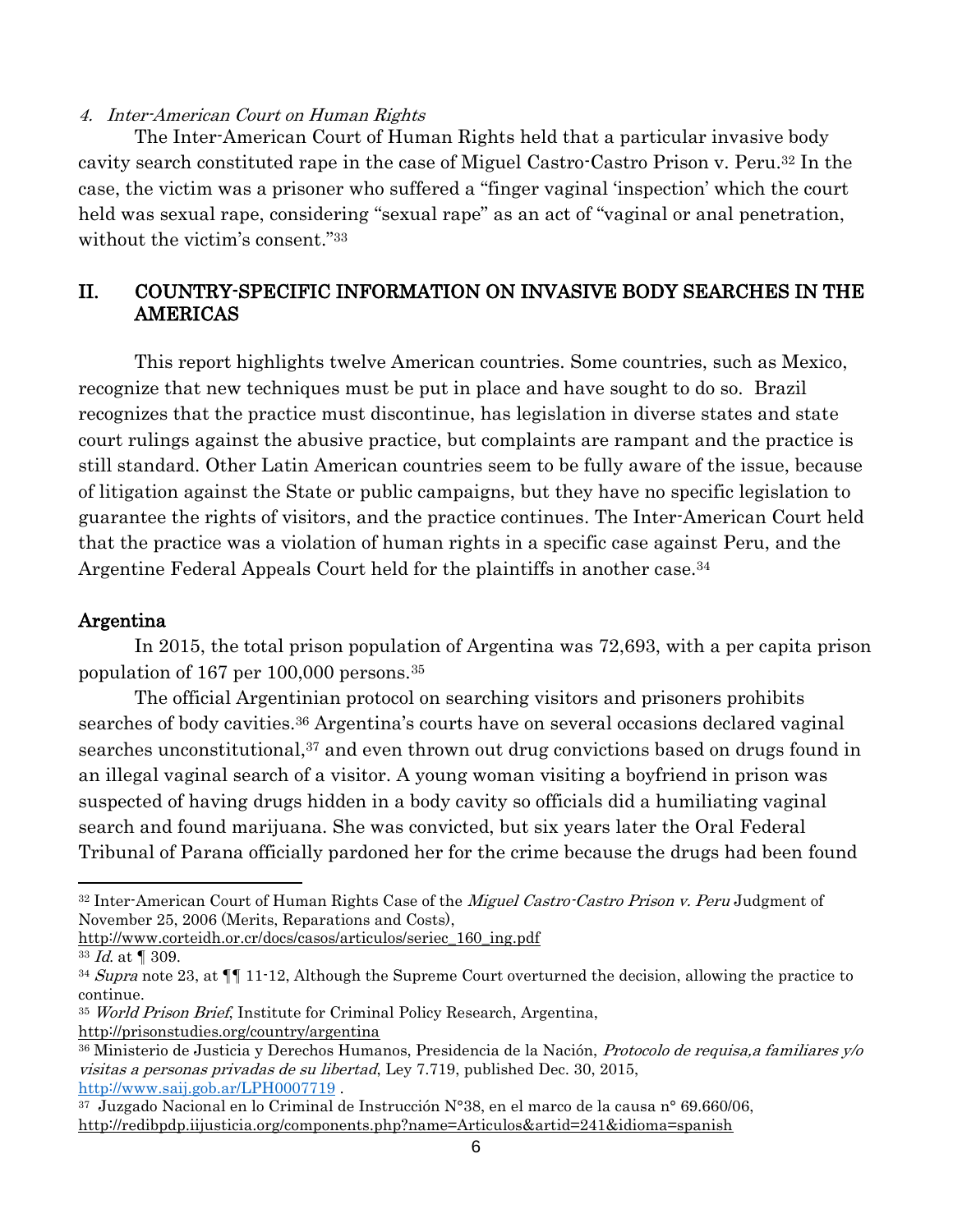#### 4. Inter-American Court on Human Rights

The Inter-American Court of Human Rights held that a particular invasive body cavity search constituted rape in the case of Miguel Castro-Castro Prison v. Peru. <sup>32</sup> In the case, the victim was a prisoner who suffered a "finger vaginal 'inspection' which the court held was sexual rape, considering "sexual rape" as an act of "vaginal or anal penetration, without the victim's consent."<sup>33</sup>

## II. COUNTRY-SPECIFIC INFORMATION ON INVASIVE BODY SEARCHES IN THE AMERICAS

This report highlights twelve American countries. Some countries, such as Mexico, recognize that new techniques must be put in place and have sought to do so. Brazil recognizes that the practice must discontinue, has legislation in diverse states and state court rulings against the abusive practice, but complaints are rampant and the practice is still standard. Other Latin American countries seem to be fully aware of the issue, because of litigation against the State or public campaigns, but they have no specific legislation to guarantee the rights of visitors, and the practice continues. The Inter-American Court held that the practice was a violation of human rights in a specific case against Peru, and the Argentine Federal Appeals Court held for the plaintiffs in another case.<sup>34</sup>

#### Argentina

In 2015, the total prison population of Argentina was 72,693, with a per capita prison population of 167 per 100,000 persons.<sup>35</sup>

The official Argentinian protocol on searching visitors and prisoners prohibits searches of body cavities.<sup>36</sup> Argentina's courts have on several occasions declared vaginal searches unconstitutional,<sup>37</sup> and even thrown out drug convictions based on drugs found in an illegal vaginal search of a visitor. A young woman visiting a boyfriend in prison was suspected of having drugs hidden in a body cavity so officials did a humiliating vaginal search and found marijuana. She was convicted, but six years later the Oral Federal Tribunal of Parana officially pardoned her for the crime because the drugs had been found

[http://www.corteidh.or.cr/docs/casos/articulos/seriec\\_160\\_ing.pdf](http://www.corteidh.or.cr/docs/casos/articulos/seriec_160_ing.pdf)

 $\overline{a}$ 

<sup>32</sup> Inter-American Court of Human Rights Case of the *Miguel Castro-Castro Prison v. Peru* Judgment of November 25, 2006 (Merits, Reparations and Costs),

 $33$  *Id.* at  $\P$  309.

 $34$  Supra note 23, at  $\P$  11-12, Although the Supreme Court overturned the decision, allowing the practice to continue.

<sup>35</sup> World Prison Brief, Institute for Criminal Policy Research, Argentina,

<http://prisonstudies.org/country/argentina>

<sup>36</sup> Ministerio de Justicia y Derechos Humanos, Presidencia de la Nación, Protocolo de requisa,a familiares y/o visitas a personas privadas de su libertad, Ley 7.719, published Dec. 30, 2015, <http://www.saij.gob.ar/LPH0007719> .

 $37$  Juzgado Nacional en lo Criminal de Instrucción N°38, en el marco de la causa n° 69.660/06, <http://redibpdp.iijusticia.org/components.php?name=Articulos&artid=241&idioma=spanish>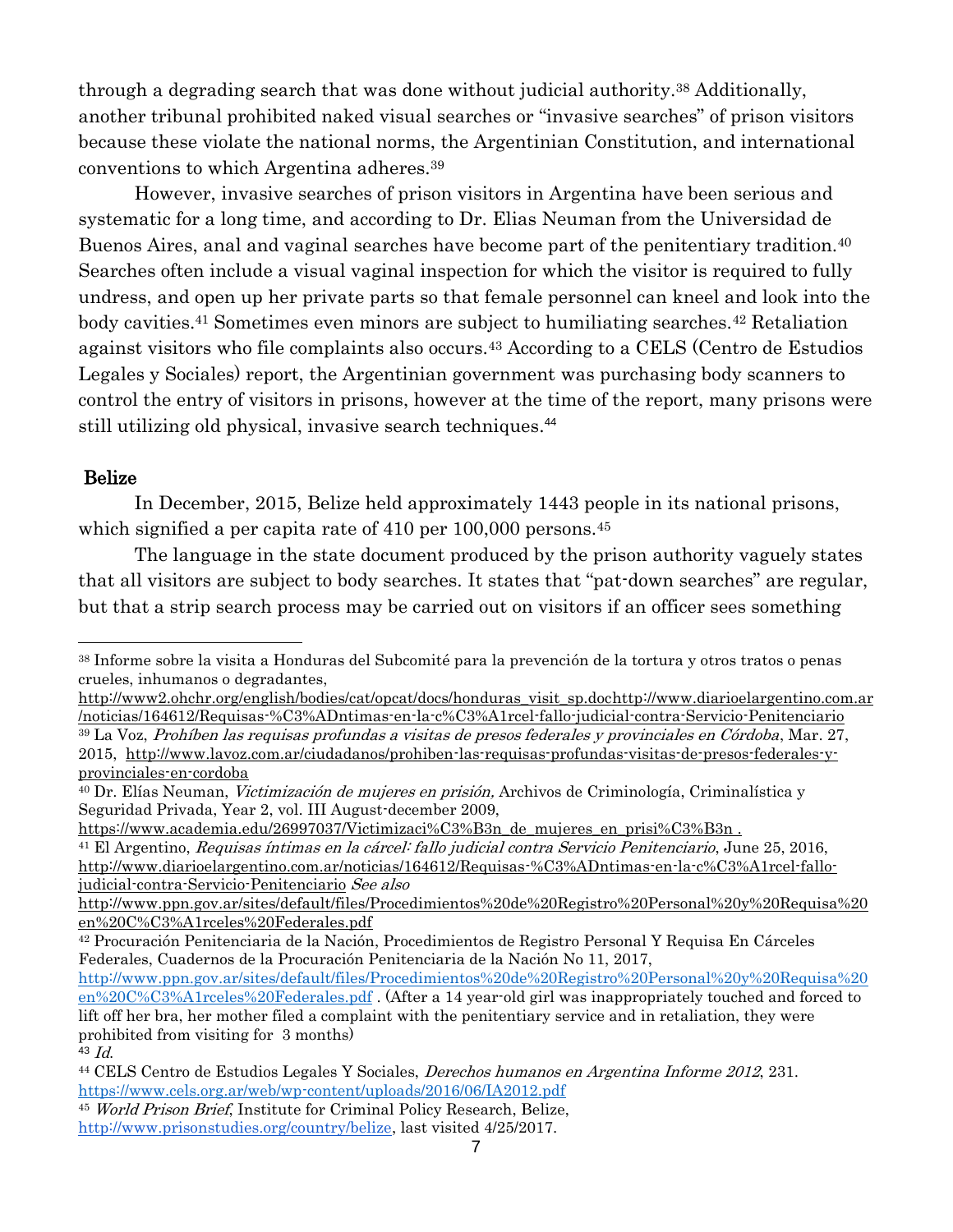through a degrading search that was done without judicial authority.<sup>38</sup> Additionally, another tribunal prohibited naked visual searches or "invasive searches" of prison visitors because these violate the national norms, the Argentinian Constitution, and international conventions to which Argentina adheres.<sup>39</sup>

However, invasive searches of prison visitors in Argentina have been serious and systematic for a long time, and according to Dr. Elias Neuman from the Universidad de Buenos Aires, anal and vaginal searches have become part of the penitentiary tradition.<sup>40</sup> Searches often include a visual vaginal inspection for which the visitor is required to fully undress, and open up her private parts so that female personnel can kneel and look into the body cavities.<sup>41</sup> Sometimes even minors are subject to humiliating searches.<sup>42</sup> Retaliation against visitors who file complaints also occurs.<sup>43</sup> According to a CELS (Centro de Estudios Legales y Sociales) report, the Argentinian government was purchasing body scanners to control the entry of visitors in prisons, however at the time of the report, many prisons were still utilizing old physical, invasive search techniques.<sup>44</sup>

#### Belize

 $\overline{a}$ 

In December, 2015, Belize held approximately 1443 people in its national prisons, which signified a per capita rate of 410 per 100,000 persons.<sup>45</sup>

The language in the state document produced by the prison authority vaguely states that all visitors are subject to body searches. It states that "pat-down searches" are regular, but that a strip search process may be carried out on visitors if an officer sees something

[https://www.academia.edu/26997037/Victimizaci%C3%B3n\\_de\\_mujeres\\_en\\_prisi%C3%B3n](https://www.academia.edu/26997037/Victimizaci%C3%B3n_de_mujeres_en_prisi%C3%B3n).

<sup>41</sup> El Argentino, Requisas íntimas en la cárcel: fallo judicial contra Servicio Penitenciario, June 25, 2016, [http://www.diarioelargentino.com.ar/noticias/164612/Requisas-%C3%ADntimas-en-la-c%C3%A1rcel-fallo](http://www.diarioelargentino.com.ar/noticias/164612/Requisas-%C3%ADntimas-en-la-c%C3%A1rcel-fallo-judicial-contra-Servicio-Penitenciario)[judicial-contra-Servicio-Penitenciario](http://www.diarioelargentino.com.ar/noticias/164612/Requisas-%C3%ADntimas-en-la-c%C3%A1rcel-fallo-judicial-contra-Servicio-Penitenciario) See als[o](http://www.ppn.gov.ar/sites/default/files/Procedimientos%20de%20Registro%20Personal%20y%20Requisa%20en%20C%C3%A1rceles%20Federales.pdf)

<sup>42</sup> Procuración Penitenciaria de la Nación, Procedimientos de Registro Personal Y Requisa En Cárceles Federales, Cuadernos de la Procuración Penitenciaria de la Nación No 11, 2017,

<sup>45</sup> World Prison Brief, Institute for Criminal Policy Research, Belize[,](http://www.prisonstudies.org/country/belize) [http://www.prisonstudies.org/country/belize,](http://www.prisonstudies.org/country/belize) last visited 4/25/2017.

<sup>38</sup> Informe sobre la visita a Honduras del Subcomité para la prevención de la tortura y otros tratos o penas crueles, inhumanos o degradantes[,](http://www2.ohchr.org/english/bodies/cat/opcat/docs/honduras_visit_sp.doc)

[http://www2.ohchr.org/english/bodies/cat/opcat/docs/honduras\\_visit\\_sp.doc](http://www2.ohchr.org/english/bodies/cat/opcat/docs/honduras_visit_sp.doc)[http://www.diarioelargentino.com.ar](http://www.diarioelargentino.com.ar/noticias/164612/Requisas-%C3%ADntimas-en-la-c%C3%A1rcel-fallo-judicial-contra-Servicio-Penitenciario) [/noticias/164612/Requisas-%C3%ADntimas-en-la-c%C3%A1rcel-fallo-judicial-contra-Servicio-Penitenciario](http://www.diarioelargentino.com.ar/noticias/164612/Requisas-%C3%ADntimas-en-la-c%C3%A1rcel-fallo-judicial-contra-Servicio-Penitenciario)

<sup>39</sup> La Voz, Prohíben las requisas profundas a visitas de presos federales y provinciales en Córdoba, Mar. 27, 2015, [http://www.lavoz.com.ar/ciudadanos/prohiben-las-requisas-profundas-visitas-de-presos-federales-y](http://www.lavoz.com.ar/ciudadanos/prohiben-las-requisas-profundas-visitas-de-presos-federales-y-provinciales-en-cordoba)[provinciales-en-cordoba](http://www.lavoz.com.ar/ciudadanos/prohiben-las-requisas-profundas-visitas-de-presos-federales-y-provinciales-en-cordoba) 

<sup>&</sup>lt;sup>40</sup> Dr. Elías Neuman, *Victimización de mujeres en prisión*, Archivos de Criminología, Criminalística y Seguridad Privada, Year 2, vol. III August-december 2009[,](https://www.academia.edu/26997037/Victimizaci%C3%B3n_de_mujeres_en_prisi%C3%B3n)

[http://www.ppn.gov.ar/sites/default/files/Procedimientos%20de%20Registro%20Personal%20y%20Requisa%20](http://www.ppn.gov.ar/sites/default/files/Procedimientos%20de%20Registro%20Personal%20y%20Requisa%20en%20C%C3%A1rceles%20Federales.pdf) [en%20C%C3%A1rceles%20Federales.pdf](http://www.ppn.gov.ar/sites/default/files/Procedimientos%20de%20Registro%20Personal%20y%20Requisa%20en%20C%C3%A1rceles%20Federales.pdf)

[http://www.ppn.gov.ar/sites/default/files/Procedimientos%20de%20Registro%20Personal%20y%20Requisa%20](http://www.ppn.gov.ar/sites/default/files/Procedimientos%20de%20Registro%20Personal%20y%20Requisa%20en%20C%C3%A1rceles%20Federales.pdf) [en%20C%C3%A1rceles%20Federales.pdf](http://www.ppn.gov.ar/sites/default/files/Procedimientos%20de%20Registro%20Personal%20y%20Requisa%20en%20C%C3%A1rceles%20Federales.pdf) . (After a 14 year-old girl was inappropriately touched and forced to lift off her bra, her mother filed a complaint with the penitentiary service and in retaliation, they were prohibited from visiting for 3 months)

<sup>43</sup> Id.

<sup>44</sup> CELS Centro de Estudios Legales Y Sociales, Derechos humanos en Argentina Informe 2012, 231. <https://www.cels.org.ar/web/wp-content/uploads/2016/06/IA2012.pdf>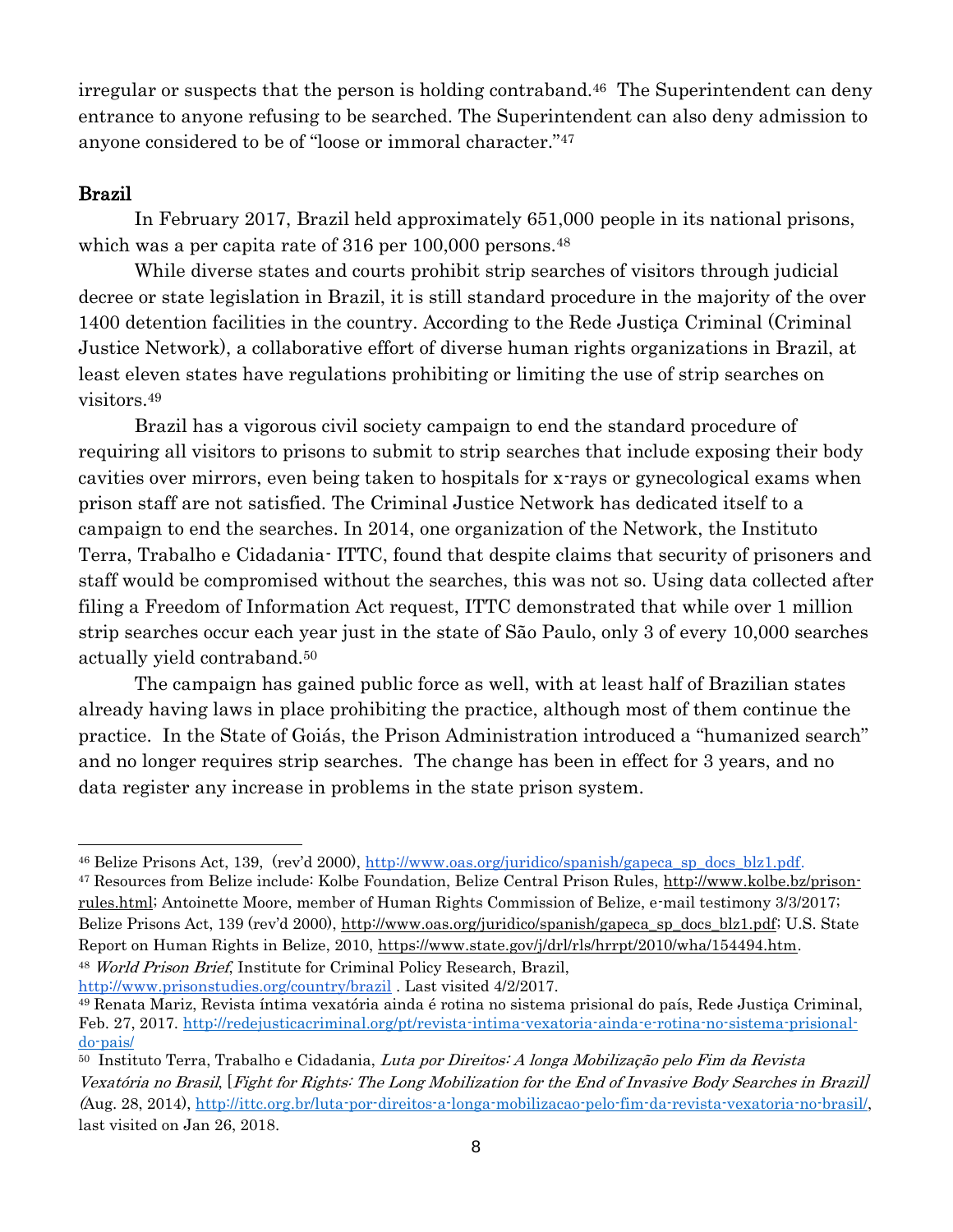irregular or suspects that the person is holding contraband.<sup>46</sup> The Superintendent can deny entrance to anyone refusing to be searched. The Superintendent can also deny admission to anyone considered to be of "loose or immoral character."<sup>47</sup>

## Brazil

In February 2017, Brazil held approximately 651,000 people in its national prisons, which was a per capita rate of 316 per 100,000 persons.<sup>48</sup>

While diverse states and courts prohibit strip searches of visitors through judicial decree or state legislation in Brazil, it is still standard procedure in the majority of the over 1400 detention facilities in the country. According to the Rede Justiça Criminal (Criminal Justice Network), a collaborative effort of diverse human rights organizations in Brazil, at least eleven states have regulations prohibiting or limiting the use of strip searches on visitors.<sup>49</sup>

Brazil has a vigorous civil society campaign to end the standard procedure of requiring all visitors to prisons to submit to strip searches that include exposing their body cavities over mirrors, even being taken to hospitals for x-rays or gynecological exams when prison staff are not satisfied. The Criminal Justice Network has dedicated itself to a campaign to end the searches. In 2014, one organization of the Network, the Instituto Terra, Trabalho e Cidadania- ITTC, found that despite claims that security of prisoners and staff would be compromised without the searches, this was not so. Using data collected after filing a Freedom of Information Act request, ITTC demonstrated that while over 1 million strip searches occur each year just in the state of São Paulo, only 3 of every 10,000 searches actually yield contraband.<sup>50</sup>

The campaign has gained public force as well, with at least half of Brazilian states already having laws in place prohibiting the practice, although most of them continue the practice. In the State of Goiás, the Prison Administration introduced a "humanized search" and no longer requires strip searches. The change has been in effect for 3 years, and no data register any increase in problems in the state prison system.

<http://www.prisonstudies.org/country/brazil> . Last visited 4/2/2017.

<sup>46</sup> Belize Prisons Act, 139, (rev'd 2000), [http://www.oas.org/juridico/spanish/gapeca\\_sp\\_docs\\_blz1.pdf.](http://www.oas.org/juridico/spanish/gapeca_sp_docs_blz1.pdf)

<sup>47</sup> Resources from Belize include: Kolbe Foundation, Belize Central Prison Rules, [http://www.kolbe.bz/prison](http://www.kolbe.bz/prison-rules.html)[rules.html;](http://www.kolbe.bz/prison-rules.html) Antoinette Moore, member of Human Rights Commission of Belize, e-mail testimony 3/3/2017; Belize Prisons Act, 139 (rev'd 2000), [http://www.oas.org/juridico/spanish/gapeca\\_sp\\_docs\\_blz1.pdf;](http://www.oas.org/juridico/spanish/gapeca_sp_docs_blz1.pdf) U.S. State Report on Human Rights in Belize, 2010, [https://www.state.gov/j/drl/rls/hrrpt/2010/wha/154494.htm.](https://www.state.gov/j/drl/rls/hrrpt/2010/wha/154494.htm) <sup>48</sup> World Prison Brief, Institute for Criminal Policy Research, Brazil[,](http://www.prisonstudies.org/country/brazil)

<sup>49</sup> Renata Mariz, Revista íntima vexatória ainda é rotina no sistema prisional do país, Rede Justiça Criminal, Feb. 27, 2017. [http://redejusticacriminal.org/pt/revista-intima-vexatoria-ainda-e-rotina-no-sistema-prisional](http://redejusticacriminal.org/pt/revista-intima-vexatoria-ainda-e-rotina-no-sistema-prisional-do-pais/)[do-pais/](http://redejusticacriminal.org/pt/revista-intima-vexatoria-ainda-e-rotina-no-sistema-prisional-do-pais/)

<sup>&</sup>lt;sup>50</sup> Instituto Terra, Trabalho e Cidadania, Luta por Direitos: A longa Mobilização pelo Fim da Revista Vexatória no Brasil, [Fight for Rights: The Long Mobilization for the End of Invasive Body Searches in Brazil] (Aug. 28, 2014), [http://ittc.org.br/luta-por-direitos-a-longa-mobilizacao-pelo-fim-da-revista-vexatoria-no-brasil/,](http://ittc.org.br/luta-por-direitos-a-longa-mobilizacao-pelo-fim-da-revista-vexatoria-no-brasil/) last visited on Jan 26, 2018.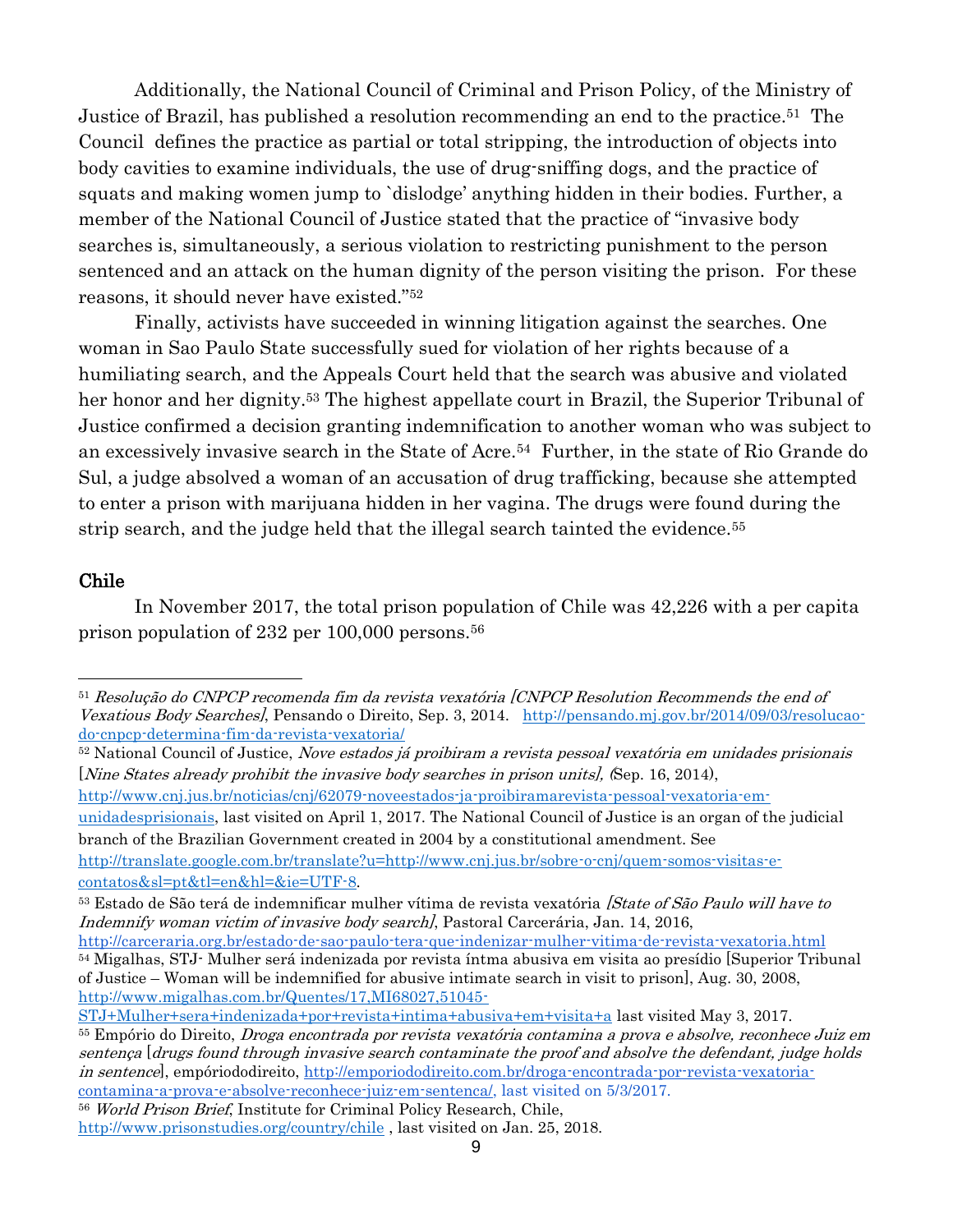Additionally, the National Council of Criminal and Prison Policy, of the Ministry of Justice of Brazil, has published a resolution recommending an end to the practice. <sup>51</sup> The Council defines the practice as partial or total stripping, the introduction of objects into body cavities to examine individuals, the use of drug-sniffing dogs, and the practice of squats and making women jump to `dislodge' anything hidden in their bodies. Further, a member of the National Council of Justice stated that the practice of "invasive body searches is, simultaneously, a serious violation to restricting punishment to the person sentenced and an attack on the human dignity of the person visiting the prison. For these reasons, it should never have existed."<sup>52</sup>

Finally, activists have succeeded in winning litigation against the searches. One woman in Sao Paulo State successfully sued for violation of her rights because of a humiliating search, and the Appeals Court held that the search was abusive and violated her honor and her dignity.<sup>53</sup> The highest appellate court in Brazil, the Superior Tribunal of Justice confirmed a decision granting indemnification to another woman who was subject to an excessively invasive search in the State of Acre.54 Further, in the state of Rio Grande do Sul, a judge absolved a woman of an accusation of drug trafficking, because she attempted to enter a prison with marijuana hidden in her vagina. The drugs were found during the strip search, and the judge held that the illegal search tainted the evidence.<sup>55</sup>

#### Chile

In November 2017, the total prison population of Chile was 42,226 with a per capita prison population of 232 per 100,000 persons.<sup>56</sup>

52 National Council of Justice, Nove estados já proibiram a revista pessoal vexatória em unidades prisionais [Nine States already prohibit the invasive body searches in prison units], (Sep. 16, 2014),

[http://www.cnj.jus.br/noticias/cnj/62079-noveestados-ja-proibiramarevista-pessoal-vexatoria-em-](http://www.cnj.jus.br/noticias/cnj/62079-noveestados-ja-proibiramarevista-pessoal-vexatoria-em-unidadesprisionais)

[unidadesprisionais,](http://www.cnj.jus.br/noticias/cnj/62079-noveestados-ja-proibiramarevista-pessoal-vexatoria-em-unidadesprisionais) last visited on April 1, 2017. The National Council of Justice is an organ of the judicial branch of the Brazilian Government created in 2004 by a constitutional amendment. See [http://translate.google.com.br/translate?u=http://www.cnj.jus.br/sobre-o-cnj/quem-somos-visitas-e-](http://translate.google.com.br/translate?u=http://www.cnj.jus.br/sobre-o-cnj/quem-somos-visitas-e-contatos&sl=pt&tl=en&hl=&ie=UTF-8)

[contatos&sl=pt&tl=en&hl=&ie=UTF-8.](http://translate.google.com.br/translate?u=http://www.cnj.jus.br/sobre-o-cnj/quem-somos-visitas-e-contatos&sl=pt&tl=en&hl=&ie=UTF-8)

<sup>51</sup> Resolução do CNPCP recomenda fim da revista vexatória [CNPCP Resolution Recommends the end of Vexatious Body Searches], Pensando o Direito, Sep. 3, 2014. [http://pensando.mj.gov.br/2014/09/03/resolucao](http://pensando.mj.gov.br/2014/09/03/resolucao-do-cnpcp-determina-fim-da-revista-vexatoria/)[do-cnpcp-determina-fim-da-revista-vexatoria/](http://pensando.mj.gov.br/2014/09/03/resolucao-do-cnpcp-determina-fim-da-revista-vexatoria/)

<sup>&</sup>lt;sup>53</sup> Estado de São terá de indemnificar mulher vítima de revista vexatória *[State of São Paulo will have to* Indemnifywoman victim of invasive body search, Pastoral Carcerária, Jan. 14, 2016,

<http://carceraria.org.br/estado-de-sao-paulo-tera-que-indenizar-mulher-vitima-de-revista-vexatoria.html> <sup>54</sup> Migalhas, STJ- Mulher será indenizada por revista íntma abusiva em visita ao presídio [Superior Tribunal of Justice – Woman will be indemnified for abusive intimate search in visit to prison], Aug. 30, 2008, [http://www.migalhas.com.br/Quentes/17,MI68027,51045-](http://www.migalhas.com.br/Quentes/17,MI68027,51045-STJ+Mulher+sera+indenizada+por+revista+intima+abusiva+em+visita+a)

[STJ+Mulher+sera+indenizada+por+revista+intima+abusiva+em+visita+a](http://www.migalhas.com.br/Quentes/17,MI68027,51045-STJ+Mulher+sera+indenizada+por+revista+intima+abusiva+em+visita+a) last visited May 3, 2017.

<sup>55</sup> Empório do Direito, Droga encontrada por revista vexatória contamina a prova e absolve, reconhece Juiz em sentença [drugs found through invasive search contaminate the proof and absolve the defendant, judge holds in sentence], empóriododireito, [http://emporiododireito.com.br/droga-encontrada-por-revista-vexatoria](http://emporiododireito.com.br/droga-encontrada-por-revista-vexatoria-contamina-a-prova-e-absolve-reconhece-juiz-em-sentenca/)[contamina-a-prova-e-absolve-reconhece-juiz-em-sentenca/,](http://emporiododireito.com.br/droga-encontrada-por-revista-vexatoria-contamina-a-prova-e-absolve-reconhece-juiz-em-sentenca/) last visited on 5/3/2017.

<sup>56</sup> World Prison Brief, Institute for Criminal Policy Research, Chile,

<http://www.prisonstudies.org/country/chile> , last visited on Jan. 25, 2018.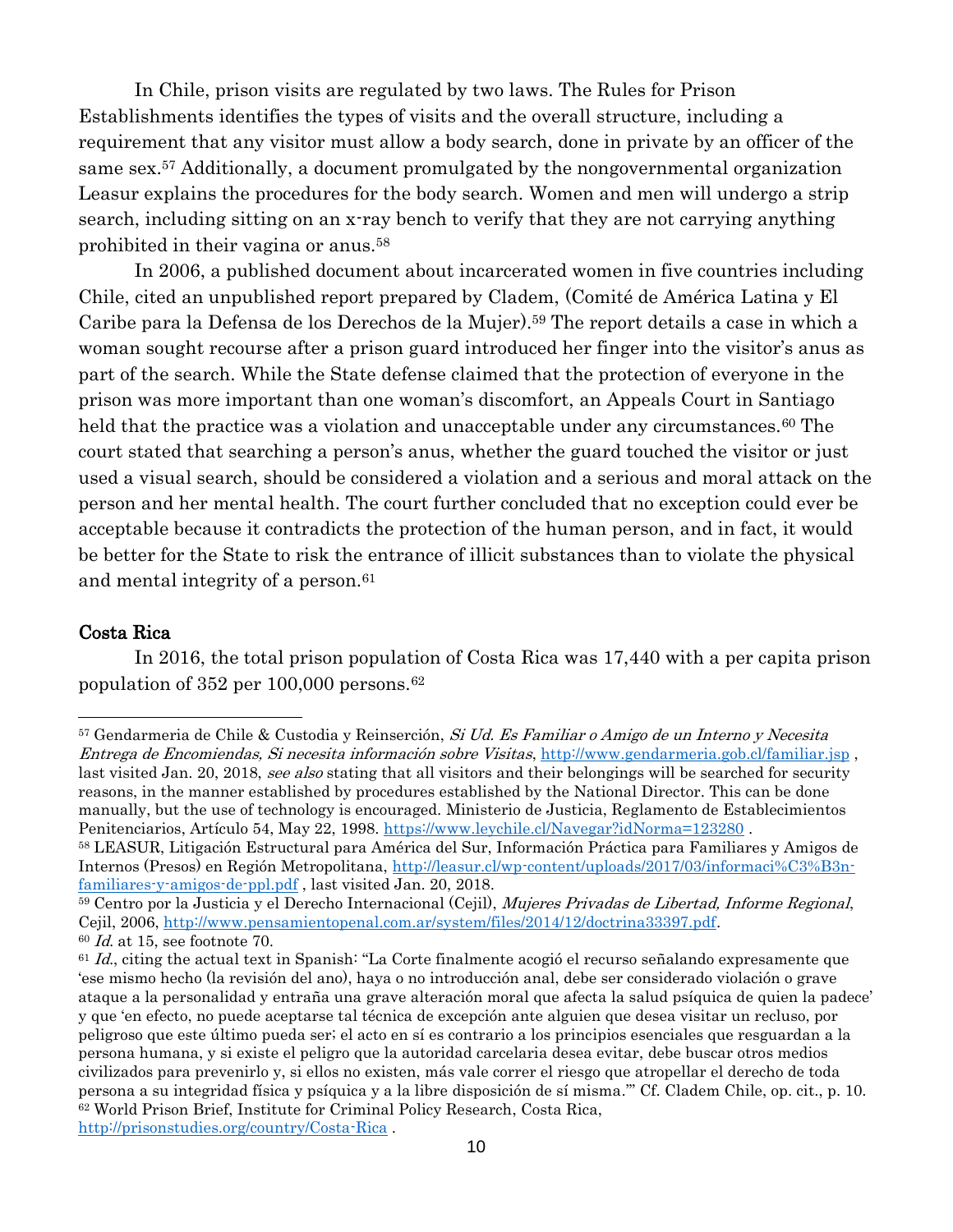In Chile, prison visits are regulated by two laws. The Rules for Prison Establishments identifies the types of visits and the overall structure, including a requirement that any visitor must allow a body search, done in private by an officer of the same sex.<sup>57</sup> Additionally, a document promulgated by the nongovernmental organization Leasur explains the procedures for the body search. Women and men will undergo a strip search, including sitting on an x-ray bench to verify that they are not carrying anything prohibited in their vagina or anus.<sup>58</sup>

In 2006, a published document about incarcerated women in five countries including Chile, cited an unpublished report prepared by Cladem, (Comité de América Latina y El Caribe para la Defensa de los Derechos de la Mujer). <sup>59</sup> The report details a case in which a woman sought recourse after a prison guard introduced her finger into the visitor's anus as part of the search. While the State defense claimed that the protection of everyone in the prison was more important than one woman's discomfort, an Appeals Court in Santiago held that the practice was a violation and unacceptable under any circumstances.<sup>60</sup> The court stated that searching a person's anus, whether the guard touched the visitor or just used a visual search, should be considered a violation and a serious and moral attack on the person and her mental health. The court further concluded that no exception could ever be acceptable because it contradicts the protection of the human person, and in fact, it would be better for the State to risk the entrance of illicit substances than to violate the physical and mental integrity of a person.<sup>61</sup>

#### Costa Rica

In 2016, the total prison population of Costa Rica was 17,440 with a per capita prison population of 352 per 100,000 persons.<sup>62</sup>

<sup>57</sup> Gendarmeria de Chile & Custodia y Reinserción, Si Ud. Es Familiar o Amigo de un Interno y Necesita Entrega de Encomiendas, Si necesita información sobre Visitas,<http://www.gendarmeria.gob.cl/familiar.jsp> , last visited Jan. 20, 2018, see also stating that all visitors and their belongings will be searched for security reasons, in the manner established by procedures established by the National Director. This can be done manually, but the use of technology is encouraged. Ministerio de Justicia, Reglamento de Establecimientos Penitenciarios, Artículo 54, May 22, 1998.<https://www.leychile.cl/Navegar?idNorma=123280>.

<sup>58</sup> LEASUR, Litigación Estructural para América del Sur, Información Práctica para Familiares y Amigos de Internos (Presos) en Región Metropolitana, [http://leasur.cl/wp-content/uploads/2017/03/informaci%C3%B3n](http://leasur.cl/wp-content/uploads/2017/03/informaci%C3%B3n-familiares-y-amigos-de-ppl.pdf)[familiares-y-amigos-de-ppl.pdf](http://leasur.cl/wp-content/uploads/2017/03/informaci%C3%B3n-familiares-y-amigos-de-ppl.pdf) , last visited Jan. 20, 2018.

<sup>&</sup>lt;sup>59</sup> Centro por la Justicia y el Derecho Internacional (Cejil), *Mujeres Privadas de Libertad, Informe Regional*, Cejil, 2006, [http://www.pensamientopenal.com.ar/system/files/2014/12/doctrina33397.pdf.](http://www.pensamientopenal.com.ar/system/files/2014/12/doctrina33397.pdf)  $60$  *Id.* at 15, see footnote 70.

 $61$  Id., citing the actual text in Spanish: "La Corte finalmente acogió el recurso señalando expresamente que 'ese mismo hecho (la revisión del ano), haya o no introducción anal, debe ser considerado violación o grave ataque a la personalidad y entraña una grave alteración moral que afecta la salud psíquica de quien la padece' y que 'en efecto, no puede aceptarse tal técnica de excepción ante alguien que desea visitar un recluso, por peligroso que este último pueda ser; el acto en sí es contrario a los principios esenciales que resguardan a la persona humana, y si existe el peligro que la autoridad carcelaria desea evitar, debe buscar otros medios civilizados para prevenirlo y, si ellos no existen, más vale correr el riesgo que atropellar el derecho de toda persona a su integridad física y psíquica y a la libre disposición de sí misma.'" Cf. Cladem Chile, op. cit., p. 10. <sup>62</sup> World Prison Brief, Institute for Criminal Policy Research, Costa Rica,

<http://prisonstudies.org/country/Costa-Rica> .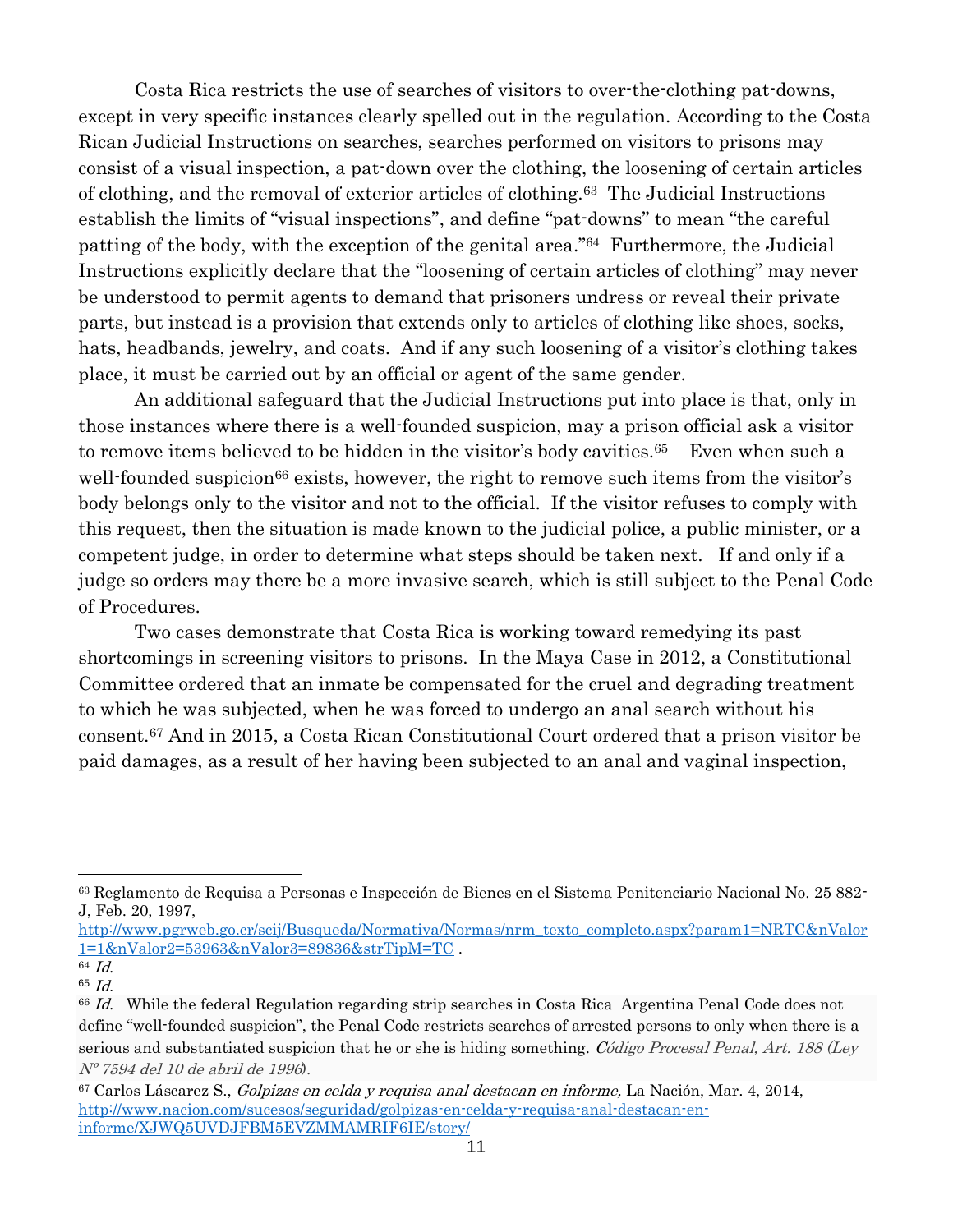Costa Rica restricts the use of searches of visitors to over-the-clothing pat-downs, except in very specific instances clearly spelled out in the regulation. According to the Costa Rican Judicial Instructions on searches, searches performed on visitors to prisons may consist of a visual inspection, a pat-down over the clothing, the loosening of certain articles of clothing, and the removal of exterior articles of clothing.63 The Judicial Instructions establish the limits of "visual inspections", and define "pat-downs" to mean "the careful patting of the body, with the exception of the genital area." <sup>64</sup> Furthermore, the Judicial Instructions explicitly declare that the "loosening of certain articles of clothing" may never be understood to permit agents to demand that prisoners undress or reveal their private parts, but instead is a provision that extends only to articles of clothing like shoes, socks, hats, headbands, jewelry, and coats. And if any such loosening of a visitor's clothing takes place, it must be carried out by an official or agent of the same gender.

An additional safeguard that the Judicial Instructions put into place is that, only in those instances where there is a well-founded suspicion, may a prison official ask a visitor to remove items believed to be hidden in the visitor's body cavities.<sup>65</sup> Even when such a well-founded suspicion<sup>66</sup> exists, however, the right to remove such items from the visitor's body belongs only to the visitor and not to the official. If the visitor refuses to comply with this request, then the situation is made known to the judicial police, a public minister, or a competent judge, in order to determine what steps should be taken next. If and only if a judge so orders may there be a more invasive search, which is still subject to the Penal Code of Procedures.

Two cases demonstrate that Costa Rica is working toward remedying its past shortcomings in screening visitors to prisons. In the Maya Case in 2012, a Constitutional Committee ordered that an inmate be compensated for the cruel and degrading treatment to which he was subjected, when he was forced to undergo an anal search without his consent.<sup>67</sup> And in 2015, a Costa Rican Constitutional Court ordered that a prison visitor be paid damages, as a result of her having been subjected to an anal and vaginal inspection,

[http://www.pgrweb.go.cr/scij/Busqueda/Normativa/Normas/nrm\\_texto\\_completo.aspx?param1=NRTC&nValor](http://www.pgrweb.go.cr/scij/Busqueda/Normativa/Normas/nrm_texto_completo.aspx?param1=NRTC&nValor1=1&nValor2=53963&nValor3=89836&strTipM=TC) [1=1&nValor2=53963&nValor3=89836&strTipM=TC](http://www.pgrweb.go.cr/scij/Busqueda/Normativa/Normas/nrm_texto_completo.aspx?param1=NRTC&nValor1=1&nValor2=53963&nValor3=89836&strTipM=TC) .

<sup>63</sup> Reglamento de Requisa a Personas e Inspección de Bienes en el Sistema Penitenciario Nacional No. 25 882- J, Feb. 20, 1997,

 $^{64}$   $\emph{Id}.$ 

<sup>65</sup> Id.

<sup>&</sup>lt;sup>66</sup> Id. While the federal Regulation regarding strip searches in Costa Rica Argentina Penal Code does not define "well-founded suspicion", the Penal Code restricts searches of arrested persons to only when there is a serious and substantiated suspicion that he or she is hiding something. Código Procesal Penal, Art. 188 (Ley Nº 7594 del 10 de abril de 1996).

<sup>67</sup> Carlos Láscarez S., Golpizas en celda y requisa anal destacan en informe, La Nación, Mar. 4, 2014, [http://www.nacion.com/sucesos/seguridad/golpizas-en-celda-y-requisa-anal-destacan-en](http://www.nacion.com/sucesos/seguridad/golpizas-en-celda-y-requisa-anal-destacan-en-informe/XJWQ5UVDJFBM5EVZMMAMRIF6IE/story/)[informe/XJWQ5UVDJFBM5EVZMMAMRIF6IE/story/](http://www.nacion.com/sucesos/seguridad/golpizas-en-celda-y-requisa-anal-destacan-en-informe/XJWQ5UVDJFBM5EVZMMAMRIF6IE/story/)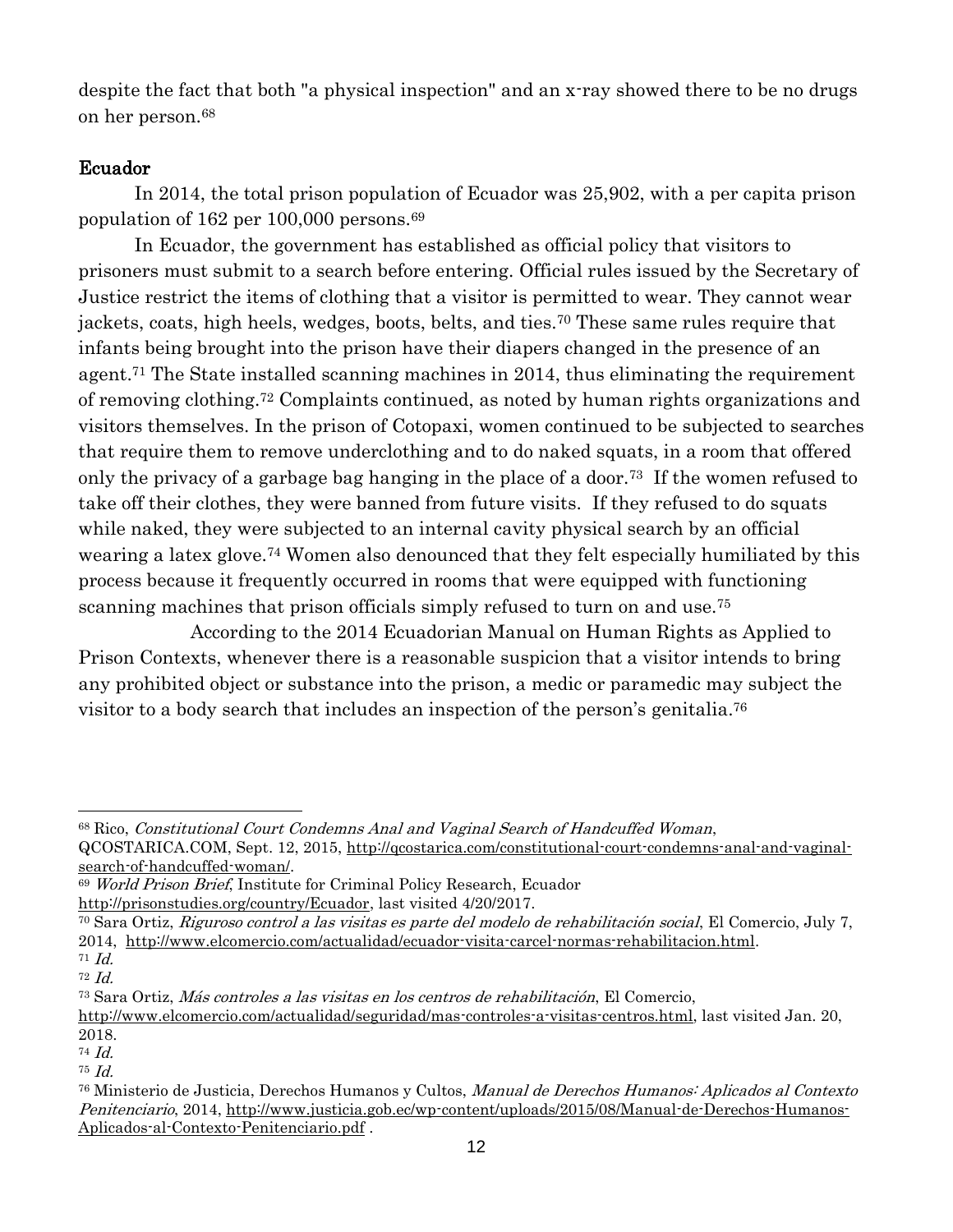despite the fact that both "a physical inspection" and an x-ray showed there to be no drugs on her person.<sup>68</sup>

## Ecuador

In 2014, the total prison population of Ecuador was 25,902, with a per capita prison population of 162 per 100,000 persons.<sup>69</sup>

In Ecuador, the government has established as official policy that visitors to prisoners must submit to a search before entering. Official rules issued by the Secretary of Justice restrict the items of clothing that a visitor is permitted to wear. They cannot wear jackets, coats, high heels, wedges, boots, belts, and ties.<sup>70</sup> These same rules require that infants being brought into the prison have their diapers changed in the presence of an agent.<sup>71</sup> The State installed scanning machines in 2014, thus eliminating the requirement of removing clothing.<sup>72</sup> Complaints continued, as noted by human rights organizations and visitors themselves. In the prison of Cotopaxi, women continued to be subjected to searches that require them to remove underclothing and to do naked squats, in a room that offered only the privacy of a garbage bag hanging in the place of a door.73 If the women refused to take off their clothes, they were banned from future visits. If they refused to do squats while naked, they were subjected to an internal cavity physical search by an official wearing a latex glove.<sup>74</sup> Women also denounced that they felt especially humiliated by this process because it frequently occurred in rooms that were equipped with functioning scanning machines that prison officials simply refused to turn on and use.<sup>75</sup>

 According to the 2014 Ecuadorian Manual on Human Rights as Applied to Prison Contexts, whenever there is a reasonable suspicion that a visitor intends to bring any prohibited object or substance into the prison, a medic or paramedic may subject the visitor to a body search that includes an inspection of the person's genitalia. 76

<sup>68</sup> Rico, Constitutional Court Condemns Anal and Vaginal Search of Handcuffed Woman,

QCOSTARICA.COM, Sept. 12, 2015, [http://qcostarica.com/constitutional-court-condemns-anal-and-vaginal](http://qcostarica.com/constitutional-court-condemns-anal-and-vaginal-search-of-handcuffed-woman/)[search-of-handcuffed-woman/.](http://qcostarica.com/constitutional-court-condemns-anal-and-vaginal-search-of-handcuffed-woman/)

<sup>69</sup> World Prison Brief, Institute for Criminal Policy Research, Ecuador

[http://prisonstudies.org/country/Ecuador,](http://prisonstudies.org/country/Ecuador) last visited 4/20/2017.

<sup>70</sup> Sara Ortiz, Riguroso control a las visitas es parte del modelo de rehabilitación social, El Comercio, July 7, 2014, [http://www.elcomercio.com/actualidad/ecuador-visita-carcel-normas-rehabilitacion.html.](http://www.elcomercio.com/actualidad/ecuador-visita-carcel-normas-rehabilitacion.html) 71 Id.

<sup>72</sup> Id.

<sup>73</sup> Sara Ortiz, Más controles a las visitas en los centros de rehabilitación, El Comercio,

[http://www.elcomercio.com/actualidad/seguridad/mas-controles-a-visitas-centros.html,](http://www.elcomercio.com/actualidad/seguridad/mas-controles-a-visitas-centros.html) last visited Jan. 20, 2018.

<sup>74</sup> Id.

<sup>75</sup> Id.

<sup>76</sup> Ministerio de Justicia, Derechos Humanos y Cultos, Manual de Derechos Humanos: Aplicados al Contexto Penitenciario, 2014, [http://www.justicia.gob.ec/wp-content/uploads/2015/08/Manual-de-Derechos-Humanos-](http://www.justicia.gob.ec/wp-content/uploads/2015/08/Manual-de-Derechos-Humanos-Aplicados-al-Contexto-Penitenciario.pdf)[Aplicados-al-Contexto-Penitenciario.pdf](http://www.justicia.gob.ec/wp-content/uploads/2015/08/Manual-de-Derechos-Humanos-Aplicados-al-Contexto-Penitenciario.pdf) .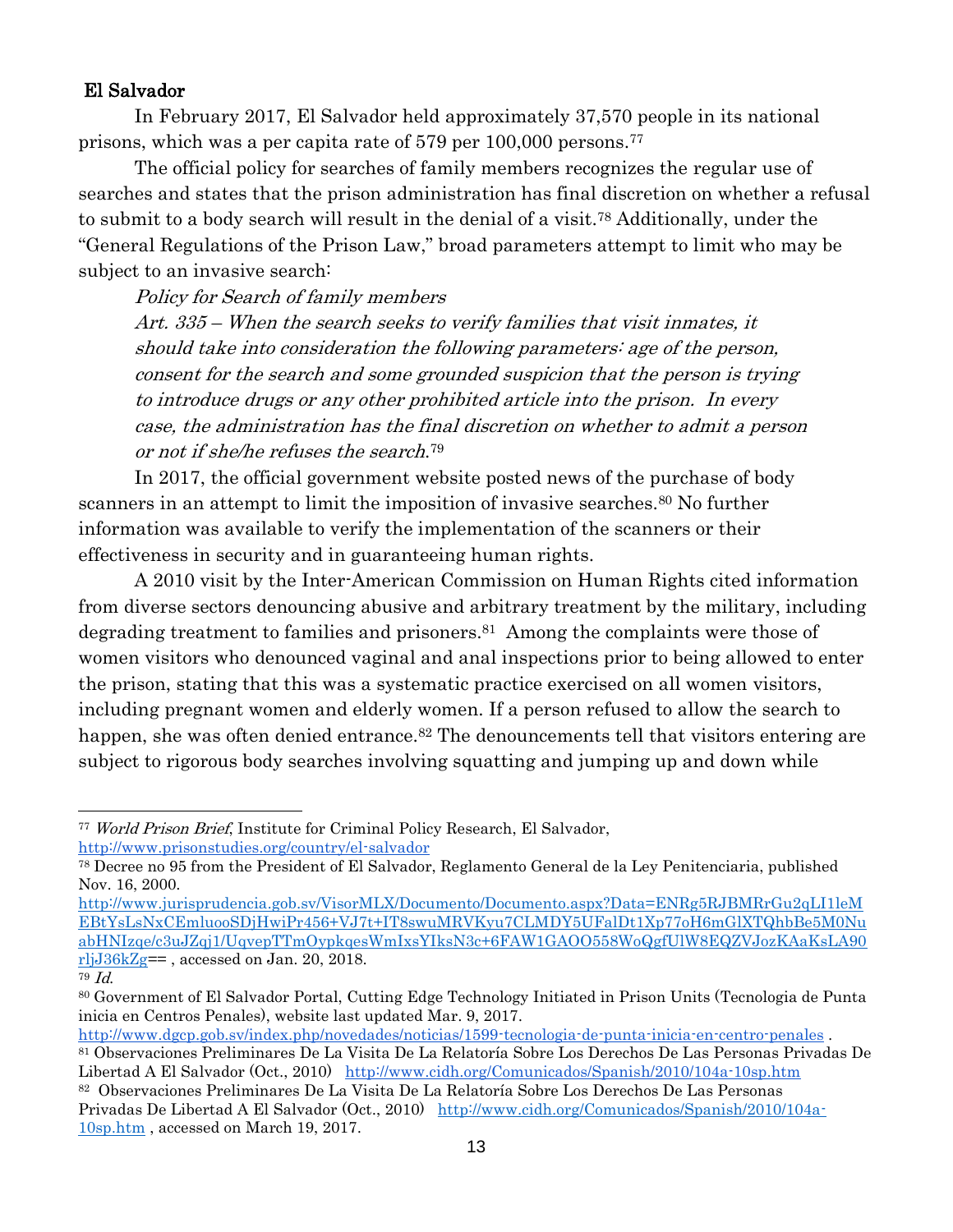## El Salvador

In February 2017, El Salvador held approximately 37,570 people in its national prisons, which was a per capita rate of 579 per 100,000 persons.<sup>77</sup>

The official policy for searches of family members recognizes the regular use of searches and states that the prison administration has final discretion on whether a refusal to submit to a body search will result in the denial of a visit.<sup>78</sup> Additionally, under the "General Regulations of the Prison Law," broad parameters attempt to limit who may be subject to an invasive search:

Policy for Search of family members

Art. 335 – When the search seeks to verify families that visit inmates, it should take into consideration the following parameters: age of the person, consent for the search and some grounded suspicion that the person is trying to introduce drugs or any other prohibited article into the prison. In every case, the administration has the final discretion on whether to admit a person or not if she/he refuses the search. 79

In 2017, the official government website posted news of the purchase of body scanners in an attempt to limit the imposition of invasive searches.<sup>80</sup> No further information was available to verify the implementation of the scanners or their effectiveness in security and in guaranteeing human rights.

A 2010 visit by the Inter-American Commission on Human Rights cited information from diverse sectors denouncing abusive and arbitrary treatment by the military, including degrading treatment to families and prisoners.<sup>81</sup> Among the complaints were those of women visitors who denounced vaginal and anal inspections prior to being allowed to enter the prison, stating that this was a systematic practice exercised on all women visitors, including pregnant women and elderly women. If a person refused to allow the search to happen, she was often denied entrance.<sup>82</sup> The denouncements tell that visitors entering are subject to rigorous body searches involving squatting and jumping up and down while

<http://www.dgcp.gob.sv/index.php/novedades/noticias/1599-tecnologia-de-punta-inicia-en-centro-penales> .

<sup>77</sup> World Prison Brief, Institute for Criminal Policy Research, El Salvador[,](http://www.prisonstudies.org/country/el-salvador) <http://www.prisonstudies.org/country/el-salvador>

<sup>78</sup> Decree no 95 from the President of El Salvador, Reglamento General de la Ley Penitenciaria, published Nov. 16, 2000.

[http://www.jurisprudencia.gob.sv/VisorMLX/Documento/Documento.aspx?Data=ENRg5RJBMRrGu2qLI1leM](http://www.jurisprudencia.gob.sv/VisorMLX/Documento/Documento.aspx?Data=ENRg5RJBMRrGu2qLI1leMEBtYsLsNxCEmluooSDjHwiPr456+VJ7t+IT8swuMRVKyu7CLMDY5UFalDt1Xp77oH6mGlXTQhbBe5M0NuabHNIzqe/c3uJZqj1/UqvepTTmOypkqesWmIxsYIksN3c+6FAW1GAOO558WoQgfUlW8EQZVJozKAaKsLA90rljJ36kZg) [EBtYsLsNxCEmluooSDjHwiPr456+VJ7t+IT8swuMRVKyu7CLMDY5UFalDt1Xp77oH6mGlXTQhbBe5M0Nu](http://www.jurisprudencia.gob.sv/VisorMLX/Documento/Documento.aspx?Data=ENRg5RJBMRrGu2qLI1leMEBtYsLsNxCEmluooSDjHwiPr456+VJ7t+IT8swuMRVKyu7CLMDY5UFalDt1Xp77oH6mGlXTQhbBe5M0NuabHNIzqe/c3uJZqj1/UqvepTTmOypkqesWmIxsYIksN3c+6FAW1GAOO558WoQgfUlW8EQZVJozKAaKsLA90rljJ36kZg) [abHNIzqe/c3uJZqj1/UqvepTTmOypkqesWmIxsYIksN3c+6FAW1GAOO558WoQgfUlW8EQZVJozKAaKsLA90](http://www.jurisprudencia.gob.sv/VisorMLX/Documento/Documento.aspx?Data=ENRg5RJBMRrGu2qLI1leMEBtYsLsNxCEmluooSDjHwiPr456+VJ7t+IT8swuMRVKyu7CLMDY5UFalDt1Xp77oH6mGlXTQhbBe5M0NuabHNIzqe/c3uJZqj1/UqvepTTmOypkqesWmIxsYIksN3c+6FAW1GAOO558WoQgfUlW8EQZVJozKAaKsLA90rljJ36kZg) [rljJ36kZg=](http://www.jurisprudencia.gob.sv/VisorMLX/Documento/Documento.aspx?Data=ENRg5RJBMRrGu2qLI1leMEBtYsLsNxCEmluooSDjHwiPr456+VJ7t+IT8swuMRVKyu7CLMDY5UFalDt1Xp77oH6mGlXTQhbBe5M0NuabHNIzqe/c3uJZqj1/UqvepTTmOypkqesWmIxsYIksN3c+6FAW1GAOO558WoQgfUlW8EQZVJozKAaKsLA90rljJ36kZg)= , accessed on Jan. 20, 2018.

<sup>79</sup> Id.

<sup>80</sup> Government of El Salvador Portal, Cutting Edge Technology Initiated in Prison Units (Tecnologia de Punta inicia en Centros Penales), website last updated Mar. 9, 2017.

<sup>81</sup> Observaciones Preliminares De La Visita De La Relatoría Sobre Los Derechos De Las Personas Privadas De Libertad A El Salvador (Oct., 2010) <http://www.cidh.org/Comunicados/Spanish/2010/104a-10sp.htm>

<sup>82</sup> Observaciones Preliminares De La Visita De La Relatoría Sobre Los Derechos De Las Personas Privadas De Libertad A El Salvador (Oct., 2010) [http://www.cidh.org/Comunicados/Spanish/2010/104a-](http://www.cidh.org/Comunicados/Spanish/2010/104a-10sp.htm)[10sp.htm](http://www.cidh.org/Comunicados/Spanish/2010/104a-10sp.htm) , accessed on March 19, 2017.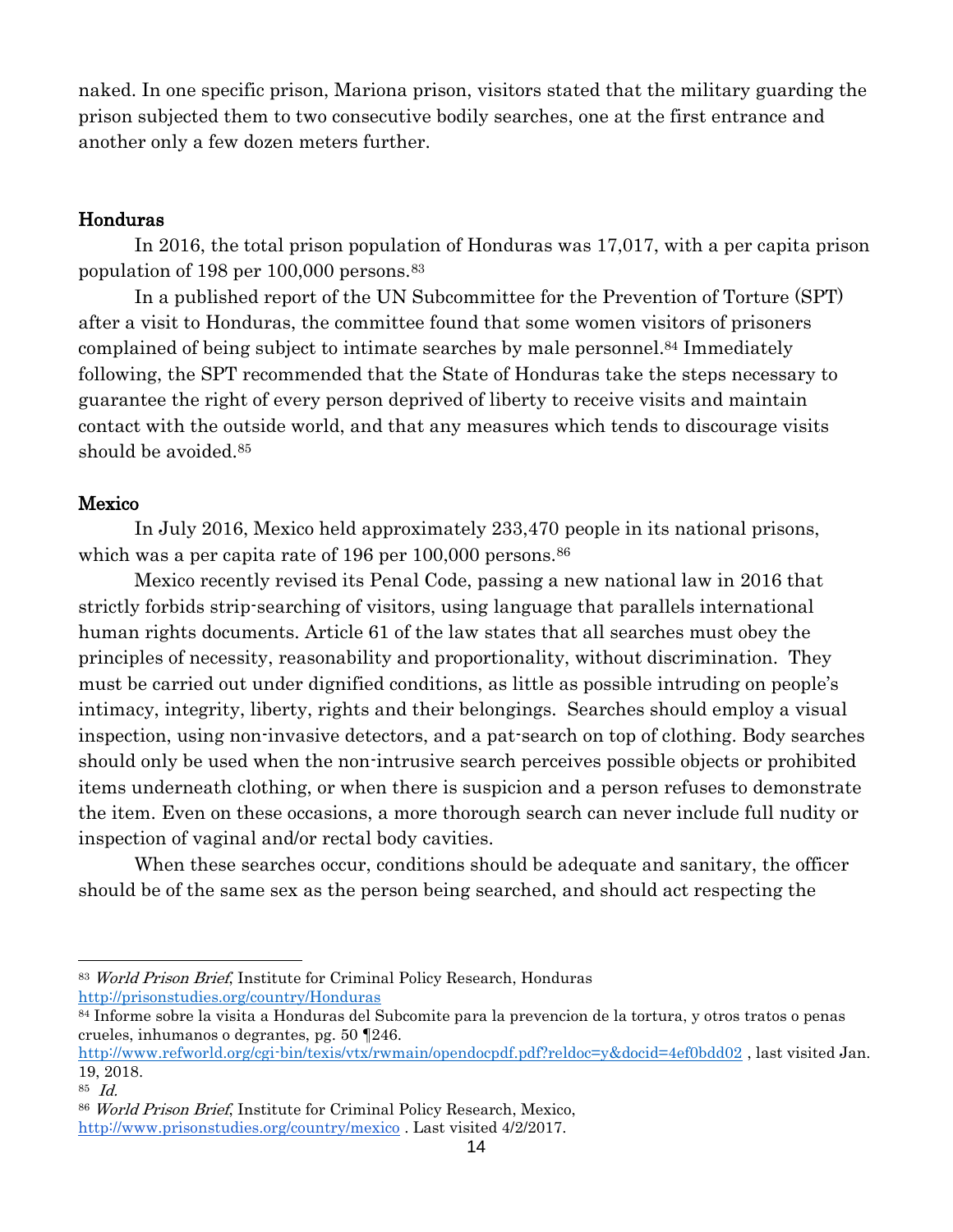naked. In one specific prison, Mariona prison, visitors stated that the military guarding the prison subjected them to two consecutive bodily searches, one at the first entrance and another only a few dozen meters further.

## Honduras

In 2016, the total prison population of Honduras was 17,017, with a per capita prison population of 198 per 100,000 persons.<sup>83</sup>

In a published report of the UN Subcommittee for the Prevention of Torture (SPT) after a visit to Honduras, the committee found that some women visitors of prisoners complained of being subject to intimate searches by male personnel. <sup>84</sup> Immediately following, the SPT recommended that the State of Honduras take the steps necessary to guarantee the right of every person deprived of liberty to receive visits and maintain contact with the outside world, and that any measures which tends to discourage visits should be avoided.<sup>85</sup>

## Mexico

In July 2016, Mexico held approximately 233,470 people in its national prisons, which was a per capita rate of 196 per 100,000 persons.<sup>86</sup>

Mexico recently revised its Penal Code, passing a new national law in 2016 that strictly forbids strip-searching of visitors, using language that parallels international human rights documents. Article 61 of the law states that all searches must obey the principles of necessity, reasonability and proportionality, without discrimination. They must be carried out under dignified conditions, as little as possible intruding on people's intimacy, integrity, liberty, rights and their belongings. Searches should employ a visual inspection, using non-invasive detectors, and a pat-search on top of clothing. Body searches should only be used when the non-intrusive search perceives possible objects or prohibited items underneath clothing, or when there is suspicion and a person refuses to demonstrate the item. Even on these occasions, a more thorough search can never include full nudity or inspection of vaginal and/or rectal body cavities.

When these searches occur, conditions should be adequate and sanitary, the officer should be of the same sex as the person being searched, and should act respecting the

 $\overline{a}$ 

<sup>83</sup> World Prison Brief, Institute for Criminal Policy Research, Honduras <http://prisonstudies.org/country/Honduras>

<sup>84</sup> Informe sobre la visita a Honduras del Subcomite para la prevencion de la tortura, y otros tratos o penas crueles, inhumanos o degrantes, pg. 50 ¶246.

<http://www.refworld.org/cgi-bin/texis/vtx/rwmain/opendocpdf.pdf?reldoc=y&docid=4ef0bdd02> , last visited Jan. 19, 2018.

<sup>85</sup> Id.

<sup>86</sup> World Prison Brief, Institute for Criminal Policy Research, Mexico[,](http://www.prisonstudies.org/country/mexico)

<http://www.prisonstudies.org/country/mexico> . Last visited 4/2/2017.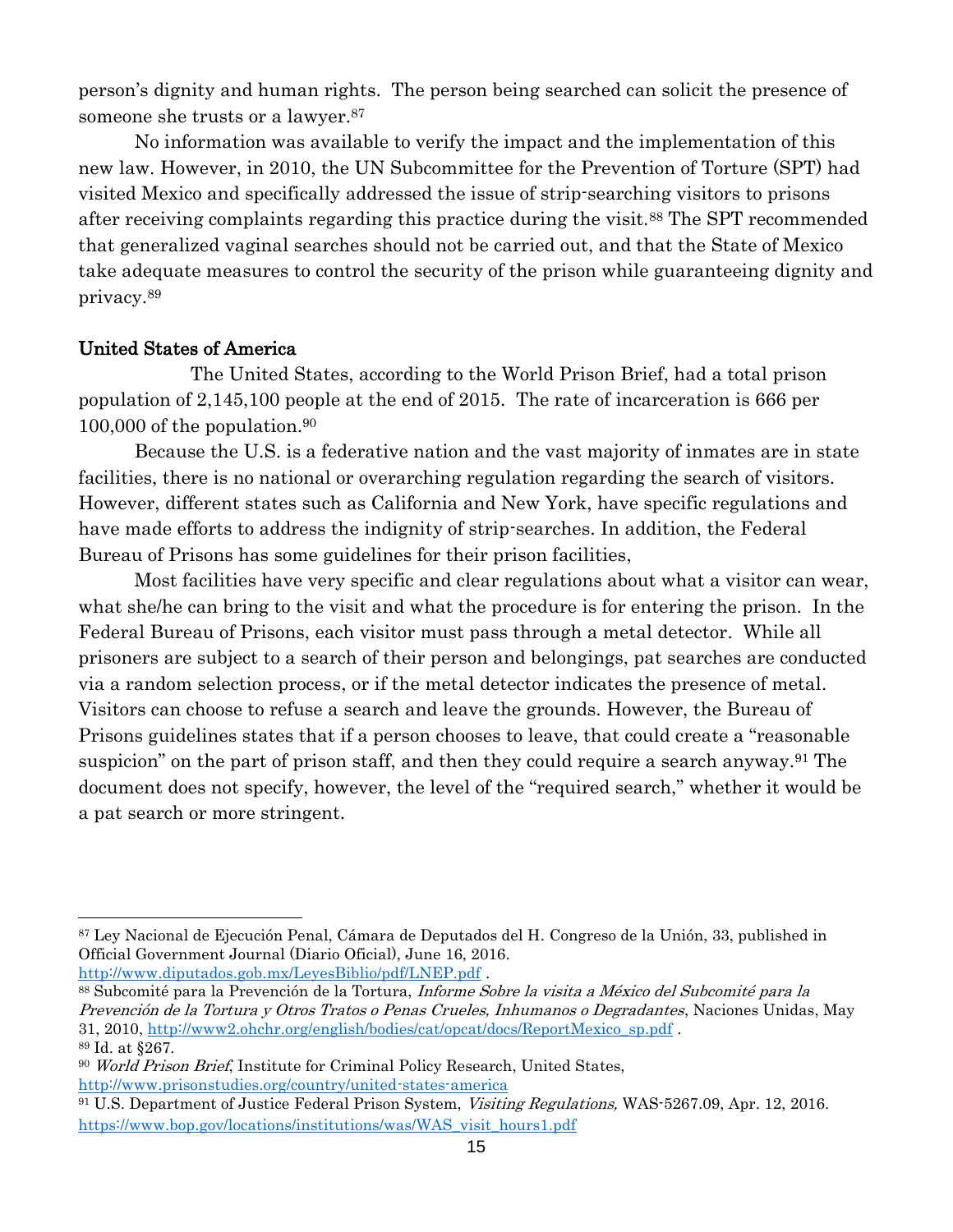person's dignity and human rights. The person being searched can solicit the presence of someone she trusts or a lawyer.<sup>87</sup>

No information was available to verify the impact and the implementation of this new law. However, in 2010, the UN Subcommittee for the Prevention of Torture (SPT) had visited Mexico and specifically addressed the issue of strip-searching visitors to prisons after receiving complaints regarding this practice during the visit.<sup>88</sup> The SPT recommended that generalized vaginal searches should not be carried out, and that the State of Mexico take adequate measures to control the security of the prison while guaranteeing dignity and privacy.<sup>89</sup>

## United States of America

The United States, according to the World Prison Brief, had a total prison population of 2,145,100 people at the end of 2015. The rate of incarceration is 666 per 100,000 of the population.<sup>90</sup>

Because the U.S. is a federative nation and the vast majority of inmates are in state facilities, there is no national or overarching regulation regarding the search of visitors. However, different states such as California and New York, have specific regulations and have made efforts to address the indignity of strip-searches. In addition, the Federal Bureau of Prisons has some guidelines for their prison facilities,

Most facilities have very specific and clear regulations about what a visitor can wear, what she/he can bring to the visit and what the procedure is for entering the prison. In the Federal Bureau of Prisons, each visitor must pass through a metal detector. While all prisoners are subject to a search of their person and belongings, pat searches are conducted via a random selection process, or if the metal detector indicates the presence of metal. Visitors can choose to refuse a search and leave the grounds. However, the Bureau of Prisons guidelines states that if a person chooses to leave, that could create a "reasonable suspicion" on the part of prison staff, and then they could require a search anyway.<sup>91</sup> The document does not specify, however, the level of the "required search," whether it would be a pat search or more stringent.

 <sup>87</sup> Ley Nacional de Ejecución Penal, Cámara de Deputados del H. Congreso de la Unión, 33, published in Official Government Journal (Diario Oficial), June 16, 2016.

<http://www.diputados.gob.mx/LeyesBiblio/pdf/LNEP.pdf> .

<sup>88</sup> Subcomité para la Prevención de la Tortura, Informe Sobre la visita a México del Subcomité para la Prevención de la Tortura y Otros Tratos o Penas Crueles, Inhumanos o Degradantes, Naciones Unidas, May 31, 2010, [http://www2.ohchr.org/english/bodies/cat/opcat/docs/ReportMexico\\_sp.pdf](http://www2.ohchr.org/english/bodies/cat/opcat/docs/ReportMexico_sp.pdf) . <sup>89</sup> Id. at §267.

<sup>&</sup>lt;sup>90</sup> World Prison Brief, Institute for Criminal Policy Research, United States, <http://www.prisonstudies.org/country/united-states-america>

<sup>91</sup> U.S. Department of Justice Federal Prison System, Visiting Regulations, WAS-5267.09, Apr. 12, 2016. [https://www.bop.gov/locations/institutions/was/WAS\\_visit\\_hours1.pdf](https://www.bop.gov/locations/institutions/was/WAS_visit_hours1.pdf)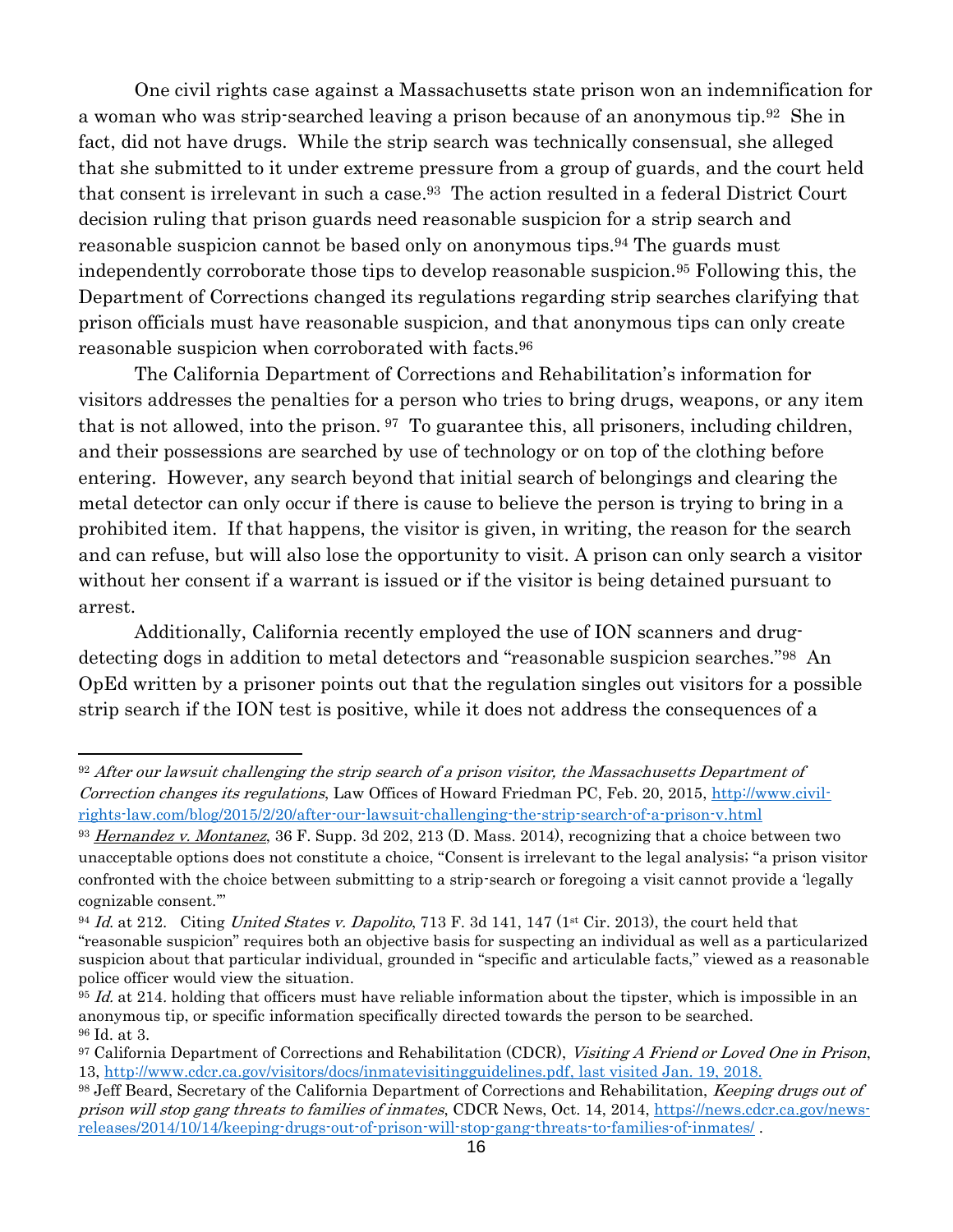One civil rights case against a Massachusetts state prison won an indemnification for a woman who was strip-searched leaving a prison because of an anonymous tip.92 She in fact, did not have drugs. While the strip search was technically consensual, she alleged that she submitted to it under extreme pressure from a group of guards, and the court held that consent is irrelevant in such a case. <sup>93</sup> The action resulted in a federal District Court decision ruling that prison guards need reasonable suspicion for a strip search and reasonable suspicion cannot be based only on anonymous tips. <sup>94</sup> The guards must independently corroborate those tips to develop reasonable suspicion.<sup>95</sup> Following this, the Department of Corrections changed its regulations regarding strip searches clarifying that prison officials must have reasonable suspicion, and that anonymous tips can only create reasonable suspicion when corroborated with facts.<sup>96</sup>

The California Department of Corrections and Rehabilitation's information for visitors addresses the penalties for a person who tries to bring drugs, weapons, or any item that is not allowed, into the prison. <sup>97</sup> To guarantee this, all prisoners, including children, and their possessions are searched by use of technology or on top of the clothing before entering. However, any search beyond that initial search of belongings and clearing the metal detector can only occur if there is cause to believe the person is trying to bring in a prohibited item. If that happens, the visitor is given, in writing, the reason for the search and can refuse, but will also lose the opportunity to visit. A prison can only search a visitor without her consent if a warrant is issued or if the visitor is being detained pursuant to arrest.

Additionally, California recently employed the use of ION scanners and drugdetecting dogs in addition to metal detectors and "reasonable suspicion searches."98 An OpEd written by a prisoner points out that the regulation singles out visitors for a possible strip search if the ION test is positive, while it does not address the consequences of a

<sup>92</sup> After our lawsuit challenging the strip search of a prison visitor, the Massachusetts Department of Correction changes its regulations, Law Offices of Howard Friedman PC, Feb. 20, 2015, [http://www.civil](http://www.civil-rights-law.com/blog/2015/2/20/after-our-lawsuit-challenging-the-strip-search-of-a-prison-v.html)[rights-law.com/blog/2015/2/20/after-our-lawsuit-challenging-the-strip-search-of-a-prison-v.html](http://www.civil-rights-law.com/blog/2015/2/20/after-our-lawsuit-challenging-the-strip-search-of-a-prison-v.html) 

<sup>&</sup>lt;sup>93</sup> Hernandez v. Montanez, 36 F. Supp. 3d 202, 213 (D. Mass. 2014), recognizing that a choice between two unacceptable options does not constitute a choice, "Consent is irrelevant to the legal analysis; "a prison visitor confronted with the choice between submitting to a strip-search or foregoing a visit cannot provide a 'legally cognizable consent.'"

<sup>&</sup>lt;sup>94</sup> Id. at 212. Citing United States v. Dapolito, 713 F. 3d 141, 147 (1st Cir. 2013), the court held that "reasonable suspicion" requires both an objective basis for suspecting an individual as well as a particularized suspicion about that particular individual, grounded in "specific and articulable facts," viewed as a reasonable police officer would view the situation.

 $95$  Id. at 214. holding that officers must have reliable information about the tipster, which is impossible in an anonymous tip, or specific information specifically directed towards the person to be searched. <sup>96</sup> Id. at 3.

<sup>&</sup>lt;sup>97</sup> California Department of Corrections and Rehabilitation (CDCR), Visiting A Friend or Loved One in Prison, 13, [http://www.cdcr.ca.gov/visitors/docs/inmatevisitingguidelines.pdf,](http://www.cdcr.ca.gov/visitors/docs/inmatevisitingguidelines.pdf) last visited Jan. 19, 2018.

<sup>&</sup>lt;sup>98</sup> Jeff Beard, Secretary of the California Department of Corrections and Rehabilitation, *Keeping drugs out of* prison will stop gang threats to families of inmates, CDCR News, Oct. 14, 2014, [https://news.cdcr.ca.gov/news](https://news.cdcr.ca.gov/news-releases/2014/10/14/keeping-drugs-out-of-prison-will-stop-gang-threats-to-families-of-inmates/)[releases/2014/10/14/keeping-drugs-out-of-prison-will-stop-gang-threats-to-families-of-inmates/](https://news.cdcr.ca.gov/news-releases/2014/10/14/keeping-drugs-out-of-prison-will-stop-gang-threats-to-families-of-inmates/) .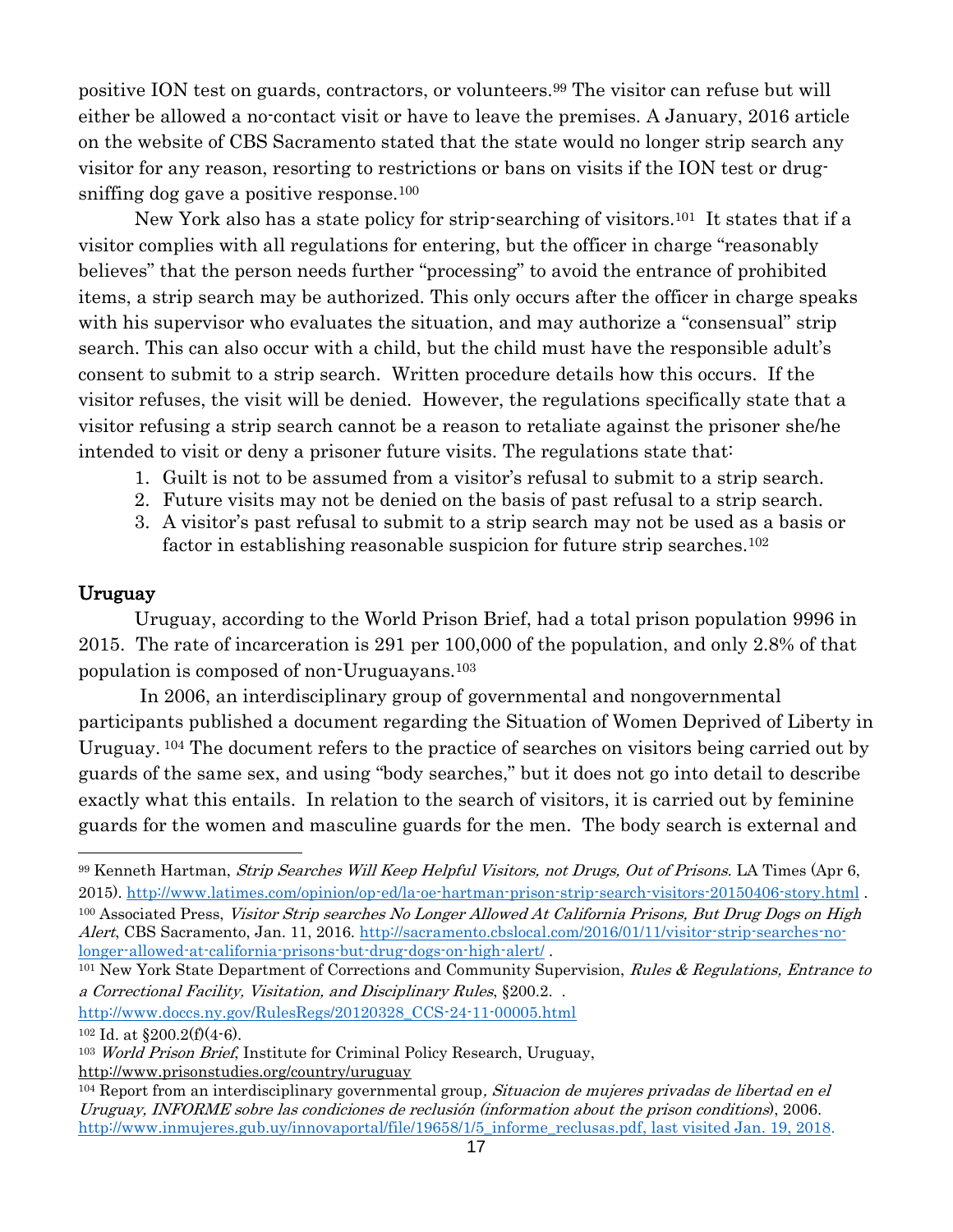positive ION test on guards, contractors, or volunteers.<sup>99</sup> The visitor can refuse but will either be allowed a no-contact visit or have to leave the premises. A January, 2016 article on the website of CBS Sacramento stated that the state would no longer strip search any visitor for any reason, resorting to restrictions or bans on visits if the ION test or drugsniffing dog gave a positive response.<sup>100</sup>

New York also has a state policy for strip-searching of visitors.101 It states that if a visitor complies with all regulations for entering, but the officer in charge "reasonably believes" that the person needs further "processing" to avoid the entrance of prohibited items, a strip search may be authorized. This only occurs after the officer in charge speaks with his supervisor who evaluates the situation, and may authorize a "consensual" strip search. This can also occur with a child, but the child must have the responsible adult's consent to submit to a strip search. Written procedure details how this occurs. If the visitor refuses, the visit will be denied. However, the regulations specifically state that a visitor refusing a strip search cannot be a reason to retaliate against the prisoner she/he intended to visit or deny a prisoner future visits. The regulations state that:

- 1. Guilt is not to be assumed from a visitor's refusal to submit to a strip search.
- 2. Future visits may not be denied on the basis of past refusal to a strip search.
- 3. A visitor's past refusal to submit to a strip search may not be used as a basis or factor in establishing reasonable suspicion for future strip searches.<sup>102</sup>

## Uruguay

Uruguay, according to the World Prison Brief, had a total prison population 9996 in 2015. The rate of incarceration is 291 per 100,000 of the population, and only 2.8% of that population is composed of non-Uruguayans.<sup>103</sup>

In 2006, an interdisciplinary group of governmental and nongovernmental participants published a document regarding the Situation of Women Deprived of Liberty in Uruguay. <sup>104</sup> The document refers to the practice of searches on visitors being carried out by guards of the same sex, and using "body searches," but it does not go into detail to describe exactly what this entails. In relation to the search of visitors, it is carried out by feminine guards for the women and masculine guards for the men. The body search is external and

[http://www.doccs.ny.gov/RulesRegs/20120328\\_CCS-24-11-00005.html](http://www.doccs.ny.gov/RulesRegs/20120328_CCS-24-11-00005.html)

<http://www.prisonstudies.org/country/uruguay>

<sup>99</sup> Kenneth Hartman, Strip Searches Will Keep Helpful Visitors, not Drugs, Out of Prisons. LA Times (Apr 6, 2015).<http://www.latimes.com/opinion/op-ed/la-oe-hartman-prison-strip-search-visitors-20150406-story.html> .

<sup>&</sup>lt;sup>100</sup> Associated Press, Visitor Strip searches No Longer Allowed At California Prisons, But Drug Dogs on High Alert, CBS Sacramento, Jan. 11, 2016. [http://sacramento.cbslocal.com/2016/01/11/visitor-strip-searches-no](http://sacramento.cbslocal.com/2016/01/11/visitor-strip-searches-no-longer-allowed-at-california-prisons-but-drug-dogs-on-high-alert/)[longer-allowed-at-california-prisons-but-drug-dogs-on-high-alert/](http://sacramento.cbslocal.com/2016/01/11/visitor-strip-searches-no-longer-allowed-at-california-prisons-but-drug-dogs-on-high-alert/) .

<sup>&</sup>lt;sup>101</sup> New York State Department of Corrections and Community Supervision, Rules & Regulations, Entrance to a Correctional Facility, Visitation, and Disciplinary Rules, §200.2. .

 $102$  Id. at  $$200.2(f)(4-6)$ .

<sup>&</sup>lt;sup>103</sup> World Prison Brief, Institute for Criminal Policy Research, Uruguay,

<sup>&</sup>lt;sup>104</sup> Report from an interdisciplinary governmental group, *Situacion de mujeres privadas de libertad en el* Uruguay, INFORME sobre las condiciones de reclusión (information about the prison conditions), 2006. http://www.inmujeres.gub.uy/innovaportal/file/19658/1/5 informe reclusas.pdf, last visited Jan. 19, 2018.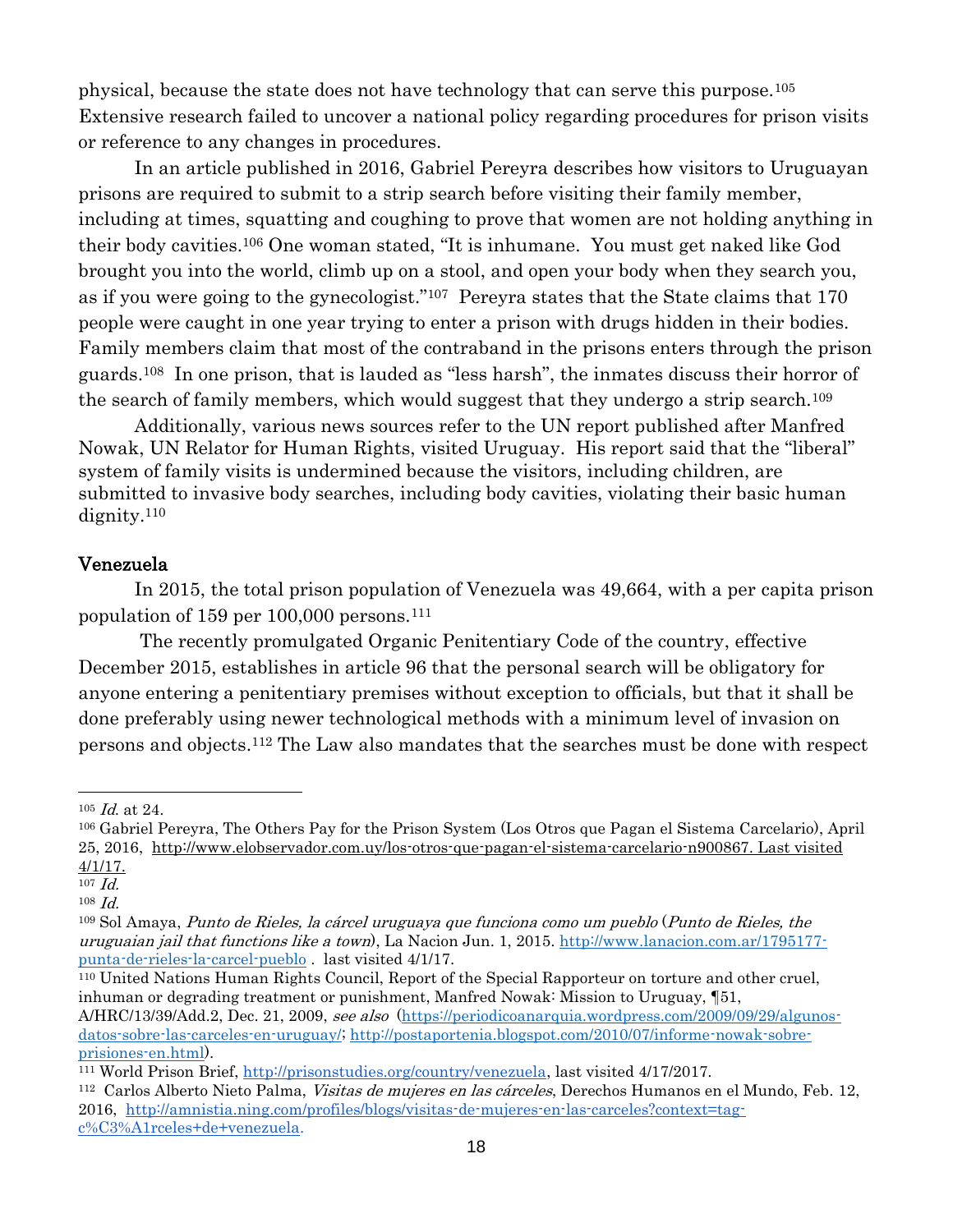physical, because the state does not have technology that can serve this purpose.<sup>105</sup> Extensive research failed to uncover a national policy regarding procedures for prison visits or reference to any changes in procedures.

In an article published in 2016, Gabriel Pereyra describes how visitors to Uruguayan prisons are required to submit to a strip search before visiting their family member, including at times, squatting and coughing to prove that women are not holding anything in their body cavities.<sup>106</sup> One woman stated, "It is inhumane. You must get naked like God brought you into the world, climb up on a stool, and open your body when they search you, as if you were going to the gynecologist."<sup>107</sup> Pereyra states that the State claims that 170 people were caught in one year trying to enter a prison with drugs hidden in their bodies. Family members claim that most of the contraband in the prisons enters through the prison guards.108 In one prison, that is lauded as "less harsh", the inmates discuss their horror of the search of family members, which would suggest that they undergo a strip search.<sup>109</sup>

Additionally, various news sources refer to the UN report published after Manfred Nowak, UN Relator for Human Rights, visited Uruguay. His report said that the "liberal" system of family visits is undermined because the visitors, including children, are submitted to invasive body searches, including body cavities, violating their basic human dignity.<sup>110</sup>

#### Venezuela

In 2015, the total prison population of Venezuela was 49,664, with a per capita prison population of 159 per 100,000 persons.<sup>111</sup>

The recently promulgated Organic Penitentiary Code of the country, effective December 2015, establishes in article 96 that the personal search will be obligatory for anyone entering a penitentiary premises without exception to officials, but that it shall be done preferably using newer technological methods with a minimum level of invasion on persons and objects.<sup>112</sup> The Law also mandates that the searches must be done with respect

 $105$  *Id.* at 24.

<sup>106</sup> Gabriel Pereyra, The Others Pay for the Prison System (Los Otros que Pagan el Sistema Carcelario), April 25, 2016, [http://www.elobservador.com.uy/los-otros-que-pagan-el-sistema-carcelario-n900867.](http://www.elobservador.com.uy/los-otros-que-pagan-el-sistema-carcelario-n900867) Last visited 4/1/17.

 $107$   $Id.$ 

<sup>108</sup> Id.

<sup>109</sup> Sol Amaya, Punto de Rieles, la cárcel uruguaya que funciona como um pueblo (Punto de Rieles, the uruguaian jail that functions like a town), La Nacion Jun. 1, 2015. [http://www.lanacion.com.ar/1795177](http://www.lanacion.com.ar/1795177-punta-de-rieles-la-carcel-pueblo) [punta-de-rieles-la-carcel-pueblo](http://www.lanacion.com.ar/1795177-punta-de-rieles-la-carcel-pueblo) . last visited 4/1/17.

<sup>110</sup> United Nations Human Rights Council, Report of the Special Rapporteur on torture and other cruel, inhuman or degrading treatment or punishment, Manfred Nowak: Mission to Uruguay, ¶51, A/HRC/13/39/Add.2, Dec. 21, 2009, see also [\(https://periodicoanarquia.wordpress.com/2009/09/29/algunos](https://periodicoanarquia.wordpress.com/2009/09/29/algunos-datos-sobre-las-carceles-en-uruguay/)[datos-sobre-las-carceles-en-uruguay/;](https://periodicoanarquia.wordpress.com/2009/09/29/algunos-datos-sobre-las-carceles-en-uruguay/) [http://postaportenia.blogspot.com/2010/07/informe-nowak-sobre](http://postaportenia.blogspot.com/2010/07/informe-nowak-sobre-prisiones-en.html)[prisiones-en.html\)](http://postaportenia.blogspot.com/2010/07/informe-nowak-sobre-prisiones-en.html).

<sup>111</sup> World Prison Brief, [http://prisonstudies.org/country/venezuela,](http://prisonstudies.org/country/venezuela) last visited 4/17/2017.

<sup>&</sup>lt;sup>112</sup> Carlos Alberto Nieto Palma, *Visitas de mujeres en las cárceles*, Derechos Humanos en el Mundo, Feb. 12, 2016, [http://amnistia.ning.com/profiles/blogs/visitas-de-mujeres-en-las-carceles?context=tag](http://amnistia.ning.com/profiles/blogs/visitas-de-mujeres-en-las-carceles?context=tag-c%C3%A1rceles+de+venezuela)[c%C3%A1rceles+de+venezuela.](http://amnistia.ning.com/profiles/blogs/visitas-de-mujeres-en-las-carceles?context=tag-c%C3%A1rceles+de+venezuela)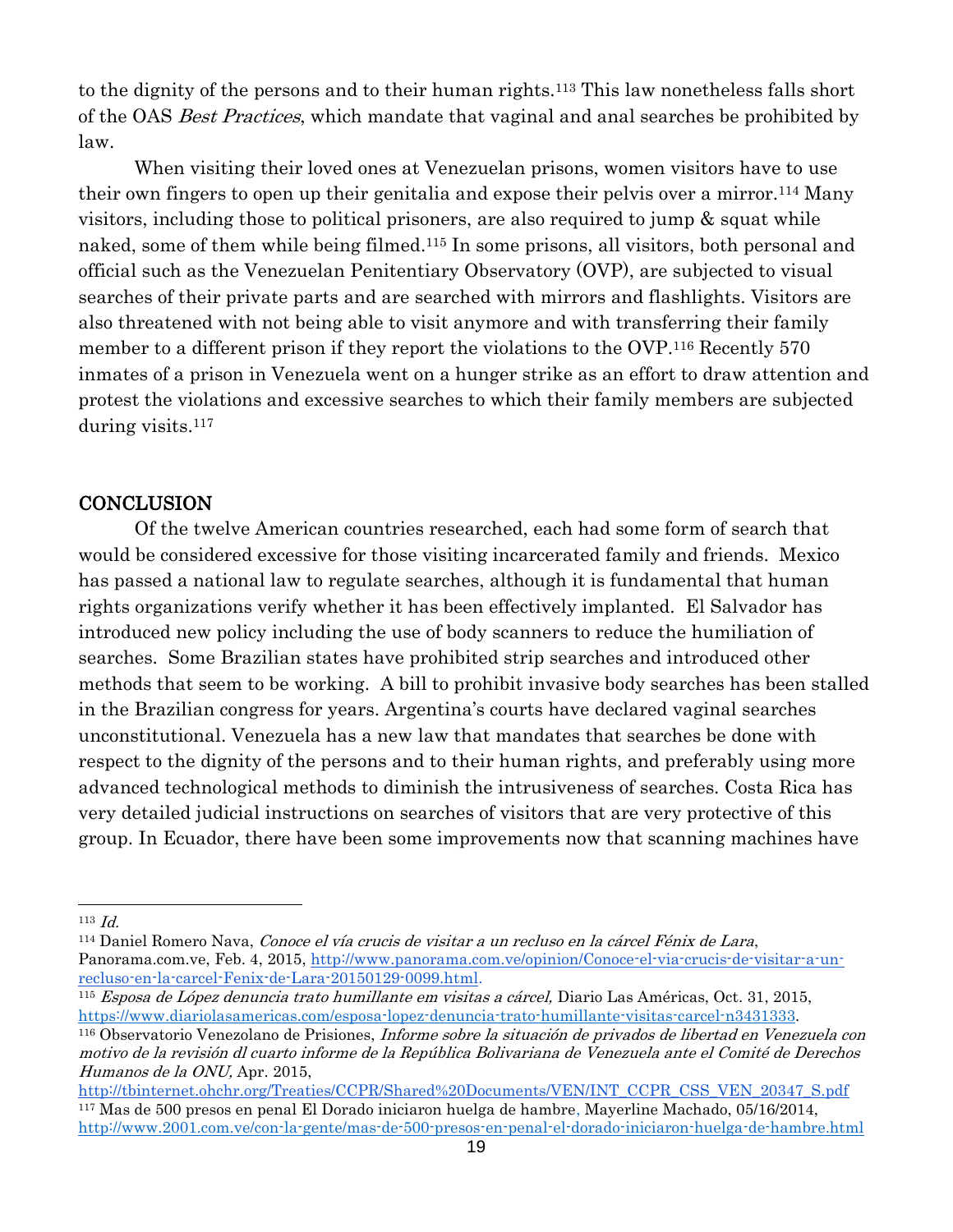to the dignity of the persons and to their human rights.<sup>113</sup> This law nonetheless falls short of the OAS Best Practices, which mandate that vaginal and anal searches be prohibited by law.

When visiting their loved ones at Venezuelan prisons, women visitors have to use their own fingers to open up their genitalia and expose their pelvis over a mirror.<sup>114</sup> Many visitors, including those to political prisoners, are also required to jump & squat while naked, some of them while being filmed. <sup>115</sup> In some prisons, all visitors, both personal and official such as the Venezuelan Penitentiary Observatory (OVP), are subjected to visual searches of their private parts and are searched with mirrors and flashlights. Visitors are also threatened with not being able to visit anymore and with transferring their family member to a different prison if they report the violations to the OVP.<sup>116</sup> Recently 570 inmates of a prison in Venezuela went on a hunger strike as an effort to draw attention and protest the violations and excessive searches to which their family members are subjected during visits.<sup>117</sup>

## **CONCLUSION**

Of the twelve American countries researched, each had some form of search that would be considered excessive for those visiting incarcerated family and friends. Mexico has passed a national law to regulate searches, although it is fundamental that human rights organizations verify whether it has been effectively implanted. El Salvador has introduced new policy including the use of body scanners to reduce the humiliation of searches. Some Brazilian states have prohibited strip searches and introduced other methods that seem to be working. A bill to prohibit invasive body searches has been stalled in the Brazilian congress for years. Argentina's courts have declared vaginal searches unconstitutional. Venezuela has a new law that mandates that searches be done with respect to the dignity of the persons and to their human rights, and preferably using more advanced technological methods to diminish the intrusiveness of searches. Costa Rica has very detailed judicial instructions on searches of visitors that are very protective of this group. In Ecuador, there have been some improvements now that scanning machines have

 $\overline{a}$ 

<sup>114</sup> Daniel Romero Nava, Conoce el vía crucis de visitar a un recluso en la cárcel Fénix de Lara, Panorama.com.ve, Feb. 4, 2015, [http://www.panorama.com.ve/opinion/Conoce-el-via-crucis-de-visitar-a-un](http://www.panorama.com.ve/opinion/Conoce-el-via-crucis-de-visitar-a-un-recluso-en-la-carcel-Fenix-de-Lara-20150129-0099.html)[recluso-en-la-carcel-Fenix-de-Lara-20150129-0099.html.](http://www.panorama.com.ve/opinion/Conoce-el-via-crucis-de-visitar-a-un-recluso-en-la-carcel-Fenix-de-Lara-20150129-0099.html)

<sup>115</sup> Esposa de López denuncia trato humillante em visitas a cárcel, Diario Las Américas, Oct. 31, 2015, [https://www.diariolasamericas.com/esposa-lopez-denuncia-trato-humillante-visitas-carcel-n3431333.](https://www.diariolasamericas.com/esposa-lopez-denuncia-trato-humillante-visitas-carcel-n3431333)

<sup>113</sup> Id.

<sup>116</sup> Observatorio Venezolano de Prisiones, Informe sobre la situación de privados de libertad en Venezuela con motivo de la revisión dl cuarto informe de la República Bolivariana de Venezuela ante el Comité de Derechos Humanos de la ONU, Apr. 2015,

[http://tbinternet.ohchr.org/Treaties/CCPR/Shared%20Documents/VEN/INT\\_CCPR\\_CSS\\_VEN\\_20347\\_S.pdf](http://tbinternet.ohchr.org/Treaties/CCPR/Shared%20Documents/VEN/INT_CCPR_CSS_VEN_20347_S.pdf) <sup>117</sup> Mas de 500 presos en penal El Dorado iniciaron huelga de hambre, Mayerline Machado, 05/16/2014, <http://www.2001.com.ve/con-la-gente/mas-de-500-presos-en-penal-el-dorado-iniciaron-huelga-de-hambre.html>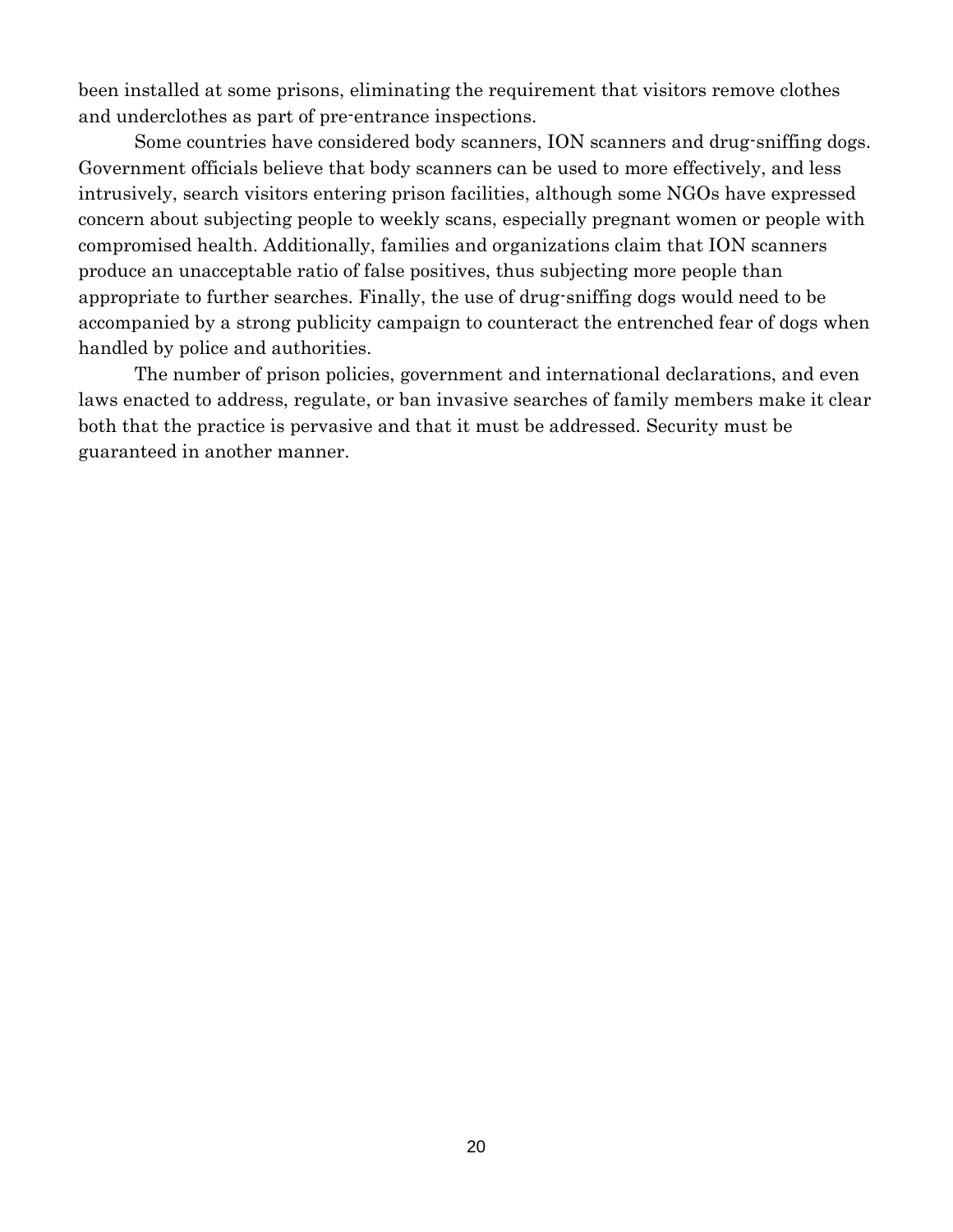been installed at some prisons, eliminating the requirement that visitors remove clothes and underclothes as part of pre-entrance inspections.

Some countries have considered body scanners, ION scanners and drug-sniffing dogs. Government officials believe that body scanners can be used to more effectively, and less intrusively, search visitors entering prison facilities, although some NGOs have expressed concern about subjecting people to weekly scans, especially pregnant women or people with compromised health. Additionally, families and organizations claim that ION scanners produce an unacceptable ratio of false positives, thus subjecting more people than appropriate to further searches. Finally, the use of drug-sniffing dogs would need to be accompanied by a strong publicity campaign to counteract the entrenched fear of dogs when handled by police and authorities.

The number of prison policies, government and international declarations, and even laws enacted to address, regulate, or ban invasive searches of family members make it clear both that the practice is pervasive and that it must be addressed. Security must be guaranteed in another manner.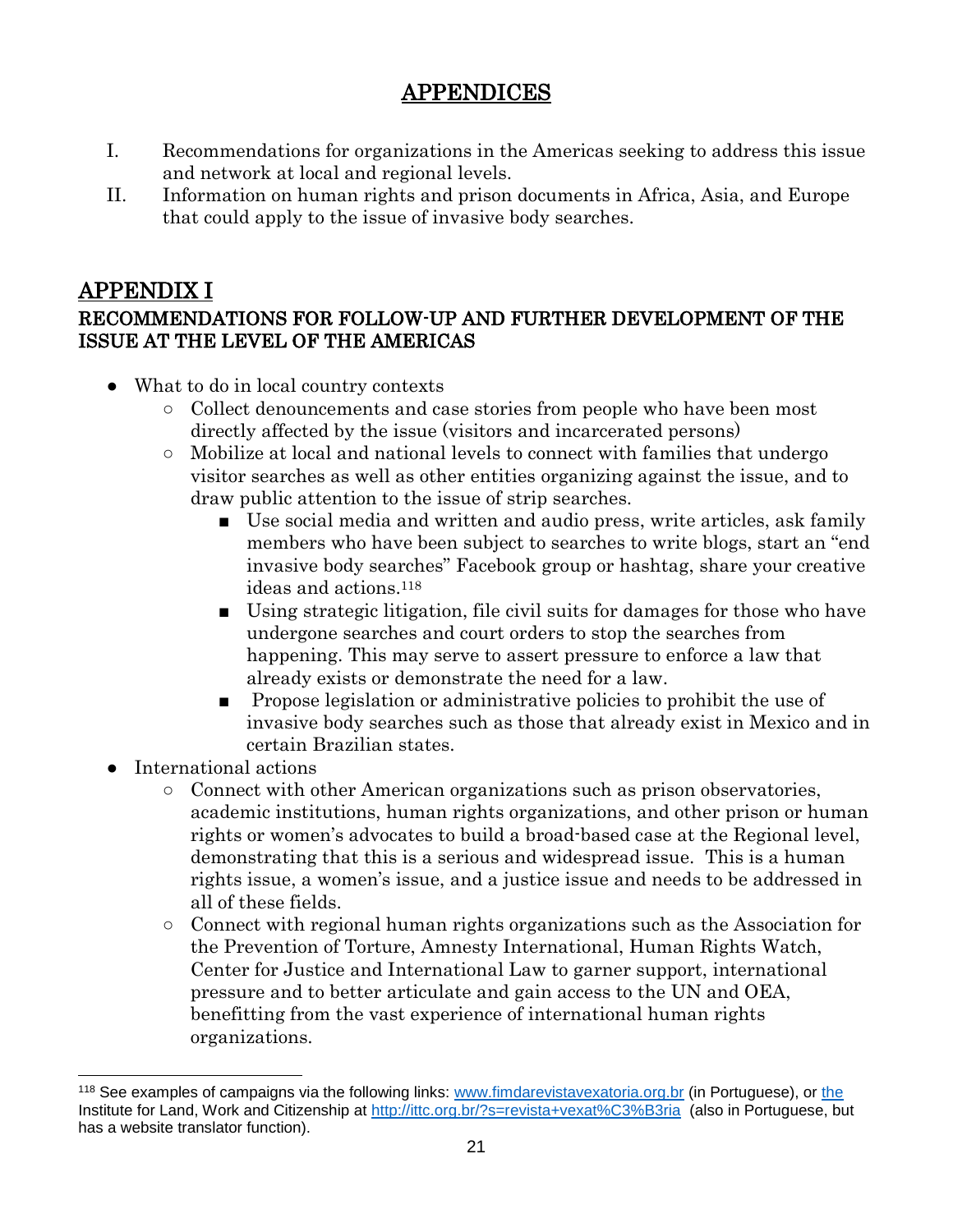# APPENDICES

- I. Recommendations for organizations in the Americas seeking to address this issue and network at local and regional levels.
- II. Information on human rights and prison documents in Africa, Asia, and Europe that could apply to the issue of invasive body searches.

# APPENDIX I

# RECOMMENDATIONS FOR FOLLOW-UP AND FURTHER DEVELOPMENT OF THE ISSUE AT THE LEVEL OF THE AMERICAS

- What to do in local country contexts
	- Collect denouncements and case stories from people who have been most directly affected by the issue (visitors and incarcerated persons)
	- Mobilize at local and national levels to connect with families that undergo visitor searches as well as other entities organizing against the issue, and to draw public attention to the issue of strip searches.
		- Use social media and written and audio press, write articles, ask family members who have been subject to searches to write blogs, start an "end invasive body searches" Facebook group or hashtag, share your creative ideas and actions.<sup>118</sup>
		- Using strategic litigation, file civil suits for damages for those who have undergone searches and court orders to stop the searches from happening. This may serve to assert pressure to enforce a law that already exists or demonstrate the need for a law.
		- Propose legislation or administrative policies to prohibit the use of invasive body searches such as those that already exist in Mexico and in certain Brazilian states.
- International actions

- Connect with other American organizations such as prison observatories, academic institutions, human rights organizations, and other prison or human rights or women's advocates to build a broad-based case at the Regional level, demonstrating that this is a serious and widespread issue. This is a human rights issue, a women's issue, and a justice issue and needs to be addressed in all of these fields.
- Connect with regional human rights organizations such as the Association for the Prevention of Torture, Amnesty International, Human Rights Watch, Center for Justice and International Law to garner support, international pressure and to better articulate and gain access to the UN and OEA, benefitting from the vast experience of international human rights organizations.

<sup>118</sup> See examples of campaigns via the following links: [www.fimdarevistavexatoria.org.br](http://www.fimdarevistavexatoria.org.br/) (in Portuguese), or [the](http://www.ittc.org.br/) Institute for Land, Work and Citizenship at<http://ittc.org.br/?s=revista+vexat%C3%B3ria>(also in Portuguese, but has a website translator function).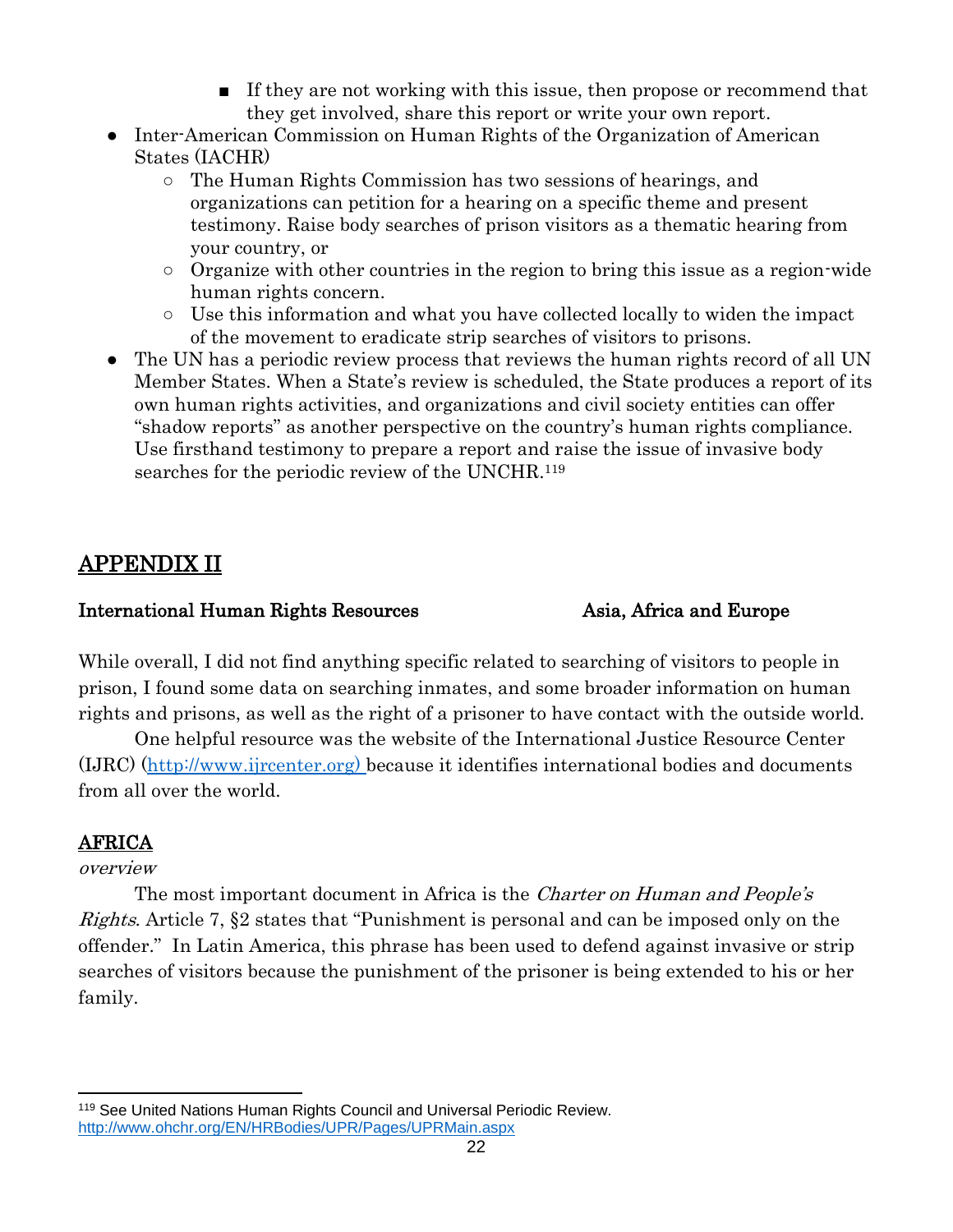- If they are not working with this issue, then propose or recommend that they get involved, share this report or write your own report.
- Inter-American Commission on Human Rights of the Organization of American States (IACHR)
	- The Human Rights Commission has two sessions of hearings, and organizations can petition for a hearing on a specific theme and present testimony. Raise body searches of prison visitors as a thematic hearing from your country, or
	- Organize with other countries in the region to bring this issue as a region-wide human rights concern.
	- Use this information and what you have collected locally to widen the impact of the movement to eradicate strip searches of visitors to prisons.
- The UN has a periodic review process that reviews the human rights record of all UN Member States. When a State's review is scheduled, the State produces a report of its own human rights activities, and organizations and civil society entities can offer "shadow reports" as another perspective on the country's human rights compliance. Use firsthand testimony to prepare a report and raise the issue of invasive body searches for the periodic review of the UNCHR.<sup>119</sup>

# APPENDIX II

## International Human Rights Resources Asia, Africa and Europe

While overall, I did not find anything specific related to searching of visitors to people in prison, I found some data on searching inmates, and some broader information on human rights and prisons, as well as the right of a prisoner to have contact with the outside world.

One helpful resource was the website of the International Justice Resource Center (IJRC) [\(http://www.ijrcenter.org\)](http://www.ijrcenter.org/) because it identifies international bodies and documents from all over the world.

# AFRICA

## overview

The most important document in Africa is the *Charter on Human and People's* Rights. Article 7, §2 states that "Punishment is personal and can be imposed only on the offender." In Latin America, this phrase has been used to defend against invasive or strip searches of visitors because the punishment of the prisoner is being extended to his or her family.

 <sup>119</sup> See United Nations Human Rights Council and Universal Periodic Review. <http://www.ohchr.org/EN/HRBodies/UPR/Pages/UPRMain.aspx>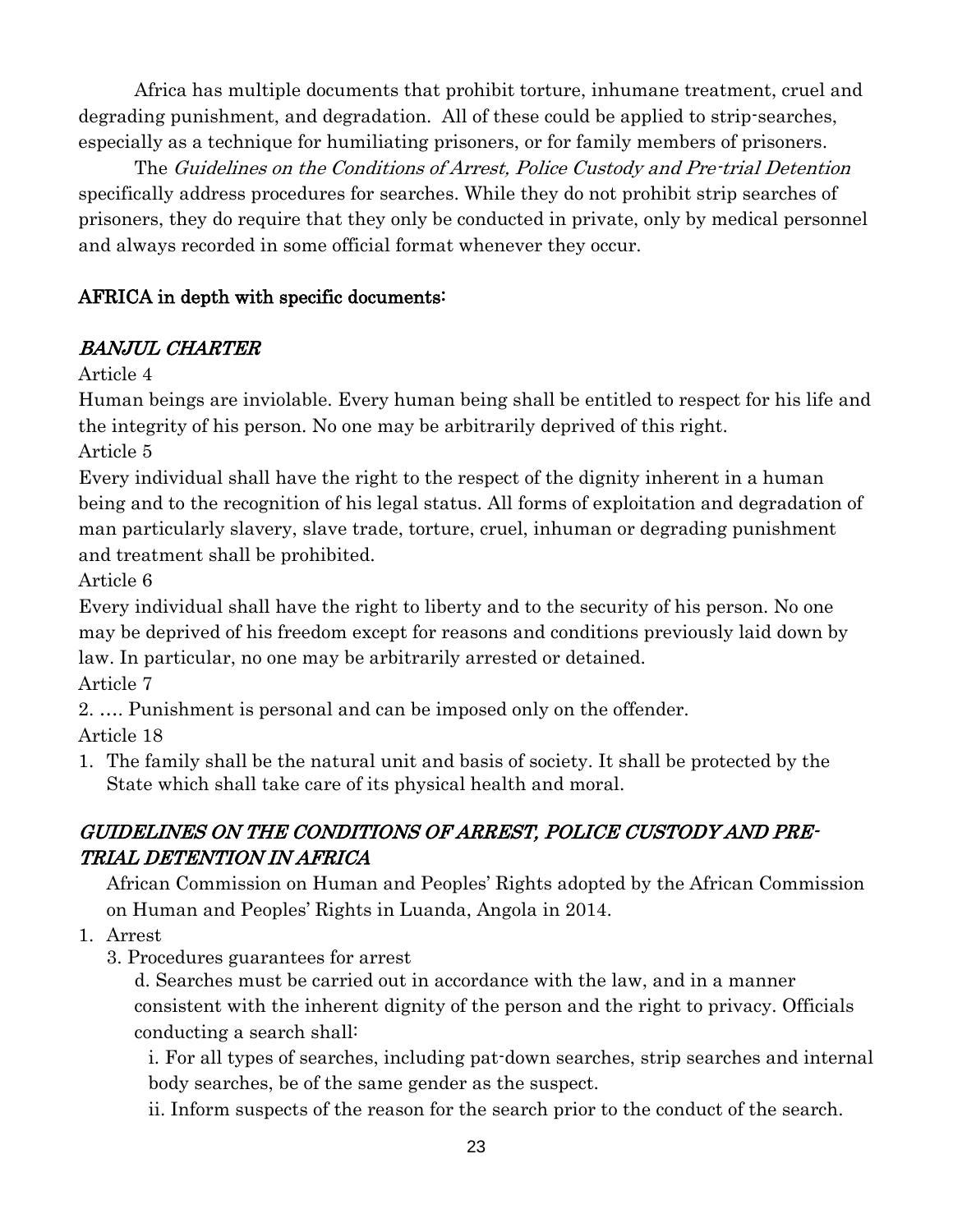Africa has multiple documents that prohibit torture, inhumane treatment, cruel and degrading punishment, and degradation. All of these could be applied to strip-searches, especially as a technique for humiliating prisoners, or for family members of prisoners.

The Guidelines on the Conditions of Arrest, Police Custody and Pre-trial Detention specifically address procedures for searches. While they do not prohibit strip searches of prisoners, they do require that they only be conducted in private, only by medical personnel and always recorded in some official format whenever they occur.

# AFRICA in depth with specific documents:

# BANJUL CHARTER

Article 4

Human beings are inviolable. Every human being shall be entitled to respect for his life and the integrity of his person. No one may be arbitrarily deprived of this right.

Article 5

Every individual shall have the right to the respect of the dignity inherent in a human being and to the recognition of his legal status. All forms of exploitation and degradation of man particularly slavery, slave trade, torture, cruel, inhuman or degrading punishment and treatment shall be prohibited.

Article 6

Every individual shall have the right to liberty and to the security of his person. No one may be deprived of his freedom except for reasons and conditions previously laid down by law. In particular, no one may be arbitrarily arrested or detained.

Article 7

2. …. Punishment is personal and can be imposed only on the offender.

Article 18

1. The family shall be the natural unit and basis of society. It shall be protected by the State which shall take care of its physical health and moral.

# GUIDELINES ON THE CONDITIONS OF ARREST, POLICE CUSTODY AND PRE-TRIAL DETENTION IN AFRICA

African Commission on Human and Peoples' Rights adopted by the African Commission on Human and Peoples' Rights in Luanda, Angola in 2014.

1. Arrest

3. Procedures guarantees for arrest

d. Searches must be carried out in accordance with the law, and in a manner consistent with the inherent dignity of the person and the right to privacy. Officials conducting a search shall:

i. For all types of searches, including pat-down searches, strip searches and internal body searches, be of the same gender as the suspect.

ii. Inform suspects of the reason for the search prior to the conduct of the search.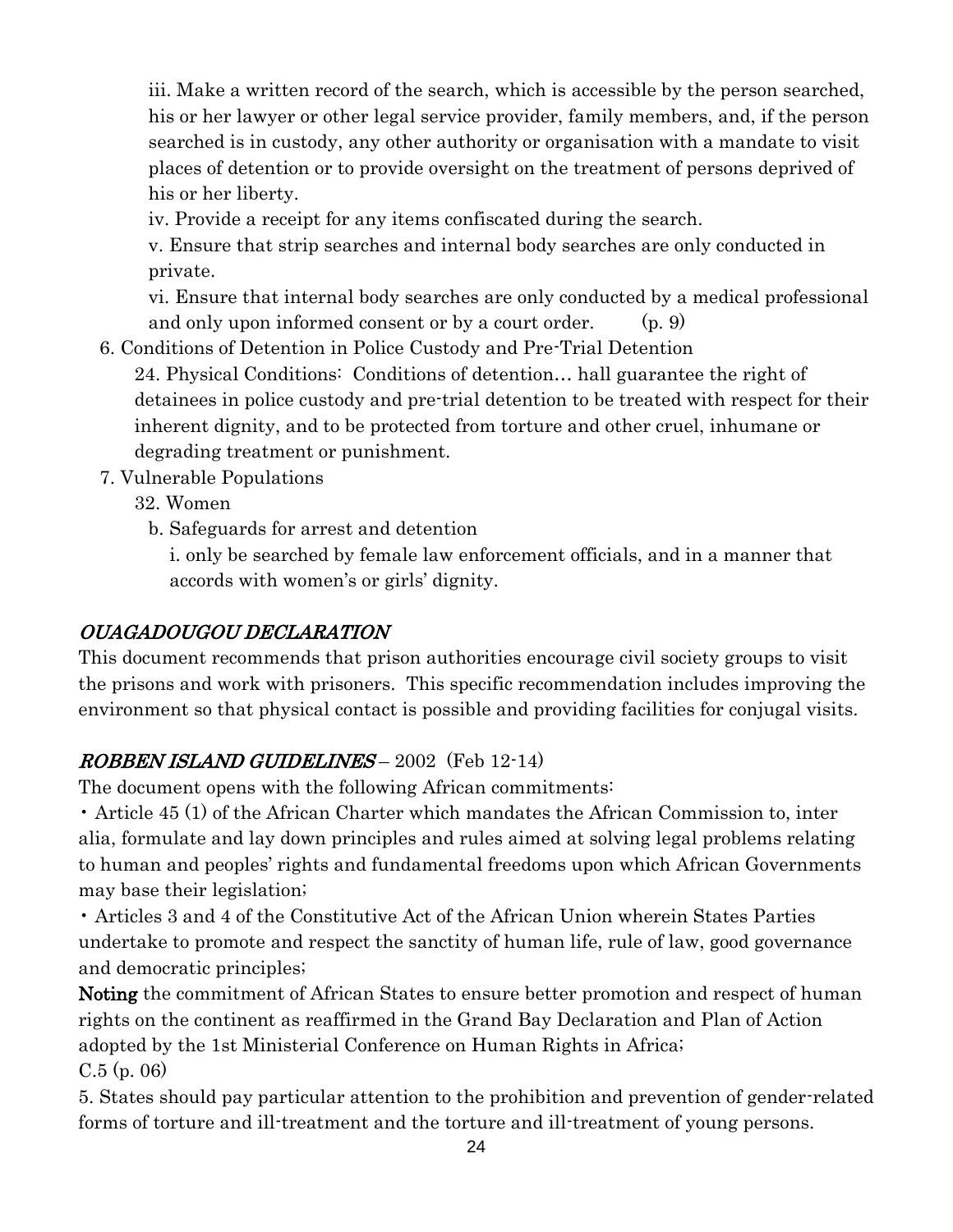iii. Make a written record of the search, which is accessible by the person searched, his or her lawyer or other legal service provider, family members, and, if the person searched is in custody, any other authority or organisation with a mandate to visit places of detention or to provide oversight on the treatment of persons deprived of his or her liberty.

iv. Provide a receipt for any items confiscated during the search.

v. Ensure that strip searches and internal body searches are only conducted in private.

vi. Ensure that internal body searches are only conducted by a medical professional and only upon informed consent or by a court order. (p. 9)

6. Conditions of Detention in Police Custody and Pre-Trial Detention

24. Physical Conditions: Conditions of detention… hall guarantee the right of detainees in police custody and pre-trial detention to be treated with respect for their inherent dignity, and to be protected from torture and other cruel, inhumane or degrading treatment or punishment.

7. Vulnerable Populations

32. Women

b. Safeguards for arrest and detention

i. only be searched by female law enforcement officials, and in a manner that accords with women's or girls' dignity.

# OUAGADOUGOU DECLARATION

This document recommends that prison authorities encourage civil society groups to visit the prisons and work with prisoners. This specific recommendation includes improving the environment so that physical contact is possible and providing facilities for conjugal visits.

# ROBBEN ISLAND GUIDELINES – 2002 (Feb 12-14)

The document opens with the following African commitments:

• Article 45 (1) of the African Charter which mandates the African Commission to, inter alia, formulate and lay down principles and rules aimed at solving legal problems relating to human and peoples' rights and fundamental freedoms upon which African Governments may base their legislation;

• Articles 3 and 4 of the Constitutive Act of the African Union wherein States Parties undertake to promote and respect the sanctity of human life, rule of law, good governance and democratic principles;

Noting the commitment of African States to ensure better promotion and respect of human rights on the continent as reaffirmed in the Grand Bay Declaration and Plan of Action adopted by the 1st Ministerial Conference on Human Rights in Africa;  $C.5$  (p. 06)

5. States should pay particular attention to the prohibition and prevention of gender-related forms of torture and ill-treatment and the torture and ill-treatment of young persons.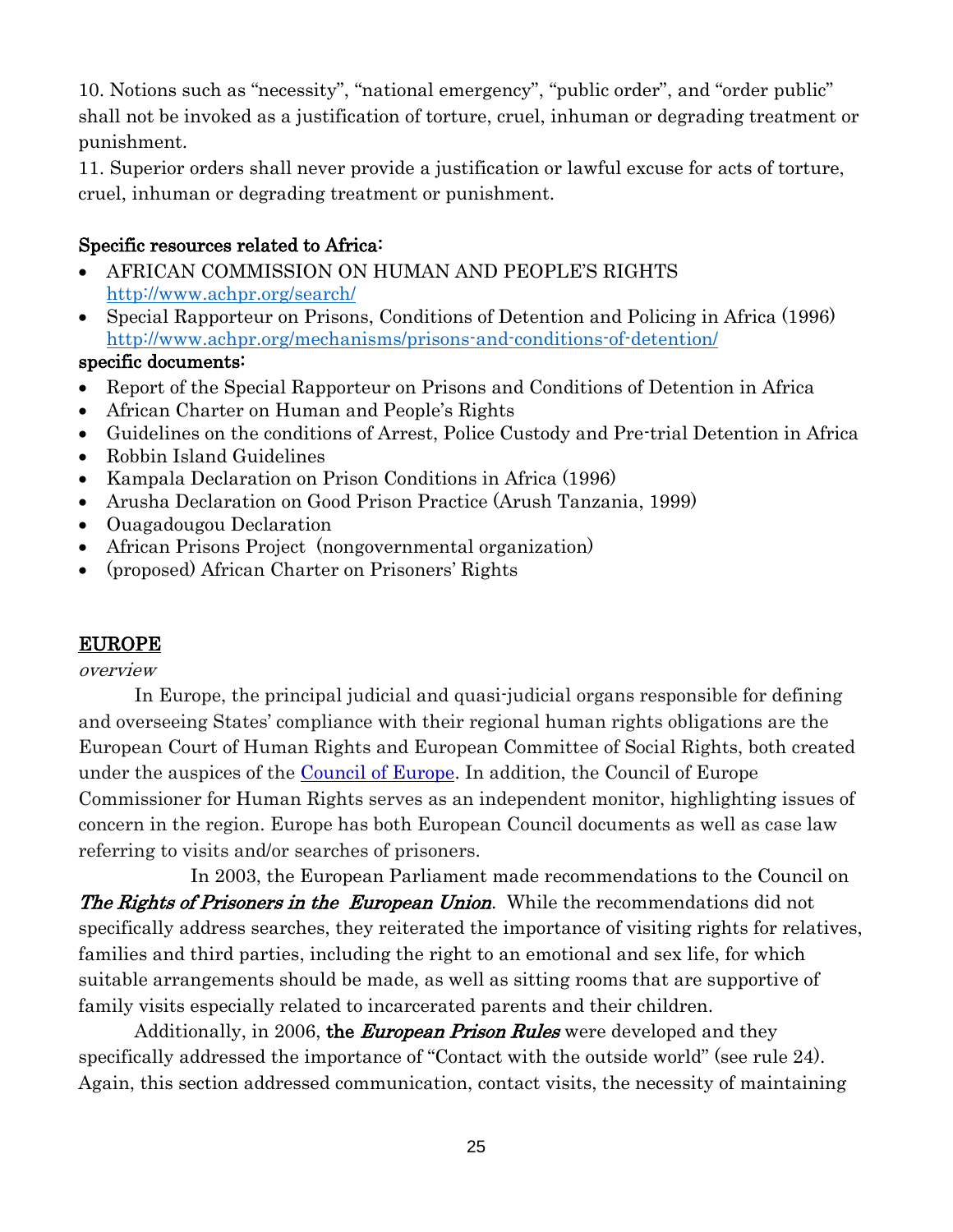10. Notions such as "necessity", "national emergency", "public order", and "order public" shall not be invoked as a justification of torture, cruel, inhuman or degrading treatment or punishment.

11. Superior orders shall never provide a justification or lawful excuse for acts of torture, cruel, inhuman or degrading treatment or punishment.

## Specific resources related to Africa:

- AFRICAN COMMISSION ON HUMAN AND PEOPLE'S RIGHTS <http://www.achpr.org/search/>
- Special Rapporteur on Prisons, Conditions of Detention and Policing in Africa (1996) <http://www.achpr.org/mechanisms/prisons-and-conditions-of-detention/>

## specific documents:

- Report of the Special Rapporteur on Prisons and Conditions of Detention in Africa
- African Charter on Human and People's Rights
- Guidelines on the conditions of Arrest, Police Custody and Pre-trial Detention in Africa
- Robbin Island Guidelines
- Kampala Declaration on Prison Conditions in Africa (1996)
- Arusha Declaration on Good Prison Practice (Arush Tanzania, 1999)
- Ouagadougou Declaration
- African Prisons Project (nongovernmental organization)
- (proposed) African Charter on Prisoners' Rights

# EUROPE

## overview

In Europe, the principal judicial and quasi-judicial organs responsible for defining and overseeing States' compliance with their regional human rights obligations are the European Court of Human Rights and European Committee of Social Rights, both created under the auspices of the [Council](http://hub.coe.int/) of Europe. In addition, the Council of Europe Commissioner for Human Rights serves as an independent monitor, highlighting issues of concern in the region. Europe has both European Council documents as well as case law referring to visits and/or searches of prisoners.

In 2003, the European Parliament made recommendations to the Council on The Rights of Prisoners in the European Union. While the recommendations did not specifically address searches, they reiterated the importance of visiting rights for relatives, families and third parties, including the right to an emotional and sex life, for which suitable arrangements should be made, as well as sitting rooms that are supportive of family visits especially related to incarcerated parents and their children.

Additionally, in 2006, the *European Prison Rules* were developed and they specifically addressed the importance of "Contact with the outside world" (see rule 24). Again, this section addressed communication, contact visits, the necessity of maintaining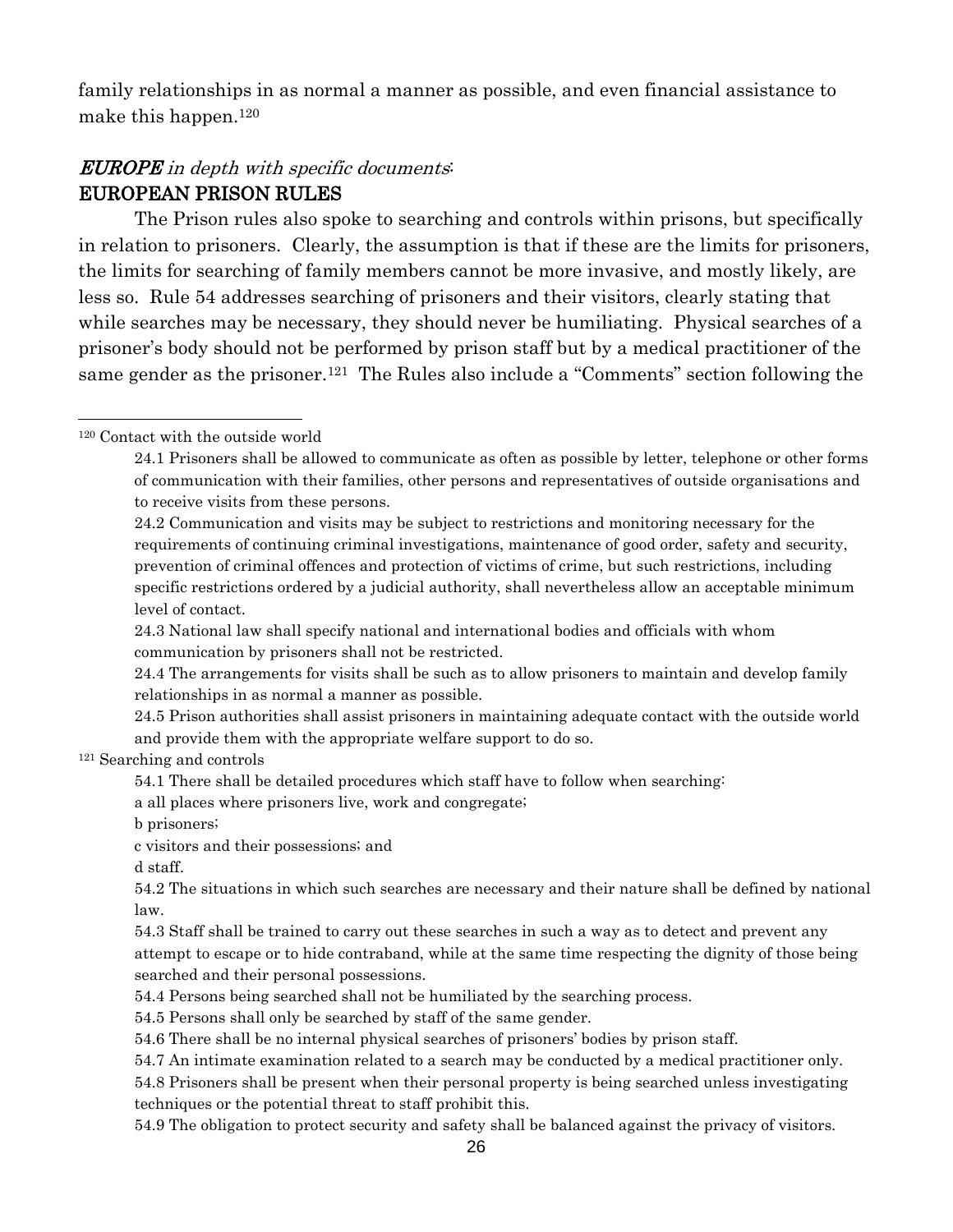family relationships in as normal a manner as possible, and even financial assistance to make this happen.<sup>120</sup>

# EUROPE in depth with specific documents: EUROPEAN PRISON RULES

The Prison rules also spoke to searching and controls within prisons, but specifically in relation to prisoners. Clearly, the assumption is that if these are the limits for prisoners, the limits for searching of family members cannot be more invasive, and mostly likely, are less so. Rule 54 addresses searching of prisoners and their visitors, clearly stating that while searches may be necessary, they should never be humiliating. Physical searches of a prisoner's body should not be performed by prison staff but by a medical practitioner of the same gender as the prisoner.<sup>121</sup> The Rules also include a "Comments" section following the

<sup>120</sup> Contact with the outside world

 $\overline{a}$ 

<sup>121</sup> Searching and controls

a all places where prisoners live, work and congregate;

b prisoners;

c visitors and their possessions; and

d staff.

54.3 Staff shall be trained to carry out these searches in such a way as to detect and prevent any attempt to escape or to hide contraband, while at the same time respecting the dignity of those being searched and their personal possessions.

54.4 Persons being searched shall not be humiliated by the searching process.

54.5 Persons shall only be searched by staff of the same gender.

54.6 There shall be no internal physical searches of prisoners' bodies by prison staff.

54.7 An intimate examination related to a search may be conducted by a medical practitioner only.

54.8 Prisoners shall be present when their personal property is being searched unless investigating techniques or the potential threat to staff prohibit this.

54.9 The obligation to protect security and safety shall be balanced against the privacy of visitors.

<sup>24.1</sup> Prisoners shall be allowed to communicate as often as possible by letter, telephone or other forms of communication with their families, other persons and representatives of outside organisations and to receive visits from these persons.

<sup>24.2</sup> Communication and visits may be subject to restrictions and monitoring necessary for the requirements of continuing criminal investigations, maintenance of good order, safety and security, prevention of criminal offences and protection of victims of crime, but such restrictions, including specific restrictions ordered by a judicial authority, shall nevertheless allow an acceptable minimum level of contact.

<sup>24.3</sup> National law shall specify national and international bodies and officials with whom communication by prisoners shall not be restricted.

<sup>24.4</sup> The arrangements for visits shall be such as to allow prisoners to maintain and develop family relationships in as normal a manner as possible.

<sup>24.5</sup> Prison authorities shall assist prisoners in maintaining adequate contact with the outside world and provide them with the appropriate welfare support to do so.

<sup>54.1</sup> There shall be detailed procedures which staff have to follow when searching:

<sup>54.2</sup> The situations in which such searches are necessary and their nature shall be defined by national law.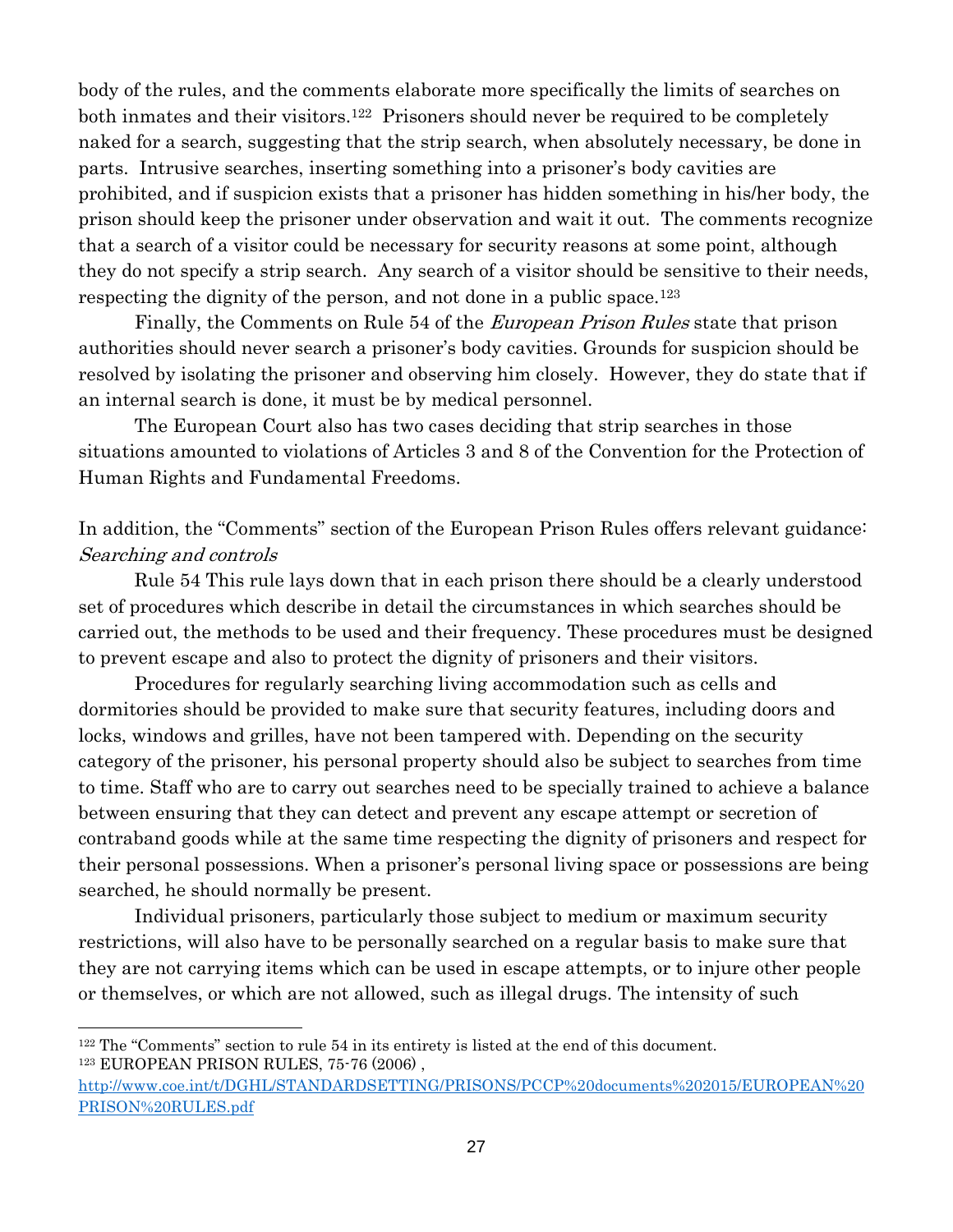body of the rules, and the comments elaborate more specifically the limits of searches on both inmates and their visitors.<sup>122</sup> Prisoners should never be required to be completely naked for a search, suggesting that the strip search, when absolutely necessary, be done in parts. Intrusive searches, inserting something into a prisoner's body cavities are prohibited, and if suspicion exists that a prisoner has hidden something in his/her body, the prison should keep the prisoner under observation and wait it out. The comments recognize that a search of a visitor could be necessary for security reasons at some point, although they do not specify a strip search. Any search of a visitor should be sensitive to their needs, respecting the dignity of the person, and not done in a public space.<sup>123</sup>

Finally, the Comments on Rule 54 of the *European Prison Rules* state that prison authorities should never search a prisoner's body cavities. Grounds for suspicion should be resolved by isolating the prisoner and observing him closely. However, they do state that if an internal search is done, it must be by medical personnel.

The European Court also has two cases deciding that strip searches in those situations amounted to violations of Articles 3 and 8 of the Convention for the Protection of Human Rights and Fundamental Freedoms.

## In addition, the "Comments" section of the European Prison Rules offers relevant guidance: Searching and controls

Rule 54 This rule lays down that in each prison there should be a clearly understood set of procedures which describe in detail the circumstances in which searches should be carried out, the methods to be used and their frequency. These procedures must be designed to prevent escape and also to protect the dignity of prisoners and their visitors.

Procedures for regularly searching living accommodation such as cells and dormitories should be provided to make sure that security features, including doors and locks, windows and grilles, have not been tampered with. Depending on the security category of the prisoner, his personal property should also be subject to searches from time to time. Staff who are to carry out searches need to be specially trained to achieve a balance between ensuring that they can detect and prevent any escape attempt or secretion of contraband goods while at the same time respecting the dignity of prisoners and respect for their personal possessions. When a prisoner's personal living space or possessions are being searched, he should normally be present.

Individual prisoners, particularly those subject to medium or maximum security restrictions, will also have to be personally searched on a regular basis to make sure that they are not carrying items which can be used in escape attempts, or to injure other people or themselves, or which are not allowed, such as illegal drugs. The intensity of such

<sup>122</sup> The "Comments" section to rule 54 in its entirety is listed at the end of this document. <sup>123</sup> EUROPEAN PRISON RULES, 75-76 (2006) ,

[http://www.coe.int/t/DGHL/STANDARDSETTING/PRISONS/PCCP%20documents%202015/EUROPEAN%20](http://www.coe.int/t/DGHL/STANDARDSETTING/PRISONS/PCCP%20documents%202015/EUROPEAN%20PRISON%20RULES.pdf) [PRISON%20RULES.pdf](http://www.coe.int/t/DGHL/STANDARDSETTING/PRISONS/PCCP%20documents%202015/EUROPEAN%20PRISON%20RULES.pdf)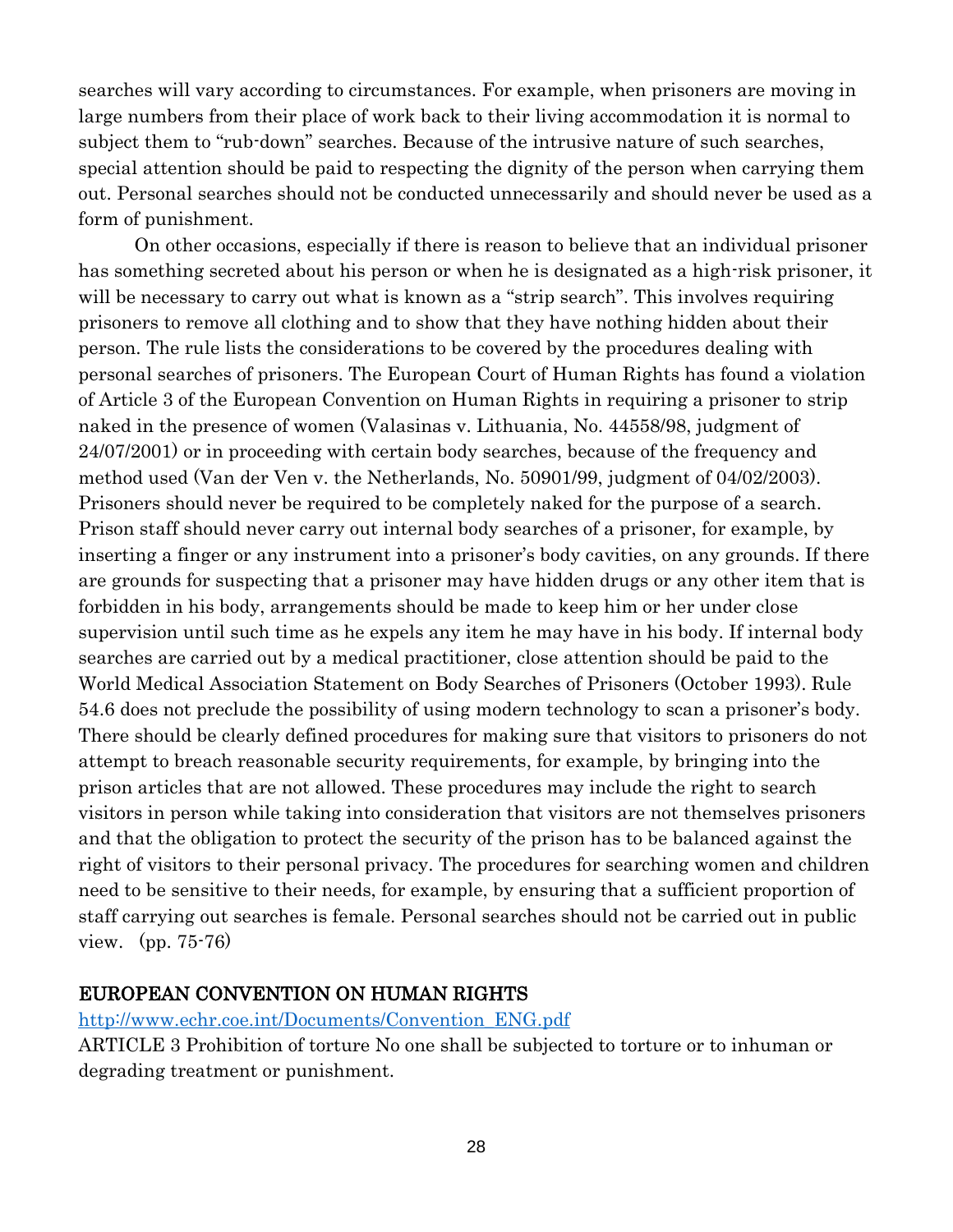searches will vary according to circumstances. For example, when prisoners are moving in large numbers from their place of work back to their living accommodation it is normal to subject them to "rub-down" searches. Because of the intrusive nature of such searches, special attention should be paid to respecting the dignity of the person when carrying them out. Personal searches should not be conducted unnecessarily and should never be used as a form of punishment.

On other occasions, especially if there is reason to believe that an individual prisoner has something secreted about his person or when he is designated as a high-risk prisoner, it will be necessary to carry out what is known as a "strip search". This involves requiring prisoners to remove all clothing and to show that they have nothing hidden about their person. The rule lists the considerations to be covered by the procedures dealing with personal searches of prisoners. The European Court of Human Rights has found a violation of Article 3 of the European Convention on Human Rights in requiring a prisoner to strip naked in the presence of women (Valasinas v. Lithuania, No. 44558/98, judgment of 24/07/2001) or in proceeding with certain body searches, because of the frequency and method used (Van der Ven v. the Netherlands, No. 50901/99, judgment of 04/02/2003). Prisoners should never be required to be completely naked for the purpose of a search. Prison staff should never carry out internal body searches of a prisoner, for example, by inserting a finger or any instrument into a prisoner's body cavities, on any grounds. If there are grounds for suspecting that a prisoner may have hidden drugs or any other item that is forbidden in his body, arrangements should be made to keep him or her under close supervision until such time as he expels any item he may have in his body. If internal body searches are carried out by a medical practitioner, close attention should be paid to the World Medical Association Statement on Body Searches of Prisoners (October 1993). Rule 54.6 does not preclude the possibility of using modern technology to scan a prisoner's body. There should be clearly defined procedures for making sure that visitors to prisoners do not attempt to breach reasonable security requirements, for example, by bringing into the prison articles that are not allowed. These procedures may include the right to search visitors in person while taking into consideration that visitors are not themselves prisoners and that the obligation to protect the security of the prison has to be balanced against the right of visitors to their personal privacy. The procedures for searching women and children need to be sensitive to their needs, for example, by ensuring that a sufficient proportion of staff carrying out searches is female. Personal searches should not be carried out in public view. (pp. 75-76)

#### EUROPEAN CONVENTION ON HUMAN RIGHTS

[http://www.echr.coe.int/Documents/Convention\\_ENG.pdf](http://www.echr.coe.int/Documents/Convention_ENG.pdf)

ARTICLE 3 Prohibition of torture No one shall be subjected to torture or to inhuman or degrading treatment or punishment.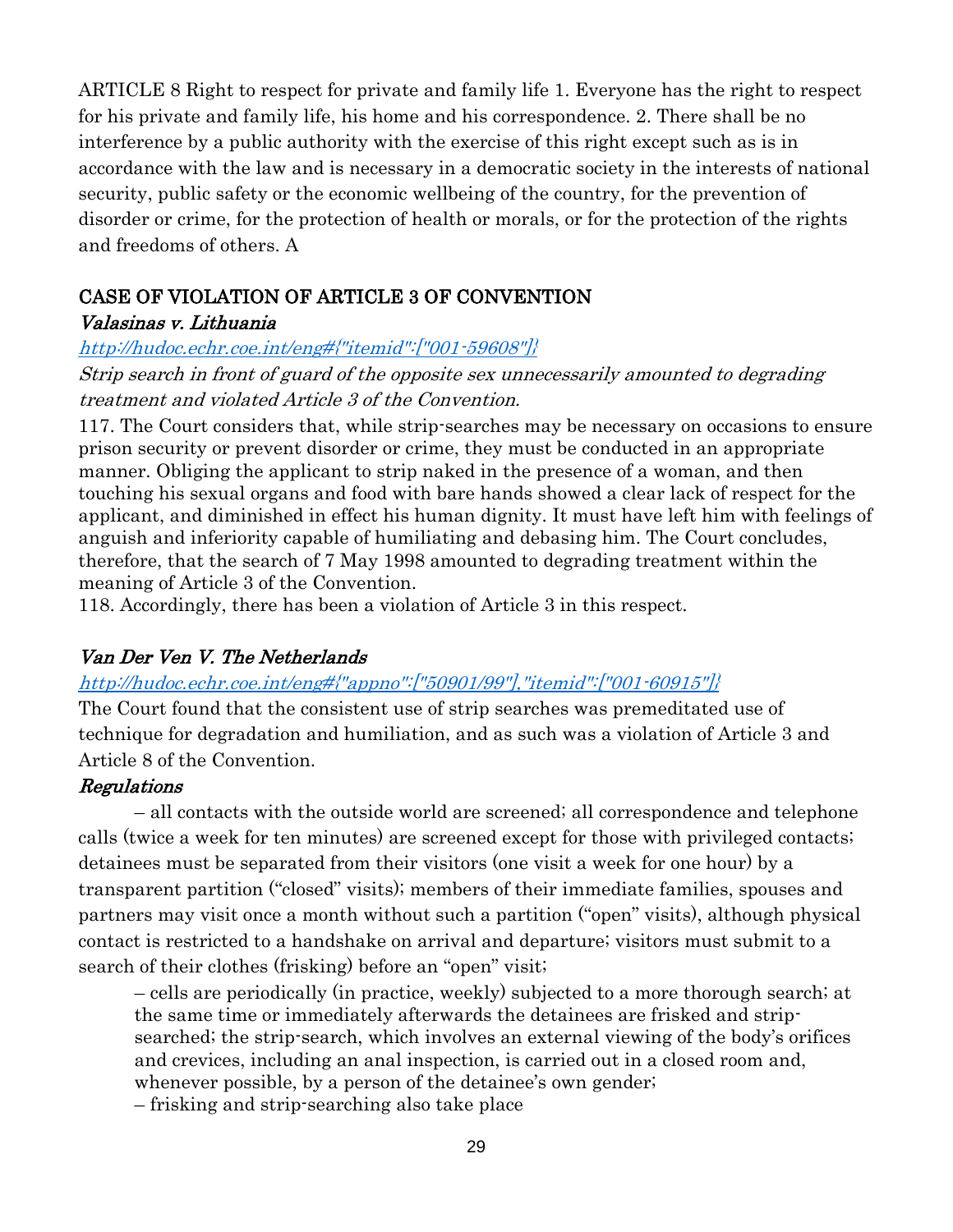ARTICLE 8 Right to respect for private and family life 1. Everyone has the right to respect for his private and family life, his home and his correspondence. 2. There shall be no interference by a public authority with the exercise of this right except such as is in accordance with the law and is necessary in a democratic society in the interests of national security, public safety or the economic wellbeing of the country, for the prevention of disorder or crime, for the protection of health or morals, or for the protection of the rights and freedoms of others. A

# CASE OF VIOLATION OF ARTICLE 3 OF CONVENTION

## Valasinas v. Lithuania

## [http://hudoc.echr.coe.int/eng#{"itemid":\["001-59608"\]}](http://hudoc.echr.coe.int/eng#{"itemid":["001-59608"]})

Strip search in front of guard of the opposite sex unnecessarily amounted to degrading treatment and violated Article 3 of the Convention.

117. The Court considers that, while strip-searches may be necessary on occasions to ensure prison security or prevent disorder or crime, they must be conducted in an appropriate manner. Obliging the applicant to strip naked in the presence of a woman, and then touching his sexual organs and food with bare hands showed a clear lack of respect for the applicant, and diminished in effect his human dignity. It must have left him with feelings of anguish and inferiority capable of humiliating and debasing him. The Court concludes, therefore, that the search of 7 May 1998 amounted to degrading treatment within the meaning of Article 3 of the Convention.

118. Accordingly, there has been a violation of Article 3 in this respect.

# Van Der Ven V. The Netherlands

# [http://hudoc.echr.coe.int/eng#{"appno":\["50901/99"\],"itemid":\["001-60915"\]}](http://hudoc.echr.coe.int/eng#{"appno":["50901/99"],"itemid":["001-60915"]})

The Court found that the consistent use of strip searches was premeditated use of technique for degradation and humiliation, and as such was a violation of Article 3 and Article 8 of the Convention.

# Regulations

– all contacts with the outside world are screened; all correspondence and telephone calls (twice a week for ten minutes) are screened except for those with privileged contacts; detainees must be separated from their visitors (one visit a week for one hour) by a transparent partition ("closed" visits); members of their immediate families, spouses and partners may visit once a month without such a partition ("open" visits), although physical contact is restricted to a handshake on arrival and departure; visitors must submit to a search of their clothes (frisking) before an "open" visit;

– cells are periodically (in practice, weekly) subjected to a more thorough search; at the same time or immediately afterwards the detainees are frisked and stripsearched; the strip-search, which involves an external viewing of the body's orifices and crevices, including an anal inspection, is carried out in a closed room and, whenever possible, by a person of the detainee's own gender;

– frisking and strip-searching also take place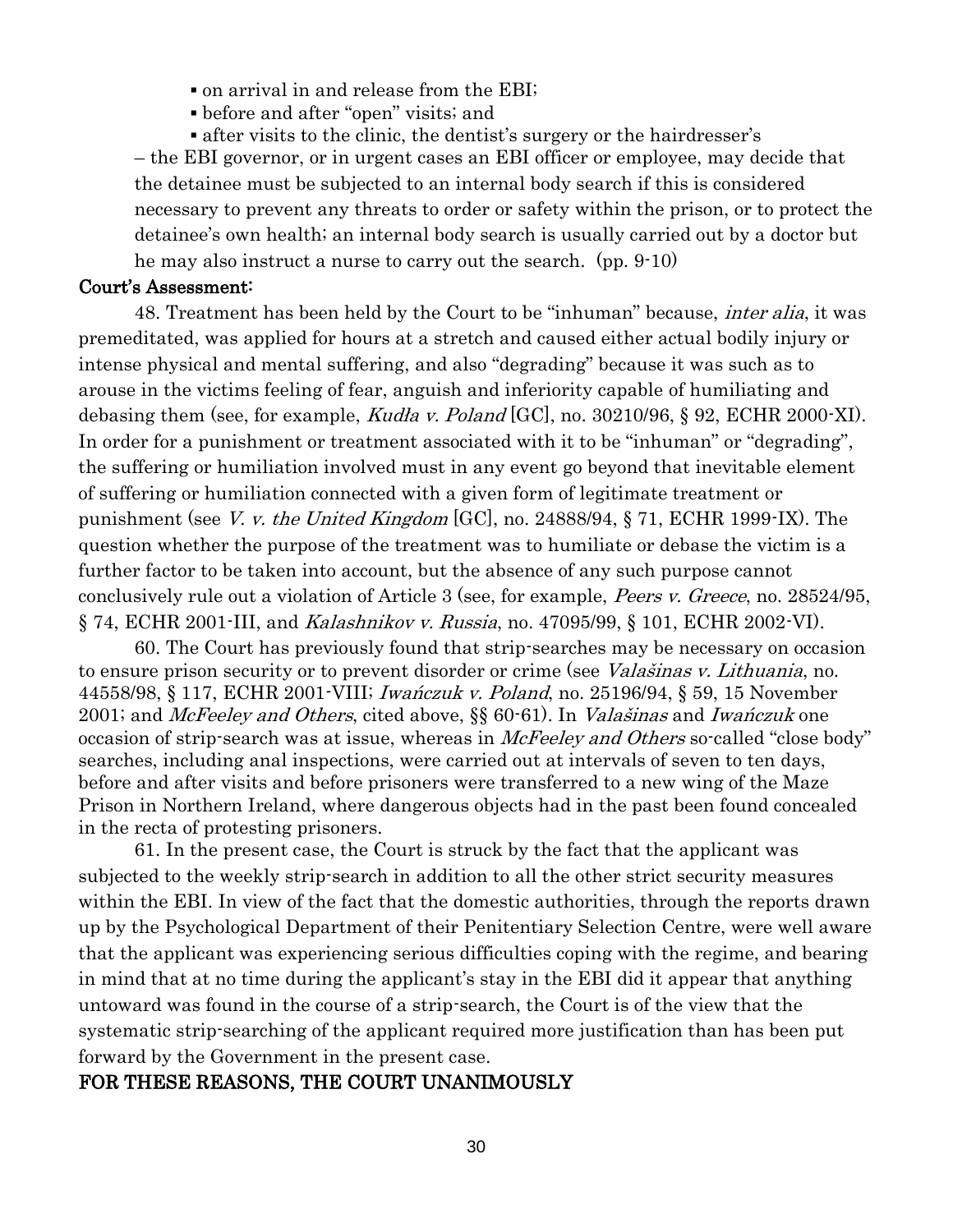- on arrival in and release from the EBI;
- before and after "open" visits; and

▪ after visits to the clinic, the dentist's surgery or the hairdresser's – the EBI governor, or in urgent cases an EBI officer or employee, may decide that the detainee must be subjected to an internal body search if this is considered necessary to prevent any threats to order or safety within the prison, or to protect the detainee's own health; an internal body search is usually carried out by a doctor but he may also instruct a nurse to carry out the search. (pp. 9-10)

#### Court's Assessment:

48. Treatment has been held by the Court to be "inhuman" because, inter alia, it was premeditated, was applied for hours at a stretch and caused either actual bodily injury or intense physical and mental suffering, and also "degrading" because it was such as to arouse in the victims feeling of fear, anguish and inferiority capable of humiliating and debasing them (see, for example, *Kudła v. Poland* [GC], no.  $30210/96$ , § 92, ECHR 2000-XI). In order for a punishment or treatment associated with it to be "inhuman" or "degrading", the suffering or humiliation involved must in any event go beyond that inevitable element of suffering or humiliation connected with a given form of legitimate treatment or punishment (see V. v. the United Kingdom  $[GC]$ , no. 24888/94, § 71, ECHR 1999-IX). The question whether the purpose of the treatment was to humiliate or debase the victim is a further factor to be taken into account, but the absence of any such purpose cannot conclusively rule out a violation of Article 3 (see, for example, Peers v. Greece, no. 28524/95, § 74, ECHR 2001-III, and *Kalashnikov v. Russia*, no. 47095/99, § 101, ECHR 2002-VI).

60. The Court has previously found that strip-searches may be necessary on occasion to ensure prison security or to prevent disorder or crime (see *Valašinas v. Lithuania*, no. 44558/98, § 117, ECHR 2001-VIII; Iwańczuk v. Poland, no. 25196/94, § 59, 15 November 2001; and *McFeeley and Others*, cited above, §§ 60-61). In *Valašinas* and *Iwańczuk* one occasion of strip-search was at issue, whereas in *McFeeley and Others* so-called "close body" searches, including anal inspections, were carried out at intervals of seven to ten days, before and after visits and before prisoners were transferred to a new wing of the Maze Prison in Northern Ireland, where dangerous objects had in the past been found concealed in the recta of protesting prisoners.

61. In the present case, the Court is struck by the fact that the applicant was subjected to the weekly strip-search in addition to all the other strict security measures within the EBI. In view of the fact that the domestic authorities, through the reports drawn up by the Psychological Department of their Penitentiary Selection Centre, were well aware that the applicant was experiencing serious difficulties coping with the regime, and bearing in mind that at no time during the applicant's stay in the EBI did it appear that anything untoward was found in the course of a strip-search, the Court is of the view that the systematic strip-searching of the applicant required more justification than has been put forward by the Government in the present case.

#### FOR THESE REASONS, THE COURT UNANIMOUSLY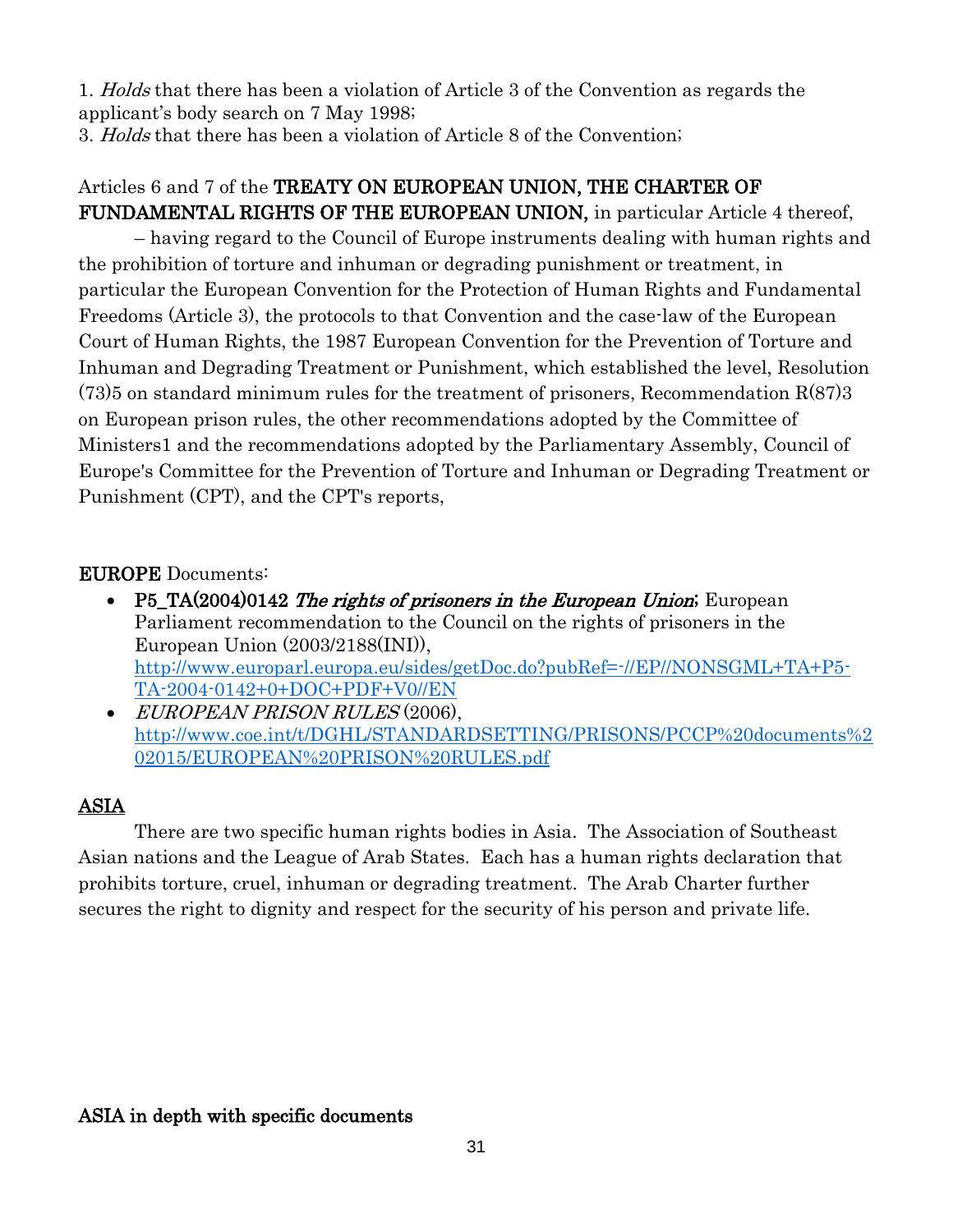1. *Holds* that there has been a violation of Article 3 of the Convention as regards the applicant's body search on 7 May 1998;

3. Holds that there has been a violation of Article 8 of the Convention;

# Articles 6 and 7 of the TREATY ON EUROPEAN UNION, THE CHARTER OF FUNDAMENTAL RIGHTS OF THE EUROPEAN UNION, in particular Article 4 thereof,

– having regard to the Council of Europe instruments dealing with human rights and the prohibition of torture and inhuman or degrading punishment or treatment, in particular the European Convention for the Protection of Human Rights and Fundamental Freedoms (Article 3), the protocols to that Convention and the case-law of the European Court of Human Rights, the 1987 European Convention for the Prevention of Torture and Inhuman and Degrading Treatment or Punishment, which established the level, Resolution  $(73)5$  on standard minimum rules for the treatment of prisoners, Recommendation R $(87)3$ on European prison rules, the other recommendations adopted by the Committee of Ministers1 and the recommendations adopted by the Parliamentary Assembly, Council of Europe's Committee for the Prevention of Torture and Inhuman or Degrading Treatment or Punishment (CPT), and the CPT's reports,

# EUROPE Documents:

- P5\_TA(2004)0142 The rights of prisoners in the European Union; European Parliament recommendation to the Council on the rights of prisoners in the European Union (2003/2188(INI)), [http://www.europarl.europa.eu/sides/getDoc.do?pubRef=-//EP//NONSGML+TA+P5-](http://www.europarl.europa.eu/sides/getDoc.do?pubRef=-//EP//NONSGML+TA+P5-TA-2004-0142+0+DOC+PDF+V0//EN) [TA-2004-0142+0+DOC+PDF+V0//EN](http://www.europarl.europa.eu/sides/getDoc.do?pubRef=-//EP//NONSGML+TA+P5-TA-2004-0142+0+DOC+PDF+V0//EN)
- EUROPEAN PRISON RULES (2006), [http://www.coe.int/t/DGHL/STANDARDSETTING/PRISONS/PCCP%20documents%2](http://www.coe.int/t/DGHL/STANDARDSETTING/PRISONS/PCCP%20documents%202015/EUROPEAN%20PRISON%20RULES.pdf) [02015/EUROPEAN%20PRISON%20RULES.pdf](http://www.coe.int/t/DGHL/STANDARDSETTING/PRISONS/PCCP%20documents%202015/EUROPEAN%20PRISON%20RULES.pdf)

# ASIA

There are two specific human rights bodies in Asia. The Association of Southeast Asian nations and the League of Arab States. Each has a human rights declaration that prohibits torture, cruel, inhuman or degrading treatment. The Arab Charter further secures the right to dignity and respect for the security of his person and private life.

## ASIA in depth with specific documents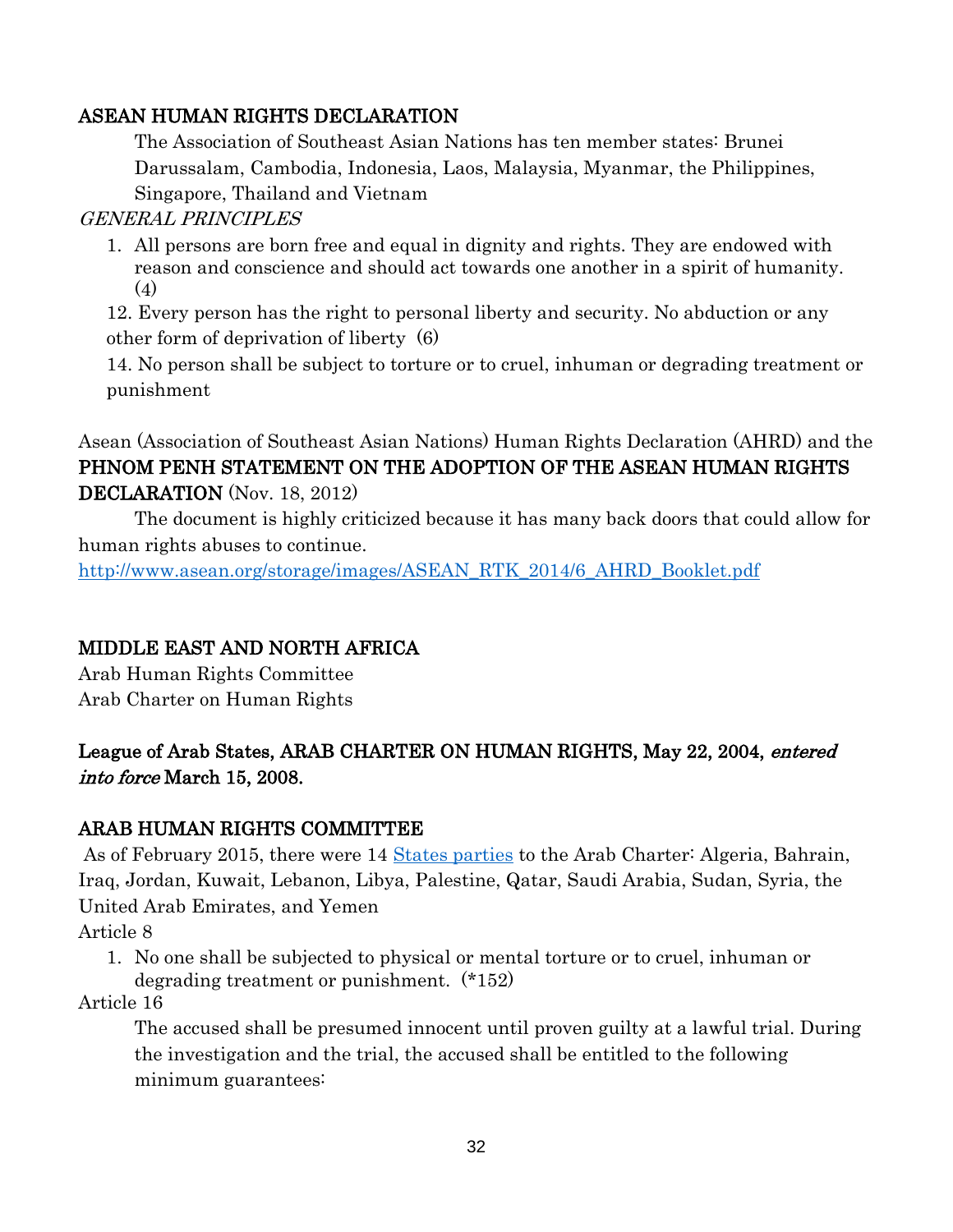## ASEAN HUMAN RIGHTS DECLARATION

The Association of Southeast Asian Nations has ten member states: Brunei Darussalam, Cambodia, Indonesia, Laos, Malaysia, Myanmar, the Philippines, Singapore, Thailand and Vietnam

## GENERAL PRINCIPLES

1. All persons are born free and equal in dignity and rights. They are endowed with reason and conscience and should act towards one another in a spirit of humanity. (4)

12. Every person has the right to personal liberty and security. No abduction or any other form of deprivation of liberty (6)

14. No person shall be subject to torture or to cruel, inhuman or degrading treatment or punishment

# Asean (Association of Southeast Asian Nations) Human Rights Declaration (AHRD) and the PHNOM PENH STATEMENT ON THE ADOPTION OF THE ASEAN HUMAN RIGHTS DECLARATION (Nov. 18, 2012)

The document is highly criticized because it has many back doors that could allow for human rights abuses to continue.

[http://www.asean.org/storage/images/ASEAN\\_RTK\\_2014/6\\_AHRD\\_Booklet.pdf](http://www.asean.org/storage/images/ASEAN_RTK_2014/6_AHRD_Booklet.pdf)

## MIDDLE EAST AND NORTH AFRICA

Arab Human Rights Committee Arab Charter on Human Rights

# League of Arab States, ARAB CHARTER ON HUMAN RIGHTS, May 22, 2004, entered into force March 15, 2008.

## ARAB HUMAN RIGHTS COMMITTEE

As of February 2015, there were 14 [States parties](http://www.lasportal.org/ar/humanrights/Committee/Pages/MemberCountries.aspx) to the Arab Charter: Algeria, Bahrain, Iraq, Jordan, Kuwait, Lebanon, Libya, Palestine, Qatar, Saudi Arabia, Sudan, Syria, the United Arab Emirates, and Yemen

Article 8

1. No one shall be subjected to physical or mental torture or to cruel, inhuman or degrading treatment or punishment. (\*152)

Article 16

The accused shall be presumed innocent until proven guilty at a lawful trial. During the investigation and the trial, the accused shall be entitled to the following minimum guarantees: